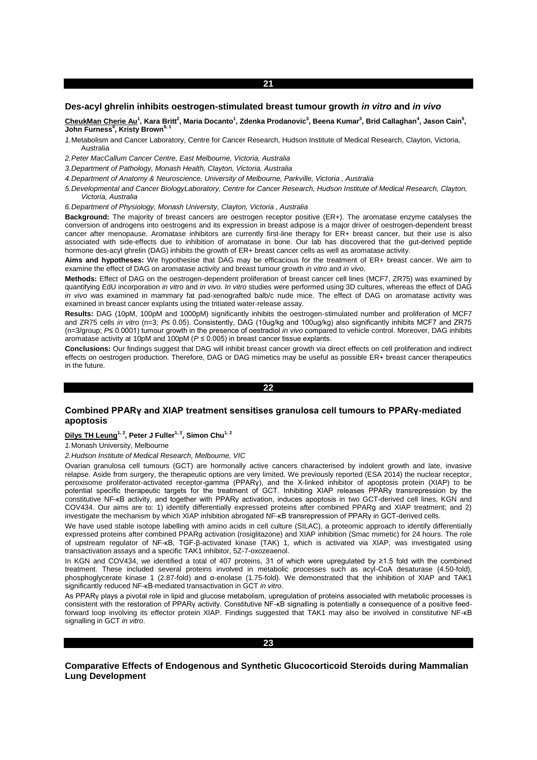# **Des-acyl ghrelin inhibits oestrogen-stimulated breast tumour growth** *in vitro* **and** *in vivo*

<u>CheukMan Cherie Au</u><sup>1</sup>, Kara Britt<sup>2</sup>, Maria Docanto<sup>1</sup>, Zdenka Prodanovic<sup>3</sup>, Beena Kumar<sup>3</sup>, Brid Callaghan<sup>4</sup>, Jason Cain<sup>5</sup>, **John Furness<sup>4</sup> , Kristy Brown6, 1**

*1.*Metabolism and Cancer Laboratory, Centre for Cancer Research, Hudson Institute of Medical Research, Clayton, Victoria, Australia

*2.Peter MacCallum Cancer Centre, East Melbourne, Victoria, Australia*

*3.Department of Pathology, Monash Health, Clayton, Victoria, Australia*

- *4.Department of Anatomy & Neuroscience, University of Melbourne, Parkville, Victoria , Australia*
- *5.Developmental and Cancer BiologyLaboratory, Centre for Cancer Research, Hudson Institute of Medical Research, Clayton, Victoria, Australia*

*6.Department of Physiology, Monash University, Clayton, Victoria , Australia*

**Background:** The majority of breast cancers are oestrogen receptor positive (ER+). The aromatase enzyme catalyses the conversion of androgens into oestrogens and its expression in breast adipose is a major driver of oestrogen-dependent breast cancer after menopause. Aromatase inhibitors are currently first-line therapy for ER+ breast cancer, but their use is also associated with side-effects due to inhibition of aromatase in bone. Our lab has discovered that the gut-derived peptide hormone des-acyl ghrelin (DAG) inhibits the growth of ER+ breast cancer cells as well as aromatase activity.

**Aims and hypotheses:** We hypothesise that DAG may be efficacious for the treatment of ER+ breast cancer. We aim to examine the effect of DAG on aromatase activity and breast tumour growth *in vitro* and *in vivo*.

**Methods:** Effect of DAG on the oestrogen-dependent proliferation of breast cancer cell lines (MCF7, ZR75) was examined by quantifying EdU incorporation *in vitro* and *in vivo. In vitro* studies were performed using 3D cultures, whereas the effect of DAG *in vivo* was examined in mammary fat pad-xenografted balb/c nude mice. The effect of DAG on aromatase activity was examined in breast cancer explants using the tritiated water-release assay.

**Results:** DAG (10pM, 100pM and 1000pM) significantly inhibits the oestrogen-stimulated number and proliferation of MCF7 and ZR75 cells *in vitro* (n=3; *P*≤ 0.05). Consistently, DAG (10ug/kg and 100ug/kg) also significantly inhibits MCF7 and ZR75 (n=3/group; *P*≤ 0.0001) tumour growth in the presence of oestradiol *in vivo* compared to vehicle control. Moreover, DAG inhibits aromatase activity at 10pM and 100pM (*P* ≤ 0.005) in breast cancer tissue explants.

**Conclusions:** Our findings suggest that DAG will inhibit breast cancer growth via direct effects on cell proliferation and indirect effects on oestrogen production. Therefore, DAG or DAG mimetics may be useful as possible ER+ breast cancer therapeutics in the future.

#### **22**

# **Combined PPARγ and XIAP treatment sensitises granulosa cell tumours to PPARγ-mediated apoptosis**

**Dilys TH Leung1, 2, Peter J Fuller1, 2, Simon Chu1, 2**

*1.*Monash University, Melbourne

*2.Hudson Institute of Medical Research, Melbourne, VIC*

Ovarian granulosa cell tumours (GCT) are hormonally active cancers characterised by indolent growth and late, invasive relapse. Aside from surgery, the therapeutic options are very limited. We previously reported (ESA 2014) the nuclear receptor, peroxisome proliferator-activated receptor-gamma (PPARγ), and the X-linked inhibitor of apoptosis protein (XIAP) to be potential specific therapeutic targets for the treatment of GCT. Inhibiting XIAP releases PPARγ transrepression by the constitutive NF-κB activity, and together with PPARγ activation, induces apoptosis in two GCT-derived cell lines, KGN and COV434. Our aims are to: 1) identify differentially expressed proteins after combined PPARg and XIAP treatment; and 2) investigate the mechanism by which XIAP inhibition abrogated NF-κB transrepression of PPARγ in GCT-derived cells.

We have used stable isotope labelling with amino acids in cell culture (SILAC), a proteomic approach to identify differentially expressed proteins after combined PPARg activation (rosiglitazone) and XIAP inhibition (Smac mimetic) for 24 hours. The role of upstream regulator of NF-κB, TGF-β-activated kinase (TAK) 1, which is activated via XIAP, was investigated using transactivation assays and a specific TAK1 inhibitor, 5Z-7-oxozeaenol.

In KGN and COV434, we identified a total of 407 proteins, 31 of which were upregulated by ≥1.5 fold with the combined treatment. These included several proteins involved in metabolic processes such as acyl-CoA desaturase (4.50-fold), phosphoglycerate kinase 1 (2.87-fold) and α-enolase (1.75-fold). We demonstrated that the inhibition of XIAP and TAK1 significantly reduced NF-κB-mediated transactivation in GCT *in vitro*.

As PPARy plays a pivotal role in lipid and glucose metabolism, upregulation of proteins associated with metabolic processes is consistent with the restoration of PPARγ activity. Constitutive NF-κB signalling is potentially a consequence of a positive feedforward loop involving its effector protein XIAP. Findings suggested that TAK1 may also be involved in constitutive NF-κB signalling in GCT *in vitro*.



**Comparative Effects of Endogenous and Synthetic Glucocorticoid Steroids during Mammalian Lung Development**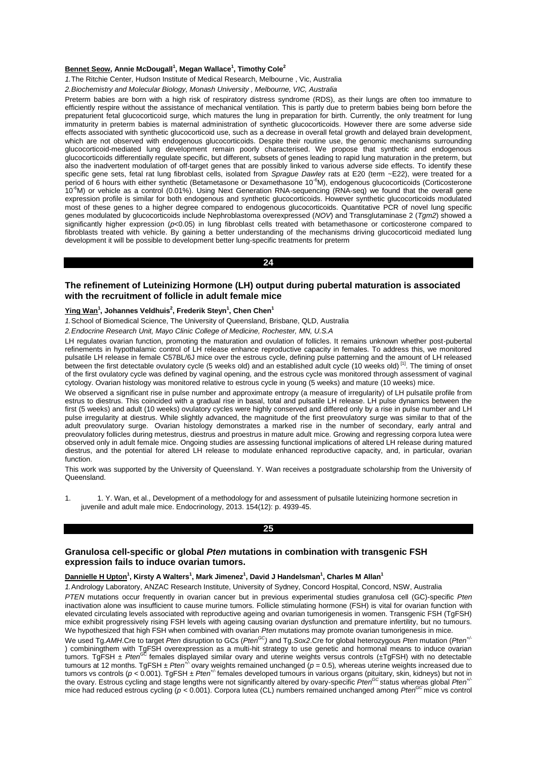## **Bennet Seow, Annie McDougall<sup>1</sup> , Megan Wallace<sup>1</sup> , Timothy Cole<sup>2</sup>**

*1.*The Ritchie Center, Hudson Institute of Medical Research, Melbourne , Vic, Australia

*2.Biochemistry and Molecular Biology, Monash University , Melbourne, VIC, Australia*

Preterm babies are born with a high risk of respiratory distress syndrome (RDS), as their lungs are often too immature to efficiently respire without the assistance of mechanical ventilation. This is partly due to preterm babies being born before the prepaturient fetal glucocorticoid surge, which matures the lung in preparation for birth. Currently, the only treatment for lung immaturity in preterm babies is maternal administration of synthetic glucocorticoids. However there are some adverse side effects associated with synthetic glucocorticoid use, such as a decrease in overall fetal growth and delayed brain development, which are not observed with endogenous glucocorticoids. Despite their routine use, the genomic mechanisms surrounding glucocorticoid-mediated lung development remain poorly characterised. We propose that synthetic and endogenous glucocorticoids differentially regulate specific, but different, subsets of genes leading to rapid lung maturation in the preterm, but also the inadvertent modulation of off-target genes that are possibly linked to various adverse side effects. To identify these specific gene sets, fetal rat lung fibroblast cells, isolated from *Sprague Dawley* rats at E20 (term ~E22), were treated for a period of 6 hours with either synthetic (Betametasone or Dexamethasone 10<sup>-6</sup>M), endogenous glucocorticoids (Corticosterone 10-6M) or vehicle as a control (0.01%). Using Next Generation RNA-sequencing (RNA-seq) we found that the overall gene expression profile is similar for both endogenous and synthetic glucocorticoids. However synthetic glucocorticoids modulated most of these genes to a higher degree compared to endogenous glucocorticoids. Quantitative PCR of novel lung specific genes modulated by glucocorticoids include Nephroblastoma overexpressed (*NOV*) and Transglutaminase 2 (*Tgm2*) showed a significantly higher expression (p<0.05) in lung fibroblast cells treated with betamethasone or corticosterone compared to fibroblasts treated with vehicle. By gaining a better understanding of the mechanisms driving glucocorticoid mediated lung development it will be possible to development better lung-specific treatments for preterm

# **24**

## **The refinement of Luteinizing Hormone (LH) output during pubertal maturation is associated with the recruitment of follicle in adult female mice**

## **Ying Wan<sup>1</sup> , Johannes Veldhuis<sup>2</sup> , Frederik Steyn<sup>1</sup> , Chen Chen<sup>1</sup>**

*1.*School of Biomedical Science, The University of Queensland, Brisbane, QLD, Australia

*2.Endocrine Research Unit, Mayo Clinic College of Medicine, Rochester, MN, U.S.A*

LH regulates ovarian function, promoting the maturation and ovulation of follicles. It remains unknown whether post-pubertal refinements in hypothalamic control of LH release enhance reproductive capacity in females. To address this, we monitored pulsatile LH release in female C57BL/6J mice over the estrous cycle, defining pulse patterning and the amount of LH released between the first detectable ovulatory cycle (5 weeks old) and an established adult cycle (10 weeks old) [1]. The timing of onset of the first ovulatory cycle was defined by vaginal opening, and the estrous cycle was monitored through assessment of vaginal cytology. Ovarian histology was monitored relative to estrous cycle in young (5 weeks) and mature (10 weeks) mice.

We observed a significant rise in pulse number and approximate entropy (a measure of irregularity) of LH pulsatile profile from estrus to diestrus. This coincided with a gradual rise in basal, total and pulsatile LH release. LH pulse dynamics between the first (5 weeks) and adult (10 weeks) ovulatory cycles were highly conserved and differed only by a rise in pulse number and LH pulse irregularity at diestrus. While slightly advanced, the magnitude of the first preovulatory surge was similar to that of the adult preovulatory surge. Ovarian histology demonstrates a marked rise in the number of secondary, early antral and preovulatory follicles during metestrus, diestrus and proestrus in mature adult mice. Growing and regressing corpora lutea were observed only in adult female mice. Ongoing studies are assessing functional implications of altered LH release during matured diestrus, and the potential for altered LH release to modulate enhanced reproductive capacity, and, in particular, ovarian function.

This work was supported by the University of Queensland. Y. Wan receives a postgraduate scholarship from the University of Queensland.

1. 1. Y. Wan, et al., Development of a methodology for and assessment of pulsatile luteinizing hormone secretion in juvenile and adult male mice. Endocrinology, 2013. 154(12): p. 4939-45.

**25** 

# **Granulosa cell-specific or global** *Pten* **mutations in combination with transgenic FSH expression fails to induce ovarian tumors.**

## **Dannielle H Upton<sup>1</sup> , Kirsty A Walters<sup>1</sup> , Mark Jimenez<sup>1</sup> , David J Handelsman<sup>1</sup> , Charles M Allan<sup>1</sup>**

*1.*Andrology Laboratory, ANZAC Research Institute, University of Sydney, Concord Hospital, Concord, NSW, Australia

*PTEN* mutations occur frequently in ovarian cancer but in previous experimental studies granulosa cell (GC)-specific *Pten*  inactivation alone was insufficient to cause murine tumors. Follicle stimulating hormone (FSH) is vital for ovarian function with elevated circulating levels associated with reproductive ageing and ovarian tumorigenesis in women. Transgenic FSH (TgFSH) mice exhibit progressively rising FSH levels with ageing causing ovarian dysfunction and premature infertility, but no tumours. We hypothesized that high FSH when combined with ovarian *Pten* mutations may promote ovarian tumorigenesis in mice.

We used Tg. AMH.Cre to target *Pten* disruption to GCs (*Pten<sup>GC</sup>*) and Tg. Sox2.Cre for global heterozygous *Pten* mutation (*Pten<sup>+/-</sup>* ) combiningthem with TgFSH overexpression as a multi-hit strategy to use genetic and hormonal means to induce ovarian<br>tumors. TgFSH ± *Pten<sup>GC</sup>* females displayed similar ovary and uterine weights versus controls (±TgFSH) tumours at 12 months. TgFSH ± *Pten<sup>+/-</sup>* ovary weights remained unchanged (*p* = 0.5), whereas uterine weights increased due to tumors vs controls (*p <* 0.001). TgFSH ± *Pten+/-* females developed tumours in various organs (pituitary, skin, kidneys) but not in the ovary. Estrous cycling and stage lengths were not significantly altered by ovary-specific Pten<sup>occ</sup> status whereas global Pten<sup>+</sup> mice had reduced estrous cycling ( $p < 0.001$ ). Corpora lutea (CL) numbers remained unchanged among *Pten*<sup>GC</sup> mice vs control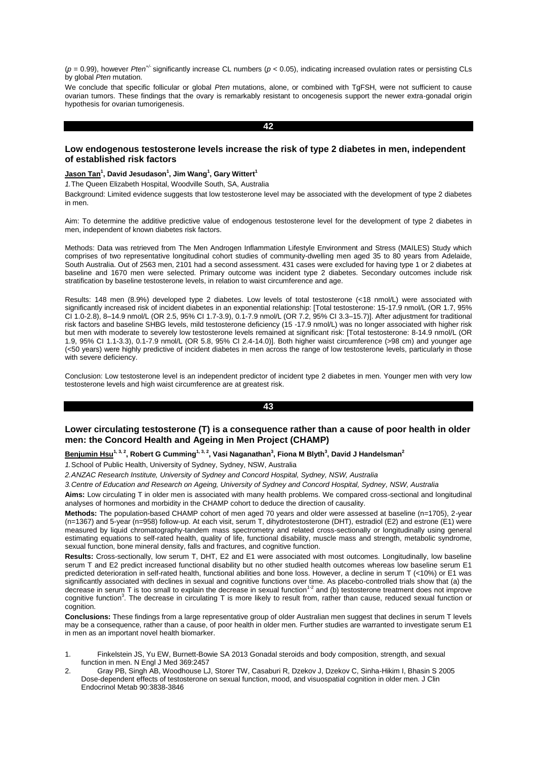$(p = 0.99)$ , however *Pten<sup>+/-</sup>* significantly increase CL numbers ( $p < 0.05$ ), indicating increased ovulation rates or persisting CLs by global *Pten* mutation.

We conclude that specific follicular or global *Pten* mutations, alone, or combined with TgFSH, were not sufficient to cause ovarian tumors. These findings that the ovary is remarkably resistant to oncogenesis support the newer extra-gonadal origin hypothesis for ovarian tumorigenesis.

**42** 

## **Low endogenous testosterone levels increase the risk of type 2 diabetes in men, independent of established risk factors**

## **Jason Tan<sup>1</sup> , David Jesudason<sup>1</sup> , Jim Wang<sup>1</sup> , Gary Wittert<sup>1</sup>**

*1.*The Queen Elizabeth Hospital, Woodville South, SA, Australia

Background: Limited evidence suggests that low testosterone level may be associated with the development of type 2 diabetes in men.

Aim: To determine the additive predictive value of endogenous testosterone level for the development of type 2 diabetes in men, independent of known diabetes risk factors.

Methods: Data was retrieved from The Men Androgen Inflammation Lifestyle Environment and Stress (MAILES) Study which comprises of two representative longitudinal cohort studies of community-dwelling men aged 35 to 80 years from Adelaide, South Australia. Out of 2563 men, 2101 had a second assessment. 431 cases were excluded for having type 1 or 2 diabetes at baseline and 1670 men were selected. Primary outcome was incident type 2 diabetes. Secondary outcomes include risk stratification by baseline testosterone levels, in relation to waist circumference and age.

Results: 148 men (8.9%) developed type 2 diabetes. Low levels of total testosterone (<18 nmol/L) were associated with significantly increased risk of incident diabetes in an exponential relationship: [Total testosterone: 15-17.9 nmol/L (OR 1.7, 95% CI 1.0-2.8), 8–14.9 nmol/L (OR 2.5, 95% CI 1.7-3.9), 0.1-7.9 nmol/L (OR 7.2, 95% CI 3.3–15.7)]. After adjustment for traditional risk factors and baseline SHBG levels, mild testosterone deficiency (15 -17.9 nmol/L) was no longer associated with higher risk but men with moderate to severely low testosterone levels remained at significant risk: [Total testosterone: 8-14.9 nmol/L (OR 1.9, 95% CI 1.1-3.3), 0.1-7.9 nmol/L (OR 5.8, 95% CI 2.4-14.0)]. Both higher waist circumference (>98 cm) and younger age (<50 years) were highly predictive of incident diabetes in men across the range of low testosterone levels, particularly in those with severe deficiency.

Conclusion: Low testosterone level is an independent predictor of incident type 2 diabetes in men. Younger men with very low testosterone levels and high waist circumference are at greatest risk.

# **43**

# **Lower circulating testosterone (T) is a consequence rather than a cause of poor health in older men: the Concord Health and Ageing in Men Project (CHAMP)**

## **Benjumin Hsu1, 3, 2, Robert G Cumming1, 3, 2, Vasi Naganathan<sup>3</sup> , Fiona M Blyth<sup>3</sup> , David J Handelsman<sup>2</sup>**

*1.*School of Public Health, University of Sydney, Sydney, NSW, Australia

*2.ANZAC Research Institute, University of Sydney and Concord Hospital, Sydney, NSW, Australia*

*3.Centre of Education and Research on Ageing, University of Sydney and Concord Hospital, Sydney, NSW, Australia*

**Aims:** Low circulating T in older men is associated with many health problems. We compared cross-sectional and longitudinal analyses of hormones and morbidity in the CHAMP cohort to deduce the direction of causality.

**Methods:** The population-based CHAMP cohort of men aged 70 years and older were assessed at baseline (n=1705), 2-year (n=1367) and 5-year (n=958) follow-up. At each visit, serum T, dihydrotestosterone (DHT), estradiol (E2) and estrone (E1) were measured by liquid chromatography-tandem mass spectrometry and related cross-sectionally or longitudinally using general estimating equations to self-rated health, quality of life, functional disability, muscle mass and strength, metabolic syndrome, sexual function, bone mineral density, falls and fractures, and cognitive function.

**Results:** Cross-sectionally, low serum T, DHT, E2 and E1 were associated with most outcomes. Longitudinally, low baseline serum T and E2 predict increased functional disability but no other studied health outcomes whereas low baseline serum E1 predicted deterioration in self-rated health, functional abilities and bone loss. However, a decline in serum T (<10%) or E1 was significantly associated with declines in sexual and cognitive functions over time. As placebo-controlled trials show that (a) the decrease in serum  $T$  is too small to explain the decrease in sexual function<sup>1-2</sup> and (b) testosterone treatment does not improve cognitive function<sup>3</sup>. The decrease in circulating T is more likely to result from, rather than cause, reduced sexual function or cognition.

**Conclusions:** These findings from a large representative group of older Australian men suggest that declines in serum T levels may be a consequence, rather than a cause, of poor health in older men. Further studies are warranted to investigate serum E1 in men as an important novel health biomarker.

- 1. Finkelstein JS, Yu EW, Burnett-Bowie SA 2013 Gonadal steroids and body composition, strength, and sexual function in men. N Engl J Med 369:2457
- 2. Gray PB, Singh AB, Woodhouse LJ, Storer TW, Casaburi R, Dzekov J, Dzekov C, Sinha-Hikim I, Bhasin S 2005 Dose-dependent effects of testosterone on sexual function, mood, and visuospatial cognition in older men. J Clin Endocrinol Metab 90:3838-3846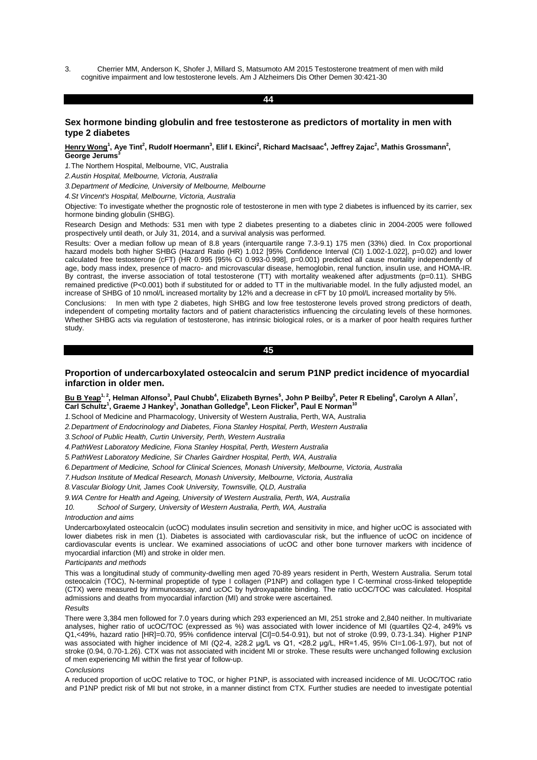3. Cherrier MM, Anderson K, Shofer J, Millard S, Matsumoto AM 2015 Testosterone treatment of men with mild cognitive impairment and low testosterone levels. Am J Alzheimers Dis Other Demen 30:421-30

#### **44**

# **Sex hormone binding globulin and free testosterone as predictors of mortality in men with type 2 diabetes**

## Henry Wong<sup>1</sup>, Aye Tint<sup>2</sup>, Rudolf Hoermann<sup>3</sup>, Elif I. Ekinci<sup>2</sup>, Richard MacIsaac<sup>4</sup>, Jeffrey Zajac<sup>2</sup>, Mathis Grossmann<sup>2</sup>, **George Jerums**

*1.*The Northern Hospital, Melbourne, VIC, Australia

*2.Austin Hospital, Melbourne, Victoria, Australia*

*3.Department of Medicine, University of Melbourne, Melbourne*

*4.St Vincent's Hospital, Melbourne, Victoria, Australia*

Objective: To investigate whether the prognostic role of testosterone in men with type 2 diabetes is influenced by its carrier, sex hormone binding globulin (SHBG).

Research Design and Methods: 531 men with type 2 diabetes presenting to a diabetes clinic in 2004-2005 were followed prospectively until death, or July 31, 2014, and a survival analysis was performed.

Results: Over a median follow up mean of 8.8 years (interquartile range 7.3-9.1) 175 men (33%) died. In Cox proportional hazard models both higher SHBG (Hazard Ratio (HR) 1.012 [95% Confidence Interval (CI) 1.002-1.022], p=0.02) and lower calculated free testosterone (cFT) (HR 0.995 [95% CI 0.993-0.998], p=0.001) predicted all cause mortality independently of age, body mass index, presence of macro- and microvascular disease, hemoglobin, renal function, insulin use, and HOMA-IR. By contrast, the inverse association of total testosterone (TT) with mortality weakened after adjustments (p=0.11). SHBG remained predictive (P<0.001) both if substituted for or added to TT in the multivariable model. In the fully adjusted model, an increase of SHBG of 10 nmol/L increased mortality by 12% and a decrease in cFT by 10 pmol/L increased mortality by 5%.

Conclusions: In men with type 2 diabetes, high SHBG and low free testosterone levels proved strong predictors of death, independent of competing mortality factors and of patient characteristics influencing the circulating levels of these hormones. Whether SHBG acts via regulation of testosterone, has intrinsic biological roles, or is a marker of poor health requires further study.

**45** 

# **Proportion of undercarboxylated osteocalcin and serum P1NP predict incidence of myocardial infarction in older men.**

<u>Bu B Yeap<sup>1, 2</sup>,</u> Helman Alfonso<sup>3</sup>, Paul Chubb<sup>4</sup>, Elizabeth Byrnes<sup>5</sup>, John P Beilby<sup>5</sup>, Peter R Ebeling<sup>6</sup>, Carolyn A Allan<sup>7</sup>, **Carl Schultz<sup>1</sup> , Graeme J Hankey<sup>1</sup> , Jonathan Golledge<sup>8</sup> , Leon Flicker<sup>9</sup> , Paul E Norman<sup>10</sup>**

*1.*School of Medicine and Pharmacology, University of Western Australia, Perth, WA, Australia

*2.Department of Endocrinology and Diabetes, Fiona Stanley Hospital, Perth, Western Australia*

*3.School of Public Health, Curtin University, Perth, Western Australia*

*4.PathWest Laboratory Medicine, Fiona Stanley Hospital, Perth, Western Australia*

*5.PathWest Laboratory Medicine, Sir Charles Gairdner Hospital, Perth, WA, Australia*

*6.Department of Medicine, School for Clinical Sciences, Monash University, Melbourne, Victoria, Australia*

*7.Hudson Institute of Medical Research, Monash University, Melbourne, Victoria, Australia*

*8.Vascular Biology Unit, James Cook University, Townsville, QLD, Australia*

*9.WA Centre for Health and Ageing, University of Western Australia, Perth, WA, Australia*

*10. School of Surgery, University of Western Australia, Perth, WA, Australia*

## *Introduction and aims*

Undercarboxylated osteocalcin (ucOC) modulates insulin secretion and sensitivity in mice, and higher ucOC is associated with lower diabetes risk in men (1). Diabetes is associated with cardiovascular risk, but the influence of ucOC on incidence of cardiovascular events is unclear. We examined associations of ucOC and other bone turnover markers with incidence of myocardial infarction (MI) and stroke in older men.

#### *Participants and methods*

This was a longitudinal study of community-dwelling men aged 70-89 years resident in Perth, Western Australia. Serum total osteocalcin (TOC), N-terminal propeptide of type I collagen (P1NP) and collagen type I C-terminal cross-linked telopeptide (CTX) were measured by immunoassay, and ucOC by hydroxyapatite binding. The ratio ucOC/TOC was calculated. Hospital admissions and deaths from myocardial infarction (MI) and stroke were ascertained.

#### *Results*

There were 3,384 men followed for 7.0 years during which 293 experienced an MI, 251 stroke and 2,840 neither. In multivariate analyses, higher ratio of ucOC/TOC (expressed as %) was associated with lower incidence of MI (quartiles Q2-4, ≥49% vs Q1,<49%, hazard ratio [HR]=0.70, 95% confidence interval [CI]=0.54-0.91), but not of stroke (0.99, 0.73-1.34). Higher P1NP was associated with higher incidence of MI (Q2-4, ≥28.2 µg/L vs Q1, <28.2 µg/L, HR=1.45, 95% CI=1.06-1.97), but not of stroke (0.94, 0.70-1.26). CTX was not associated with incident MI or stroke. These results were unchanged following exclusion of men experiencing MI within the first year of follow-up.

#### *Conclusions*

A reduced proportion of ucOC relative to TOC, or higher P1NP, is associated with increased incidence of MI. UcOC/TOC ratio and P1NP predict risk of MI but not stroke, in a manner distinct from CTX. Further studies are needed to investigate potential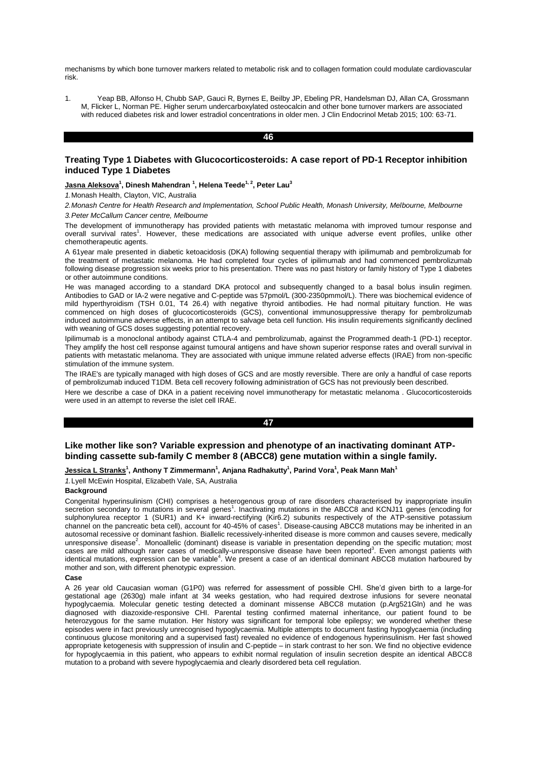mechanisms by which bone turnover markers related to metabolic risk and to collagen formation could modulate cardiovascular risk.

1. Yeap BB, Alfonso H, Chubb SAP, Gauci R, Byrnes E, Beilby JP, Ebeling PR, Handelsman DJ, Allan CA, Grossmann M, Flicker L, Norman PE. Higher serum undercarboxylated osteocalcin and other bone turnover markers are associated with reduced diabetes risk and lower estradiol concentrations in older men. J Clin Endocrinol Metab 2015; 100: 63-71.

#### **46**

# **Treating Type 1 Diabetes with Glucocorticosteroids: A case report of PD-1 Receptor inhibition induced Type 1 Diabetes**

#### **Jasna Aleksova<sup>1</sup> , Dinesh Mahendran <sup>1</sup> , Helena Teede1, 2, Peter Lau<sup>3</sup>**

*1.*Monash Health, Clayton, VIC, Australia

*2.Monash Centre for Health Research and Implementation, School Public Health, Monash University, Melbourne, Melbourne 3.Peter McCallum Cancer centre, Melbourne*

The development of immunotherapy has provided patients with metastatic melanoma with improved tumour response and overall survival rates<sup>1</sup>. However, these medications are associated with unique adverse event profiles, unlike other chemotherapeutic agents.

A 61year male presented in diabetic ketoacidosis (DKA) following sequential therapy with ipilimumab and pembrolizumab for the treatment of metastatic melanoma. He had completed four cycles of ipilimumab and had commenced pembrolizumab following disease progression six weeks prior to his presentation. There was no past history or family history of Type 1 diabetes or other autoimmune conditions.

He was managed according to a standard DKA protocol and subsequently changed to a basal bolus insulin regimen. Antibodies to GAD or IA-2 were negative and C-peptide was 57pmol/L (300-2350pmmol/L). There was biochemical evidence of mild hyperthyroidism (TSH 0.01, T4 26.4) with negative thyroid antibodies. He had normal pituitary function. He was commenced on high doses of glucocorticosteroids (GCS), conventional immunosuppressive therapy for pembrolizumab induced autoimmune adverse effects, in an attempt to salvage beta cell function. His insulin requirements significantly declined with weaning of GCS doses suggesting potential recovery.

Ipilimumab is a monoclonal antibody against CTLA-4 and pembrolizumab, against the Programmed death-1 (PD-1) receptor. They amplify the host cell response against tumoural antigens and have shown superior response rates and overall survival in patients with metastatic melanoma. They are associated with unique immune related adverse effects (IRAE) from non-specific stimulation of the immune system.

The IRAE's are typically managed with high doses of GCS and are mostly reversible. There are only a handful of case reports of pembrolizumab induced T1DM. Beta cell recovery following administration of GCS has not previously been described.

Here we describe a case of DKA in a patient receiving novel immunotherapy for metastatic melanoma . Glucocorticosteroids were used in an attempt to reverse the islet cell IRAE.

#### **47**

# **Like mother like son? Variable expression and phenotype of an inactivating dominant ATPbinding cassette sub-family C member 8 (ABCC8) gene mutation within a single family.**

## **Jessica L Stranks<sup>1</sup> , Anthony T Zimmermann<sup>1</sup> , Anjana Radhakutty<sup>1</sup> , Parind Vora<sup>1</sup> , Peak Mann Mah<sup>1</sup>**

*1.*Lyell McEwin Hospital, Elizabeth Vale, SA, Australia

#### **Background**

Congenital hyperinsulinism (CHI) comprises a heterogenous group of rare disorders characterised by inappropriate insulin secretion secondary to mutations in several genes<sup>1</sup>. Inactivating mutations in the ABCC8 and KCNJ11 genes (encoding for sulphonylurea receptor 1 (SUR1) and K+ inward-rectifying (Kir6.2) subunits respectively of the ATP-sensitive potassium channel on the pancreatic beta cell), account for 40-45% of cases<sup>1</sup>. Disease-causing ABCC8 mutations may be inherited in an autosomal recessive or dominant fashion. Biallelic recessively-inherited disease is more common and causes severe, medically unresponsive disease<sup>2</sup>. Monoallelic (dominant) disease is variable in presentation depending on the specific mutation; most<br>cases are mild although rarer cases of medically-unresponsive disease have been reported<sup>3</sup>. Even identical mutations, expression can be variable<sup>4</sup>. We present a case of an identical dominant ABCC8 mutation harboured by mother and son, with different phenotypic expression.

#### **Case**

A 26 year old Caucasian woman (G1P0) was referred for assessment of possible CHI. She'd given birth to a large-for gestational age (2630g) male infant at 34 weeks gestation, who had required dextrose infusions for severe neonatal hypoglycaemia. Molecular genetic testing detected a dominant missense ABCC8 mutation (p.Arg521Gln) and he was diagnosed with diazoxide-responsive CHI. Parental testing confirmed maternal inheritance, our patient found to be heterozygous for the same mutation. Her history was significant for temporal lobe epilepsy; we wondered whether these episodes were in fact previously unrecognised hypoglycaemia. Multiple attempts to document fasting hypoglycaemia (including continuous glucose monitoring and a supervised fast) revealed no evidence of endogenous hyperinsulinism. Her fast showed appropriate ketogenesis with suppression of insulin and C-peptide – in stark contrast to her son. We find no objective evidence for hypoglycaemia in this patient, who appears to exhibit normal regulation of insulin secretion despite an identical ABCC8 mutation to a proband with severe hypoglycaemia and clearly disordered beta cell regulation.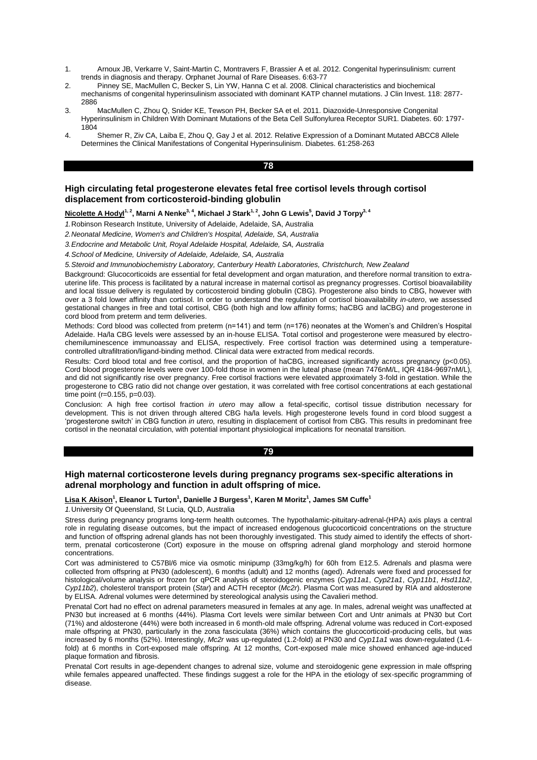- 1. Arnoux JB, Verkarre V, Saint-Martin C, Montravers F, Brassier A et al. 2012. Congenital hyperinsulinism: current trends in diagnosis and therapy. Orphanet Journal of Rare Diseases. 6:63-77
- 2. Pinney SE, MacMullen C, Becker S, Lin YW, Hanna C et al. 2008. Clinical characteristics and biochemical mechanisms of congenital hyperinsulinism associated with dominant KATP channel mutations. J Clin Invest. 118: 2877- 2886
- 3. MacMullen C, Zhou Q, Snider KE, Tewson PH, Becker SA et el. 2011. Diazoxide-Unresponsive Congenital Hyperinsulinism in Children With Dominant Mutations of the Beta Cell Sulfonylurea Receptor SUR1. Diabetes. 60: 1797- 1804
- 4. Shemer R, Ziv CA, Laiba E, Zhou Q, Gay J et al. 2012. Relative Expression of a Dominant Mutated ABCC8 Allele Determines the Clinical Manifestations of Congenital Hyperinsulinism. Diabetes. 61:258-263

#### **78**

# **High circulating fetal progesterone elevates fetal free cortisol levels through cortisol displacement from corticosteroid-binding globulin**

**Nicolette A Hodyl1, 2, Marni A Nenke3, 4, Michael J Stark1, 2, John G Lewis<sup>5</sup> , David J Torpy3, 4**

*1.*Robinson Research Institute, University of Adelaide, Adelaide, SA, Australia

*2.Neonatal Medicine, Women's and Children's Hospital, Adelaide, SA, Australia*

*3.Endocrine and Metabolic Unit, Royal Adelaide Hospital, Adelaide, SA, Australia*

*4.School of Medicine, University of Adelaide, Adelaide, SA, Australia*

*5.Steroid and Immunobiochemistry Laboratory, Canterbury Health Laboratories, Christchurch, New Zealand*

Background: Glucocorticoids are essential for fetal development and organ maturation, and therefore normal transition to extrauterine life. This process is facilitated by a natural increase in maternal cortisol as pregnancy progresses. Cortisol bioavailability and local tissue delivery is regulated by corticosteroid binding globulin (CBG). Progesterone also binds to CBG, however with over a 3 fold lower affinity than cortisol. In order to understand the regulation of cortisol bioavailability *in-utero*, we assessed gestational changes in free and total cortisol, CBG (both high and low affinity forms; haCBG and laCBG) and progesterone in cord blood from preterm and term deliveries.

Methods: Cord blood was collected from preterm (n=141) and term (n=176) neonates at the Women's and Children's Hospital Adelaide. Ha/la CBG levels were assessed by an in-house ELISA. Total cortisol and progesterone were measured by electrochemiluminescence immunoassay and ELISA, respectively. Free cortisol fraction was determined using a temperaturecontrolled ultrafiltration/ligand-binding method. Clinical data were extracted from medical records.

Results: Cord blood total and free cortisol, and the proportion of haCBG, increased significantly across pregnancy (p<0.05). Cord blood progesterone levels were over 100-fold those in women in the luteal phase (mean 7476nM/L, IQR 4184-9697nM/L), and did not significantly rise over pregnancy. Free cortisol fractions were elevated approximately 3-fold in gestation. While the progesterone to CBG ratio did not change over gestation, it was correlated with free cortisol concentrations at each gestational time point (r=0.155, p=0.03).

Conclusion: A high free cortisol fraction *in utero* may allow a fetal-specific, cortisol tissue distribution necessary for development. This is not driven through altered CBG ha/la levels. High progesterone levels found in cord blood suggest a 'progesterone switch' in CBG function *in utero,* resulting in displacement of cortisol from CBG. This results in predominant free cortisol in the neonatal circulation, with potential important physiological implications for neonatal transition.

### **79**

# **High maternal corticosterone levels during pregnancy programs sex-specific alterations in adrenal morphology and function in adult offspring of mice.**

## **Lisa K Akison<sup>1</sup> , Eleanor L Turton<sup>1</sup> , Danielle J Burgess<sup>1</sup> , Karen M Moritz<sup>1</sup> , James SM Cuffe<sup>1</sup>**

*1.*University Of Queensland, St Lucia, QLD, Australia

Stress during pregnancy programs long-term health outcomes. The hypothalamic-pituitary-adrenal-(HPA) axis plays a central role in regulating disease outcomes, but the impact of increased endogenous glucocorticoid concentrations on the structure and function of offspring adrenal glands has not been thoroughly investigated. This study aimed to identify the effects of shortterm, prenatal corticosterone (Cort) exposure in the mouse on offspring adrenal gland morphology and steroid hormone concentrations.

Cort was administered to C57Bl/6 mice via osmotic minipump (33mg/kg/h) for 60h from E12.5. Adrenals and plasma were collected from offspring at PN30 (adolescent), 6 months (adult) and 12 months (aged). Adrenals were fixed and processed for histological/volume analysis or frozen for qPCR analysis of steroidogenic enzymes (*Cyp11a1*, *Cyp21a1*, *Cyp11b1*, *Hsd11b2*, *Cyp11b2*), cholesterol transport protein (*Star*) and ACTH receptor (*Mc2r*). Plasma Cort was measured by RIA and aldosterone by ELISA. Adrenal volumes were determined by stereological analysis using the Cavalieri method.

Prenatal Cort had no effect on adrenal parameters measured in females at any age. In males, adrenal weight was unaffected at PN30 but increased at 6 months (44%). Plasma Cort levels were similar between Cort and Untr animals at PN30 but Cort (71%) and aldosterone (44%) were both increased in 6 month-old male offspring. Adrenal volume was reduced in Cort-exposed male offspring at PN30, particularly in the zona fasciculata (36%) which contains the glucocorticoid-producing cells, but was increased by 6 months (52%). Interestingly, *Mc2r* was up-regulated (1.2-fold) at PN30 and *Cyp11a1* was down-regulated (1.4 fold) at 6 months in Cort-exposed male offspring. At 12 months, Cort-exposed male mice showed enhanced age-induced plaque formation and fibrosis.

Prenatal Cort results in age-dependent changes to adrenal size, volume and steroidogenic gene expression in male offspring while females appeared unaffected. These findings suggest a role for the HPA in the etiology of sex-specific programming of disease.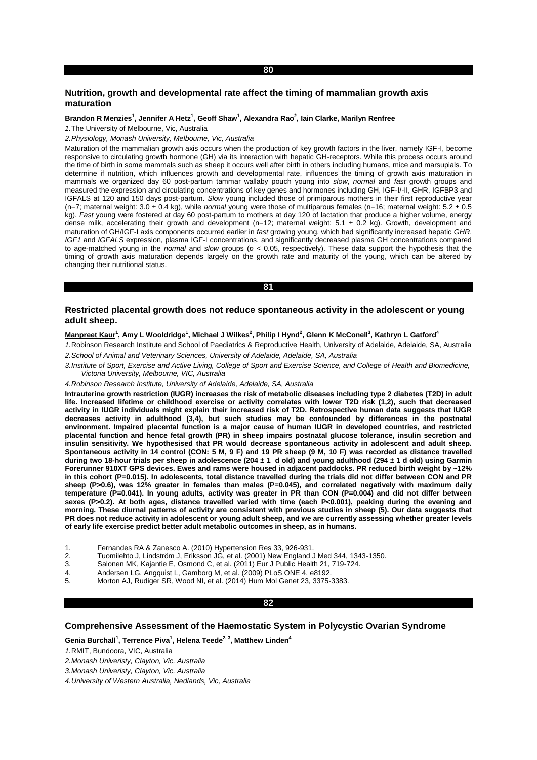# **80**

# **Nutrition, growth and developmental rate affect the timing of mammalian growth axis maturation**

#### **Brandon R Menzies<sup>1</sup> , Jennifer A Hetz<sup>1</sup> , Geoff Shaw<sup>1</sup> , Alexandra Rao<sup>2</sup> , Iain Clarke, Marilyn Renfree**

*1.*The University of Melbourne, Vic, Australia

*2.Physiology, Monash University, Melbourne, Vic, Australia*

Maturation of the mammalian growth axis occurs when the production of key growth factors in the liver, namely IGF-I, become responsive to circulating growth hormone (GH) via its interaction with hepatic GH-receptors. While this process occurs around the time of birth in some mammals such as sheep it occurs well after birth in others including humans, mice and marsupials. To determine if nutrition, which influences growth and developmental rate, influences the timing of growth axis maturation in mammals we organized day 60 post-partum tammar wallaby pouch young into *slow*, *normal* and *fast* growth groups and measured the expression and circulating concentrations of key genes and hormones including GH, IGF-I/-II, GHR, IGFBP3 and IGFALS at 120 and 150 days post-partum. *Slow* young included those of primiparous mothers in their first reproductive year (n=7; maternal weight: 3.0 ± 0.4 kg), while *normal* young were those of multiparous females (n=16; maternal weight: 5.2 ± 0.5 kg). *Fast* young were fostered at day 60 post-partum to mothers at day 120 of lactation that produce a higher volume, energy dense milk, accelerating their growth and development (n=12; maternal weight:  $5.1 \pm 0.2$  kg). Growth, development and maturation of GH/IGF-I axis components occurred earlier in *fast* growing young, which had significantly increased hepatic *GHR*, *IGF1* and *IGFALS* expression, plasma IGF-I concentrations, and significantly decreased plasma GH concentrations compared to age-matched young in the *normal* and *slow* groups (*p* < 0.05, respectively). These data support the hypothesis that the timing of growth axis maturation depends largely on the growth rate and maturity of the young, which can be altered by changing their nutritional status.

**81** 

# **Restricted placental growth does not reduce spontaneous activity in the adolescent or young adult sheep.**

#### **Manpreet Kaur<sup>1</sup> , Amy L Wooldridge<sup>1</sup> , Michael J Wilkes<sup>2</sup> , Philip I Hynd<sup>2</sup> , Glenn K McConell<sup>3</sup> , Kathryn L Gatford<sup>4</sup>**

*1.*Robinson Research Institute and School of Paediatrics & Reproductive Health, University of Adelaide, Adelaide, SA, Australia *2.School of Animal and Veterinary Sciences, University of Adelaide, Adelaide, SA, Australia*

*3.Institute of Sport, Exercise and Active Living, College of Sport and Exercise Science, and College of Health and Biomedicine, Victoria University, Melbourne, VIC, Australia*

#### *4.Robinson Research Institute, University of Adelaide, Adelaide, SA, Australia*

**Intrauterine growth restriction (IUGR) increases the risk of metabolic diseases including type 2 diabetes (T2D) in adult life. Increased lifetime or childhood exercise or activity correlates with lower T2D risk (1,2), such that decreased activity in IUGR individuals might explain their increased risk of T2D. Retrospective human data suggests that IUGR decreases activity in adulthood (3,4), but such studies may be confounded by differences in the postnatal environment. Impaired placental function is a major cause of human IUGR in developed countries, and restricted placental function and hence fetal growth (PR) in sheep impairs postnatal glucose tolerance, insulin secretion and insulin sensitivity. We hypothesised that PR would decrease spontaneous activity in adolescent and adult sheep. Spontaneous activity in 14 control (CON: 5 M, 9 F) and 19 PR sheep (9 M, 10 F) was recorded as distance travelled during two 18-hour trials per sheep in adolescence (204 ± 1 d old) and young adulthood (294 ± 1 d old) using Garmin Forerunner 910XT GPS devices. Ewes and rams were housed in adjacent paddocks. PR reduced birth weight by ~12% in this cohort (P=0.015). In adolescents, total distance travelled during the trials did not differ between CON and PR sheep (P>0.6), was 12% greater in females than males (P=0.045), and correlated negatively with maximum daily temperature (P=0.041). In young adults, activity was greater in PR than CON (P=0.004) and did not differ between sexes (P>0.2). At both ages, distance travelled varied with time (each P<0.001), peaking during the evening and morning. These diurnal patterns of activity are consistent with previous studies in sheep (5). Our data suggests that PR does not reduce activity in adolescent or young adult sheep, and we are currently assessing whether greater levels of early life exercise predict better adult metabolic outcomes in sheep, as in humans.**

- 1. Fernandes RA & Zanesco A. (2010) Hypertension Res 33, 926-931.
- 2. Tuomilehto J, Lindström J, Eriksson JG, et al. (2001) New England J Med 344, 1343-1350.
- 3. Salonen MK, Kajantie E, Osmond C, et al. (2011) Eur J Public Health 21, 719-724.
- 4. Andersen LG, Angquist L, Gamborg M, et al. (2009) PLoS ONE 4, e8192.
- 5. Morton AJ, Rudiger SR, Wood NI, et al. (2014) Hum Mol Genet 23, 3375-3383.

#### **82**

## **Comprehensive Assessment of the Haemostatic System in Polycystic Ovarian Syndrome**

**Genia Burchall<sup>1</sup> , Terrence Piva<sup>1</sup> , Helena Teede2, 3, Matthew Linden<sup>4</sup>**

*1.*RMIT, Bundoora, VIC, Australia

- *2.Monash Univeristy, Clayton, Vic, Australia*
- *3.Monash Univeristy, Clayton, Vic, Australia*

*4.University of Western Australia, Nedlands, Vic, Australia*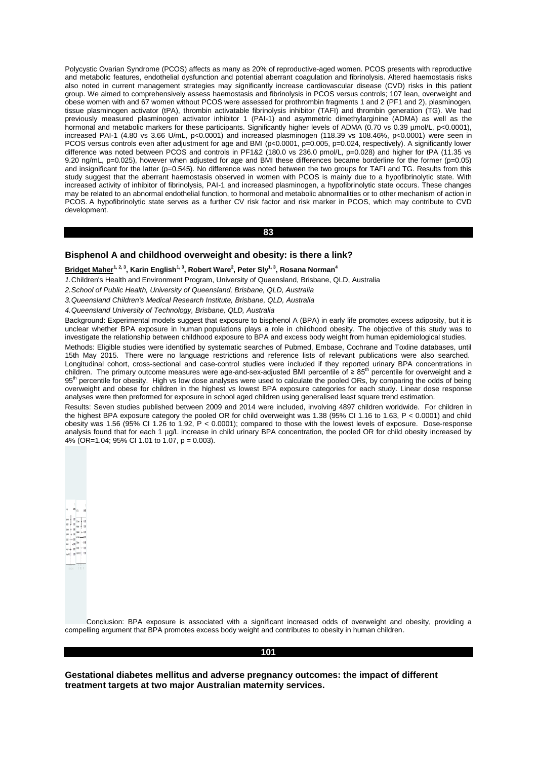Polycystic Ovarian Syndrome (PCOS) affects as many as 20% of reproductive-aged women. PCOS presents with reproductive and metabolic features, endothelial dysfunction and potential aberrant coagulation and fibrinolysis. Altered haemostasis risks also noted in current management strategies may significantly increase cardiovascular disease (CVD) risks in this patient group. We aimed to comprehensively assess haemostasis and fibrinolysis in PCOS versus controls; 107 lean, overweight and obese women with and 67 women without PCOS were assessed for prothrombin fragments 1 and 2 (PF1 and 2), plasminogen, tissue plasminogen activator (tPA), thrombin activatable fibrinolysis inhibitor (TAFI) and thrombin generation (TG). We had previously measured plasminogen activator inhibitor 1 (PAI-1) and asymmetric dimethylarginine (ADMA) as well as the hormonal and metabolic markers for these participants. Significantly higher levels of ADMA (0.70 vs 0.39 µmol/L, p<0.0001), increased PAI-1 (4.80 vs 3.66 U/mL, p<0.0001) and increased plasminogen (118.39 vs 108.46%, p<0.0001) were seen in PCOS versus controls even after adjustment for age and BMI (p<0.0001, p=0.005, p=0.024, respectively). A significantly lower difference was noted between PCOS and controls in PF1&2 (180.0 vs 236.0 pmol/L, p=0.028) and higher for tPA (11.35 vs 9.20 ng/mL, p=0.025), however when adjusted for age and BMI these differences became borderline for the former (p=0.05) and insignificant for the latter (p=0.545). No difference was noted between the two groups for TAFI and TG. Results from this study suggest that the aberrant haemostasis observed in women with PCOS is mainly due to a hypofibrinolytic state. With increased activity of inhibitor of fibrinolysis, PAI-1 and increased plasminogen, a hypofibrinolytic state occurs. These changes may be related to an abnormal endothelial function, to hormonal and metabolic abnormalities or to other mechanism of action in PCOS. A hypofibrinolytic state serves as a further CV risk factor and risk marker in PCOS, which may contribute to CVD development.

**83** 

## **Bisphenol A and childhood overweight and obesity: is there a link?**

#### **Bridget Maher1, 2, 3, Karin English1, 3, Robert Ware<sup>2</sup> , Peter Sly1, 3, Rosana Norman<sup>4</sup>**

*1.*Children's Health and Environment Program, University of Queensland, Brisbane, QLD, Australia

*2.School of Public Health, University of Queensland, Brisbane, QLD, Australia*

*3.Queensland Children's Medical Research Institute, Brisbane, QLD, Australia*

*4.Queensland University of Technology, Brisbane, QLD, Australia*

Background: Experimental models suggest that exposure to bisphenol A (BPA) in early life promotes excess adiposity, but it is unclear whether BPA exposure in human populations plays a role in childhood obesity. The objective of this study was to investigate the relationship between childhood exposure to BPA and excess body weight from human epidemiological studies.

Methods: Eligible studies were identified by systematic searches of Pubmed, Embase, Cochrane and Toxline databases, until 15th May 2015. There were no language restrictions and reference lists of relevant publications were also searched. Longitudinal cohort, cross-sectional and case-control studies were included if they reported urinary BPA concentrations in children. The primary outcome measures were age-and-sex-adjusted BMI percentile of  $\geq 85^{th}$  percentile for overweight and  $\geq$ 95<sup>th</sup> percentile for obesity. High vs low dose analyses were used to calculate the pooled ORs, by comparing the odds of being overweight and obese for children in the highest vs lowest BPA exposure categories for each study. Linear dose response analyses were then preformed for exposure in school aged children using generalised least square trend estimation.

Results: Seven studies published between 2009 and 2014 were included, involving 4897 children worldwide. For children in the highest BPA exposure category the pooled OR for child overweight was 1.38 (95% CI 1.16 to 1.63, P < 0.0001) and child obesity was 1.56 (95% CI 1.26 to 1.92, P < 0.0001); compared to those with the lowest levels of exposure. Dose-response analysis found that for each 1 µg/L increase in child urinary BPA concentration, the pooled OR for child obesity increased by 4% (OR=1.04; 95% CI 1.01 to 1.07,  $p = 0.003$ ).

Conclusion: BPA exposure is associated with a significant increased odds of overweight and obesity, providing a compelling argument that BPA promotes excess body weight and contributes to obesity in human children.

#### **101**

**Gestational diabetes mellitus and adverse pregnancy outcomes: the impact of different treatment targets at two major Australian maternity services.**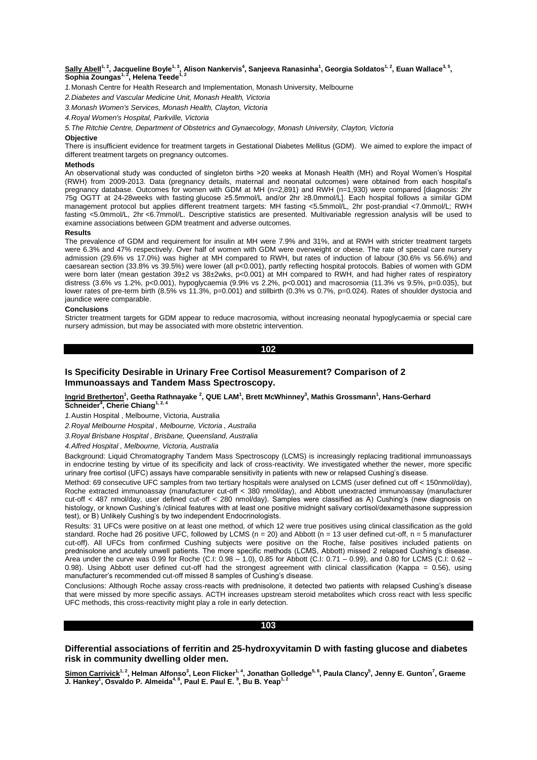# <u>Sally Abell<sup>1, 2</sup>,</u> Jacqueline Boyle<sup>1, 3</sup>, Alison Nankervis<sup>4</sup>, Sanjeeva Ranasinha<sup>1</sup>, Georgia Soldatos<sup>1, 2</sup>, Euan Wallace<sup>3, 5</sup>,<br>Sophia Zoungas<sup>1, 2</sup>, Helena Teede<sup>1, 2</sup>

*1.*Monash Centre for Health Research and Implementation, Monash University, Melbourne

*2.Diabetes and Vascular Medicine Unit, Monash Health, Victoria*

*3.Monash Women's Services, Monash Health, Clayton, Victoria*

*4.Royal Women's Hospital, Parkville, Victoria*

*5.The Ritchie Centre, Department of Obstetrics and Gynaecology, Monash University, Clayton, Victoria*

#### **Objective**

There is insufficient evidence for treatment targets in Gestational Diabetes Mellitus (GDM). We aimed to explore the impact of different treatment targets on pregnancy outcomes.

#### **Methods**

An observational study was conducted of singleton births >20 weeks at Monash Health (MH) and Royal Women's Hospital (RWH) from 2009-2013. Data (pregnancy details, maternal and neonatal outcomes) were obtained from each hospital's pregnancy database. Outcomes for women with GDM at MH (n=2,891) and RWH (n=1,930) were compared [diagnosis: 2hr 75g OGTT at 24-28weeks with fasting glucose ≥5.5mmol/L and/or 2hr ≥8.0mmol/L]. Each hospital follows a similar GDM management protocol but applies different treatment targets: MH fasting <5.5mmol/L, 2hr post-prandial <7.0mmol/L; RWH fasting <5.0mmol/L, 2hr <6.7mmol/L. Descriptive statistics are presented. Multivariable regression analysis will be used to examine associations between GDM treatment and adverse outcomes.

#### **Results**

The prevalence of GDM and requirement for insulin at MH were 7.9% and 31%, and at RWH with stricter treatment targets were 6.3% and 47% respectively. Over half of women with GDM were overweight or obese. The rate of special care nursery admission (29.6% vs 17.0%) was higher at MH compared to RWH, but rates of induction of labour (30.6% vs 56.6%) and caesarean section (33.8% vs 39.5%) were lower (all p<0.001), partly reflecting hospital protocols. Babies of women with GDM were born later (mean gestation 39±2 vs 38±2wks, p<0.001) at MH compared to RWH, and had higher rates of respiratory distress (3.6% vs 1.2%, p<0.001), hypoglycaemia (9.9% vs 2.2%, p<0.001) and macrosomia (11.3% vs 9.5%, p=0.035), but lower rates of pre-term birth (8.5% vs 11.3%, p=0.001) and stillbirth (0.3% vs 0.7%, p=0.024). Rates of shoulder dystocia and jaundice were comparable.

#### **Conclusions**

Stricter treatment targets for GDM appear to reduce macrosomia, without increasing neonatal hypoglycaemia or special care nursery admission, but may be associated with more obstetric intervention.

**102** 

# **Is Specificity Desirable in Urinary Free Cortisol Measurement? Comparison of 2 Immunoassays and Tandem Mass Spectroscopy.**

## **Ingrid Bretherton<sup>1</sup> , Geetha Rathnayake <sup>2</sup> , QUE LAM<sup>1</sup> , Brett McWhinney<sup>3</sup> , Mathis Grossmann<sup>1</sup> , Hans-Gerhard Schneider<sup>4</sup> , Cherie Chiang1, 2, 4**

*1.*Austin Hospital , Melbourne, Victoria, Australia

*2.Royal Melbourne Hospital , Melbourne, Victoria , Australia*

*3.Royal Brisbane Hospital , Brisbane, Queensland, Australia*

*4.Alfred Hospital , Melbourne, Victoria, Australia*

Background: Liquid Chromatography Tandem Mass Spectroscopy (LCMS) is increasingly replacing traditional immunoassays in endocrine testing by virtue of its specificity and lack of cross-reactivity. We investigated whether the newer, more specific urinary free cortisol (UFC) assays have comparable sensitivity in patients with new or relapsed Cushing's disease.

Method: 69 consecutive UFC samples from two tertiary hospitals were analysed on LCMS (user defined cut off < 150nmol/day), Roche extracted immunoassay (manufacturer cut-off < 380 nmol/day), and Abbott unextracted immunoassay (manufacturer cut-off < 487 nmol/day, user defined cut-off < 280 nmol/day). Samples were classified as A) Cushing's (new diagnosis on histology, or known Cushing's /clinical features with at least one positive midnight salivary cortisol/dexamethasone suppression test), or B) Unlikely Cushing's by two independent Endocrinologists.

Results: 31 UFCs were positive on at least one method, of which 12 were true positives using clinical classification as the gold standard. Roche had 26 positive UFC, followed by LCMS ( $n = 20$ ) and Abbott ( $n = 13$  user defined cut-off,  $n = 5$  manufacturer cut-off). All UFCs from confirmed Cushing subjects were positive on the Roche, false positives included patients on prednisolone and acutely unwell patients. The more specific methods (LCMS, Abbott) missed 2 relapsed Cushing's disease. Area under the curve was 0.99 for Roche (C.I: 0.98 – 1.0), 0.85 for Abbott (C.I: 0.71 – 0.99), and 0.80 for LCMS (C.I: 0.62 – 0.98). Using Abbott user defined cut-off had the strongest agreement with clinical classification (Kappa =  $0.56$ ), using manufacturer's recommended cut-off missed 8 samples of Cushing's disease.

Conclusions: Although Roche assay cross-reacts with prednisolone, it detected two patients with relapsed Cushing's disease that were missed by more specific assays. ACTH increases upstream steroid metabolites which cross react with less specific UFC methods, this cross-reactivity might play a role in early detection.

## **103**

# **Differential associations of ferritin and 25-hydroxyvitamin D with fasting glucose and diabetes risk in community dwelling older men.**

<u>Simon Carrivick<sup>1, 2</sup>,</u> Helman Alfonso<sup>3</sup>, Leon Flicker<sup>1, 4</sup>, Jonathan Golledge<sup>5, 6</sup>, Paula Clancy<sup>5</sup>, Jenny E. Gunton<sup>7</sup>, Graeme<br>J. Hankey<sup>1</sup>, Osvaldo P. Almeida<sup>4, 8</sup>, Paul E. Paul E. <sup>9</sup>, Bu B. Yeap<sup>1, 2</sup>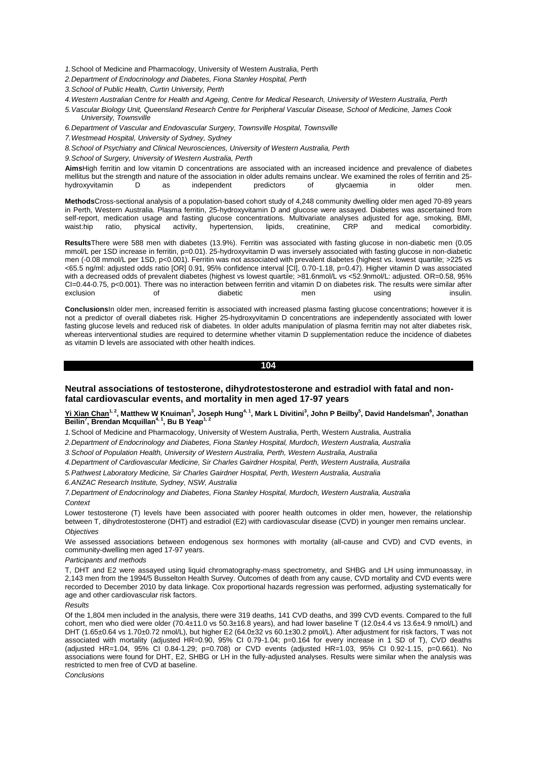*1.*School of Medicine and Pharmacology, University of Western Australia, Perth

*2.Department of Endocrinology and Diabetes, Fiona Stanley Hospital, Perth*

*3.School of Public Health, Curtin University, Perth*

*4.Western Australian Centre for Health and Ageing, Centre for Medical Research, University of Western Australia, Perth*

*5.Vascular Biology Unit, Queensland Research Centre for Peripheral Vascular Disease, School of Medicine, James Cook University, Townsville*

*6.Department of Vascular and Endovascular Surgery, Townsville Hospital, Townsville*

*7.Westmead Hospital, University of Sydney, Sydney*

*8.School of Psychiatry and Clinical Neurosciences, University of Western Australia, Perth*

*9.School of Surgery, University of Western Australia, Perth*

**Aims**High ferritin and low vitamin D concentrations are associated with an increased incidence and prevalence of diabetes mellitus but the strength and nature of the association in older adults remains unclear. We examined the roles of ferritin and 25 hydroxyvitamin D as independent predictors of glycaemia in older men.

**Methods**Cross-sectional analysis of a population-based cohort study of 4,248 community dwelling older men aged 70-89 years in Perth, Western Australia. Plasma ferritin, 25-hydroxyvitamin D and glucose were assayed. Diabetes was ascertained from self-report, medication usage and fasting glucose concentrations. Multivariate analyses adjusted for age, smoking, BMI, waist:hip ratio, physical activity, hypertension, lipids, creatinine, CRP and medical comorbidity. waist:hip ratio, physical activity, hypertension, lipids, creatinine, CRP and medical comorbidity.

**Results**There were 588 men with diabetes (13.9%). Ferritin was associated with fasting glucose in non-diabetic men (0.05 mmol/L per 1SD increase in ferritin, p=0.01). 25-hydroxyvitamin D was inversely associated with fasting glucose in non-diabetic men (-0.08 mmol/L per 1SD, p<0.001). Ferritin was not associated with prevalent diabetes (highest vs. lowest quartile; >225 vs <65.5 ng/ml: adjusted odds ratio [OR] 0.91, 95% confidence interval [CI], 0.70-1.18, p=0.47). Higher vitamin D was associated with a decreased odds of prevalent diabetes (highest vs lowest quartile; >81.6nmol/L vs <52.9nmol/L: adjusted. OR=0.58, 95% CI=0.44-0.75, p<0.001). There was no interaction between ferritin and vitamin D on diabetes risk. The results were similar after exclusion of diabetic men using insulin.

**Conclusions**In older men, increased ferritin is associated with increased plasma fasting glucose concentrations; however it is not a predictor of overall diabetes risk. Higher 25-hydroxyvitamin D concentrations are independently associated with lower fasting glucose levels and reduced risk of diabetes. In older adults manipulation of plasma ferritin may not alter diabetes risk, whereas interventional studies are required to determine whether vitamin D supplementation reduce the incidence of diabetes as vitamin D levels are associated with other health indices.

**104** 

# **Neutral associations of testosterone, dihydrotestosterone and estradiol with fatal and nonfatal cardiovascular events, and mortality in men aged 17-97 years**

**Yi Xian Chan1, 2, Matthew W Knuiman<sup>3</sup> , Joseph Hung4, 1, Mark L Divitini<sup>3</sup> , John P Beilby<sup>5</sup> , David Handelsman<sup>6</sup> , Jonathan Beilin<sup>7</sup> , Brendan Mcquillan4, 1, Bu B Yeap1, 2**

*1.*School of Medicine and Pharmacology, University of Western Australia, Perth, Western Australia, Australia

*2.Department of Endocrinology and Diabetes, Fiona Stanley Hospital, Murdoch, Western Australia, Australia*

*3.School of Population Health, University of Western Australia, Perth, Western Australia, Australia*

*4.Department of Cardiovascular Medicine, Sir Charles Gairdner Hospital, Perth, Western Australia, Australia*

*5.Pathwest Laboratory Medicine, Sir Charles Gairdner Hospital, Perth, Western Australia, Australia*

*6.ANZAC Research Institute, Sydney, NSW, Australia*

*7.Department of Endocrinology and Diabetes, Fiona Stanley Hospital, Murdoch, Western Australia, Australia Context*

Lower testosterone (T) levels have been associated with poorer health outcomes in older men, however, the relationship between T, dihydrotestosterone (DHT) and estradiol (E2) with cardiovascular disease (CVD) in younger men remains unclear. *Objectives*

We assessed associations between endogenous sex hormones with mortality (all-cause and CVD) and CVD events, in community-dwelling men aged 17-97 years.

## *Participants and methods*

T, DHT and E2 were assayed using liquid chromatography-mass spectrometry, and SHBG and LH using immunoassay, in 2,143 men from the 1994/5 Busselton Health Survey. Outcomes of death from any cause, CVD mortality and CVD events were recorded to December 2010 by data linkage. Cox proportional hazards regression was performed, adjusting systematically for age and other cardiovascular risk factors.

*Results*

Of the 1,804 men included in the analysis, there were 319 deaths, 141 CVD deaths, and 399 CVD events. Compared to the full cohort, men who died were older (70.4±11.0 vs 50.3±16.8 years), and had lower baseline T (12.0±4.4 vs 13.6±4.9 nmol/L) and DHT (1.65±0.64 vs 1.70±0.72 nmol/L), but higher E2 (64.0±32 vs 60.1±30.2 pmol/L). After adjustment for risk factors, T was not associated with mortality (adjusted HR=0.90, 95% CI 0.79-1.04; p=0.164 for every increase in 1 SD of T), CVD deaths (adjusted HR=1.04, 95% CI 0.84-1.29; p=0.708) or CVD events (adjusted HR=1.03, 95% CI 0.92-1.15, p=0.661). No associations were found for DHT, E2, SHBG or LH in the fully-adjusted analyses. Results were similar when the analysis was restricted to men free of CVD at baseline.

*Conclusions*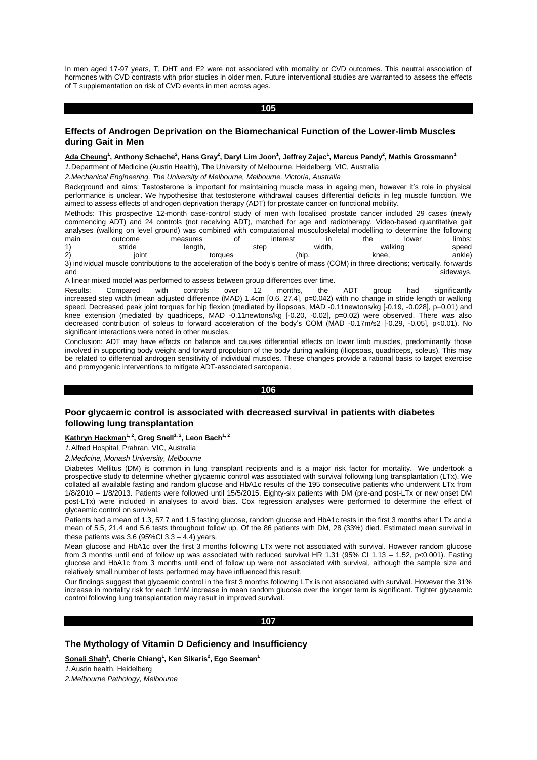In men aged 17-97 years, T, DHT and E2 were not associated with mortality or CVD outcomes. This neutral association of hormones with CVD contrasts with prior studies in older men. Future interventional studies are warranted to assess the effects of T supplementation on risk of CVD events in men across ages.

**105** 

# **Effects of Androgen Deprivation on the Biomechanical Function of the Lower-limb Muscles during Gait in Men**

## **Ada Cheung<sup>1</sup> , Anthony Schache<sup>2</sup> , Hans Gray<sup>2</sup> , Daryl Lim Joon<sup>1</sup> , Jeffrey Zajac<sup>1</sup> , Marcus Pandy<sup>2</sup> , Mathis Grossmann<sup>1</sup>**

*1.*Department of Medicine (Austin Health), The University of Melbourne, Heidelberg, VIC, Australia

*2.Mechanical Engineering, The University of Melbourne, Melbourne, Victoria, Australia*

Background and aims: Testosterone is important for maintaining muscle mass in ageing men, however it's role in physical performance is unclear. We hypothesise that testosterone withdrawal causes differential deficits in leg muscle function. We aimed to assess effects of androgen deprivation therapy (ADT) for prostate cancer on functional mobility.

Methods: This prospective 12-month case-control study of men with localised prostate cancer included 29 cases (newly commencing ADT) and 24 controls (not receiving ADT), matched for age and radiotherapy. Video-based quantitative gait analyses (walking on level ground) was combined with computational musculoskeletal modelling to determine the following main outcome measures of interest in the lower limbs: 1) stride length, step width, walking speed 2) 30 joint torques (hip, the knee, ankle) 3) individual muscle contributions to the acceleration of the body's centre of mass (COM) in three directions; vertically, forwards

and sideways. The sideways is a structure of the sideways of the sideways is structured by the sideways.

A linear mixed model was performed to assess between group differences over time.

Results: Compared with controls over 12 months, the ADT group had significantly increased step width (mean adjusted difference (MAD) 1.4cm [0.6, 27.4], p=0.042) with no change in stride length or walking speed. Decreased peak joint torques for hip flexion (mediated by iliopsoas, MAD -0.11newtons/kg [-0.19, -0.028], p=0.01) and knee extension (mediated by quadriceps, MAD -0.11newtons/kg [-0.20, -0.02], p=0.02) were observed. There was also decreased contribution of soleus to forward acceleration of the body's COM (MAD -0.17m/s2 [-0.29, -0.05], p<0.01). No significant interactions were noted in other muscles.

Conclusion: ADT may have effects on balance and causes differential effects on lower limb muscles, predominantly those involved in supporting body weight and forward propulsion of the body during walking (iliopsoas, quadriceps, soleus). This may be related to differential androgen sensitivity of individual muscles. These changes provide a rational basis to target exercise and promyogenic interventions to mitigate ADT-associated sarcopenia.

## **106**

# **Poor glycaemic control is associated with decreased survival in patients with diabetes following lung transplantation**

## **Kathryn Hackman1, 2, Greg Snell1, 2, Leon Bach1, 2**

*1.*Alfred Hospital, Prahran, VIC, Australia

*2.Medicine, Monash University, Melbourne*

Diabetes Mellitus (DM) is common in lung transplant recipients and is a major risk factor for mortality. We undertook a prospective study to determine whether glycaemic control was associated with survival following lung transplantation (LTx). We collated all available fasting and random glucose and HbA1c results of the 195 consecutive patients who underwent LTx from 1/8/2010 – 1/8/2013. Patients were followed until 15/5/2015. Eighty-six patients with DM (pre-and post-LTx or new onset DM post-LTx) were included in analyses to avoid bias. Cox regression analyses were performed to determine the effect of glycaemic control on survival.

Patients had a mean of 1.3, 57.7 and 1.5 fasting glucose, random glucose and HbA1c tests in the first 3 months after LTx and a mean of 5.5, 21.4 and 5.6 tests throughout follow up. Of the 86 patients with DM, 28 (33%) died. Estimated mean survival in these patients was  $3.6$  (95%Cl  $3.3 - 4.4$ ) years.

Mean glucose and HbA1c over the first 3 months following LTx were not associated with survival. However random glucose from 3 months until end of follow up was associated with reduced survival HR 1.31 (95% CI 1.13 – 1.52, p<0.001). Fasting glucose and HbA1c from 3 months until end of follow up were not associated with survival, although the sample size and relatively small number of tests performed may have influenced this result.

Our findings suggest that glycaemic control in the first 3 months following LTx is not associated with survival. However the 31% increase in mortality risk for each 1mM increase in mean random glucose over the longer term is significant. Tighter glycaemic control following lung transplantation may result in improved survival.

## **107**

# **The Mythology of Vitamin D Deficiency and Insufficiency**

**Sonali Shah<sup>1</sup> , Cherie Chiang<sup>1</sup> , Ken Sikaris<sup>2</sup> , Ego Seeman<sup>1</sup>**

*1.*Austin health, Heidelberg

*2.Melbourne Pathology, Melbourne*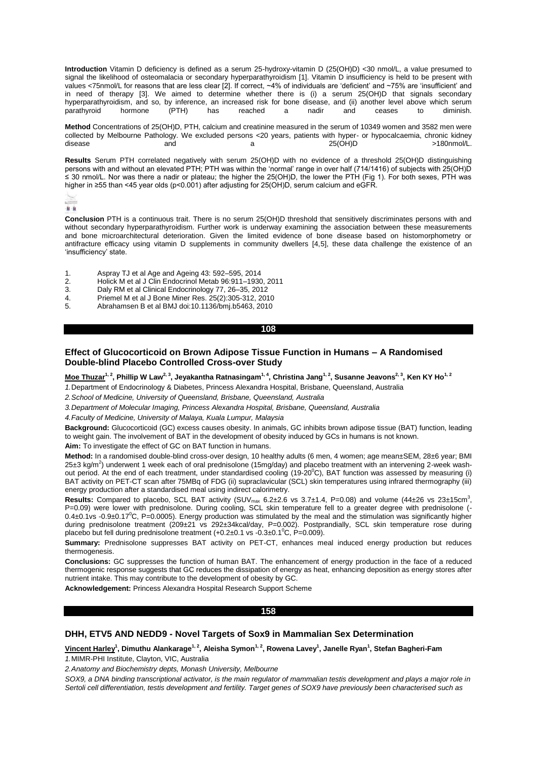**Introduction** Vitamin D deficiency is defined as a serum 25-hydroxy-vitamin D (25(OH)D) <30 nmol/L, a value presumed to signal the likelihood of osteomalacia or secondary hyperparathyroidism [1]. Vitamin D insufficiency is held to be present with values <75nmol/L for reasons that are less clear [2]. If correct, ~4% of individuals are 'deficient' and ~75% are 'insufficient' and in need of therapy [3]. We aimed to determine whether there is (i) a serum 25(OH)D that signals secondary hyperparathyroidism, and so, by inference, an increased risk for bone disease, and (ii) another level above which serum parathyroid hormone (PTH) has reached a nadir and ceases to diminish. parathyroid hormone (PTH) has reached a nadir and ceases to diminish.

**Method** Concentrations of 25(OH)D, PTH, calcium and creatinine measured in the serum of 10349 women and 3582 men were collected by Melbourne Pathology. We excluded persons <20 years, patients with hyper- or hypocalcaemia, chronic kidney<br>disease and and a 25/OH)D 25/OH) disease and and a 25(OH)D >180nmol/L.

**Results** Serum PTH correlated negatively with serum 25(OH)D with no evidence of a threshold 25(OH)D distinguishing persons with and without an elevated PTH; PTH was within the 'normal' range in over half (714/1416) of subjects with 25(OH)D ≤ 30 nmol/L. Nor was there a nadir or plateau; the higher the 25(OH)D, the lower the PTH (Fig 1). For both sexes, PTH was higher in ≥55 than <45 year olds (p<0.001) after adjusting for 25(OH)D, serum calcium and eGFR.

市面

**Conclusion** PTH is a continuous trait. There is no serum 25(OH)D threshold that sensitively discriminates persons with and without secondary hyperparathyroidism. Further work is underway examining the association between these measurements and bone microarchitectural deterioration. Given the limited evidence of bone disease based on histomorphometry or antifracture efficacy using vitamin D supplements in community dwellers [4,5], these data challenge the existence of an 'insufficiency' state.

- 1. Aspray TJ et al Age and Ageing 43: 592–595, 2014
- 2. Holick M et al J Clin Endocrinol Metab 96:911–1930, 2011
- 3. Daly RM et al Clinical Endocrinology 77, 26–35, 2012
- 4. Priemel M et al J Bone Miner Res. 25(2):305-312, 2010
- 5. Abrahamsen B et al BMJ doi:10.1136/bmj.b5463, 2010

### **108**

# **Effect of Glucocorticoid on Brown Adipose Tissue Function in Humans – A Randomised Double-blind Placebo Controlled Cross-over Study**

**Moe Thuzar1, 2, Phillip W Law2, 3, Jeyakantha Ratnasingam1, 4, Christina Jang1, 2, Susanne Jeavons2, 3, Ken KY Ho1, 2**

*1.*Department of Endocrinology & Diabetes, Princess Alexandra Hospital, Brisbane, Queensland, Australia

*2.School of Medicine, University of Queensland, Brisbane, Queensland, Australia*

*3.Department of Molecular Imaging, Princess Alexandra Hospital, Brisbane, Queensland, Australia*

*4.Faculty of Medicine, University of Malaya, Kuala Lumpur, Malaysia*

**Background:** Glucocorticoid (GC) excess causes obesity. In animals, GC inhibits brown adipose tissue (BAT) function, leading to weight gain. The involvement of BAT in the development of obesity induced by GCs in humans is not known.

**Aim:** To investigate the effect of GC on BAT function in humans.

**Method:** In a randomised double-blind cross-over design, 10 healthy adults (6 men, 4 women; age mean±SEM, 28±6 year; BMI 25±3 kg/m<sup>2</sup>) underwent 1 week each of oral prednisolone (15mg/day) and placebo treatment with an intervening 2-week washout period. At the end of each treatment, under standardised cooling (19-20°C), BAT function was assessed by measuring (i) BAT activity on PET-CT scan after 75MBq of FDG (ii) supraclavicular (SCL) skin temperatures using infrared thermography (iii) energy production after a standardised meal using indirect calorimetry.

**Results:** Compared to placebo, SCL BAT activity (SUV<sub>max</sub>  $6.2\pm2.6$  vs  $3.7\pm1.4$ , P=0.08) and volume (44 $\pm26$  vs  $23\pm15$ cm<sup>3</sup>, P=0.09) were lower with prednisolone. During cooling, SCL skin temperature fell to a greater degree with prednisolone (-  $0.4\pm0.1$ vs  $-0.9\pm0.17^{\circ}$ C, P=0.0005). Energy production was stimulated by the meal and the stimulation was significantly higher during prednisolone treatment (209±21 vs 292±34kcal/day, P=0.002). Postprandially, SCL skin temperature rose during placebo but fell during prednisolone treatment  $(+0.2\pm0.1$  vs  $-0.3\pm0.1^{\circ}$ C, P=0.009).

**Summary:** Prednisolone suppresses BAT activity on PET-CT, enhances meal induced energy production but reduces thermogenesis.

**Conclusions:** GC suppresses the function of human BAT. The enhancement of energy production in the face of a reduced thermogenic response suggests that GC reduces the dissipation of energy as heat, enhancing deposition as energy stores after nutrient intake. This may contribute to the development of obesity by GC.

**Acknowledgement:** Princess Alexandra Hospital Research Support Scheme

# **158**

# **DHH, ETV5 AND NEDD9 - Novel Targets of Sox9 in Mammalian Sex Determination**

**Vincent Harley<sup>1</sup> , Dimuthu Alankarage1, 2, Aleisha Symon1, 2, Rowena Lavey<sup>1</sup> , Janelle Ryan<sup>1</sup> , Stefan Bagheri-Fam** *1.*MIMR-PHI Institute, Clayton, VIC, Australia

*2.Anatomy and Biochemistry depts, Monash University, Melbourne*

*SOX9, a DNA binding transcriptional activator, is the main regulator of mammalian testis development and plays a major role in Sertoli cell differentiation, testis development and fertility. Target genes of SOX9 have previously been characterised such as*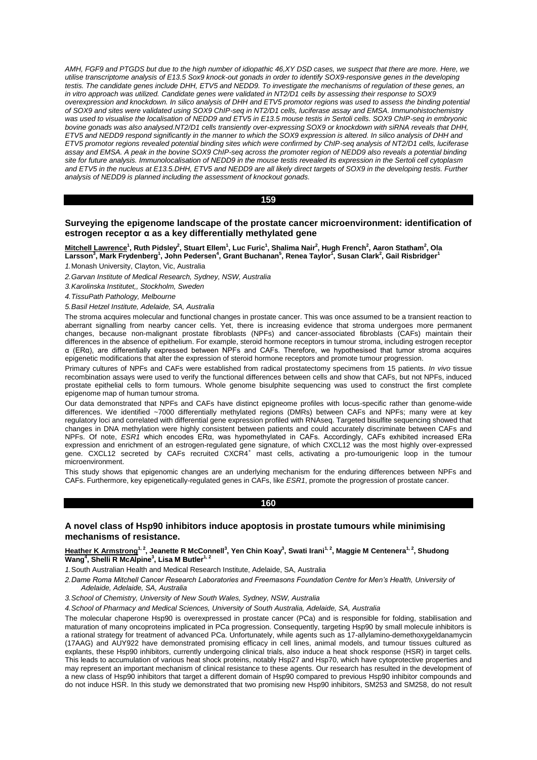*AMH, FGF9 and PTGDS but due to the high number of idiopathic 46,XY DSD cases, we suspect that there are more. Here, we utilise transcriptome analysis of E13.5 Sox9 knock-out gonads in order to identify SOX9-responsive genes in the developing testis. The candidate genes include DHH, ETV5 and NEDD9. To investigate the mechanisms of regulation of these genes, an in vitro approach was utilized. Candidate genes were validated in NT2/D1 cells by assessing their response to SOX9 overexpression and knockdown. In silico analysis of DHH and ETV5 promotor regions was used to assess the binding potential of SOX9 and sites were validated using SOX9 ChIP-seq in NT2/D1 cells, luciferase assay and EMSA. Immunohistochemistry was used to visualise the localisation of NEDD9 and ETV5 in E13.5 mouse testis in Sertoli cells. SOX9 ChIP-seq in embryonic bovine gonads was also analysed.NT2/D1 cells transiently over-expressing SOX9 or knockdown with siRNA reveals that DHH, ETV5 and NEDD9 respond significantly in the manner to which the SOX9 expression is altered. In silico analysis of DHH and ETV5 promotor regions revealed potential binding sites which were confirmed by ChIP-seq analysis of NT2/D1 cells, luciferase assay and EMSA. A peak in the bovine SOX9 ChIP-seq across the promoter region of NEDD9 also reveals a potential binding site for future analysis. Immunolocalisation of NEDD9 in the mouse testis revealed its expression in the Sertoli cell cytoplasm and ETV5 in the nucleus at E13.5.DHH, ETV5 and NEDD9 are all likely direct targets of SOX9 in the developing testis. Further analysis of NEDD9 is planned including the assessment of knockout gonads.* 

#### **159**

# **Surveying the epigenome landscape of the prostate cancer microenvironment: identification of estrogen receptor α as a key differentially methylated gene**

**Mitchell Lawrence<sup>1</sup> , Ruth Pidsley<sup>2</sup> , Stuart Ellem<sup>1</sup> , Luc Furic<sup>1</sup> , Shalima Nair<sup>2</sup> , Hugh French<sup>2</sup> , Aaron Statham<sup>2</sup> , Ola**   $\frac{1}{2}$  Larsson $\frac{3}{2}$ , Mark Frydenberg $\frac{1}{2}$ , John Pedersen $\frac{4}{2}$ , Grant Buchanan $\frac{5}{2}$ , Renea Taylor $\frac{7}{2}$ , Susan Clark $^2$ , Gail Risbridger $\frac{1}{2}$ 

*1.*Monash University, Clayton, Vic, Australia

*2.Garvan Institute of Medical Research, Sydney, NSW, Australia*

*3.Karolinska Institutet,, Stockholm, Sweden*

*4.TissuPath Pathology, Melbourne*

*5.Basil Hetzel Institute, Adelaide, SA, Australia*

The stroma acquires molecular and functional changes in prostate cancer. This was once assumed to be a transient reaction to aberrant signalling from nearby cancer cells. Yet, there is increasing evidence that stroma undergoes more permanent changes, because non-malignant prostate fibroblasts (NPFs) and cancer-associated fibroblasts (CAFs) maintain their differences in the absence of epithelium. For example, steroid hormone receptors in tumour stroma, including estrogen receptor α (ERα), are differentially expressed between NPFs and CAFs. Therefore, we hypothesised that tumor stroma acquires epigenetic modifications that alter the expression of steroid hormone receptors and promote tumour progression.

Primary cultures of NPFs and CAFs were established from radical prostatectomy specimens from 15 patients. *In vivo* tissue recombination assays were used to verify the functional differences between cells and show that CAFs, but not NPFs, induced prostate epithelial cells to form tumours. Whole genome bisulphite sequencing was used to construct the first complete epigenome map of human tumour stroma.

Our data demonstrated that NPFs and CAFs have distinct epigneome profiles with locus-specific rather than genome-wide differences. We identified ~7000 differentially methylated regions (DMRs) between CAFs and NPFs; many were at key regulatory loci and correlated with differential gene expression profiled with RNAseq. Targeted bisulfite sequencing showed that changes in DNA methylation were highly consistent between patients and could accurately discriminate between CAFs and NPFs. Of note, *ESR1* which encodes ERα, was hypomethylated in CAFs. Accordingly, CAFs exhibited increased ERa expression and enrichment of an estrogen-regulated gene signature, of which CXCL12 was the most highly over-expressed gene. CXCL12 secreted by CAFs recruited CXCR4<sup>+</sup> mast cells, activating a pro-tumourigenic loop in the tumour microenvironment.

This study shows that epigenomic changes are an underlying mechanism for the enduring differences between NPFs and CAFs. Furthermore, key epigenetically-regulated genes in CAFs, like *ESR1*, promote the progression of prostate cancer.

# **160**

# **A novel class of Hsp90 inhibitors induce apoptosis in prostate tumours while minimising mechanisms of resistance.**

## **Heather K Armstrong1, 2, Jeanette R McConnell<sup>3</sup> , Yen Chin Koay<sup>3</sup> , Swati Irani1, 2, Maggie M Centenera1, 2, Shudong Wang<sup>4</sup> , Shelli R McAlpine<sup>3</sup> , Lisa M Butler1, 2**

*1.*South Australian Health and Medical Research Institute, Adelaide, SA, Australia

*2.Dame Roma Mitchell Cancer Research Laboratories and Freemasons Foundation Centre for Men's Health, University of Adelaide, Adelaide, SA, Australia*

*3.School of Chemistry, University of New South Wales, Sydney, NSW, Australia*

*4.School of Pharmacy and Medical Sciences, University of South Australia, Adelaide, SA, Australia*

The molecular chaperone Hsp90 is overexpressed in prostate cancer (PCa) and is responsible for folding, stabilisation and maturation of many oncoproteins implicated in PCa progression. Consequently, targeting Hsp90 by small molecule inhibitors is a rational strategy for treatment of advanced PCa. Unfortunately, while agents such as 17-allylamino-demethoxygeldanamycin (17AAG) and AUY922 have demonstrated promising efficacy in cell lines, animal models, and tumour tissues cultured as explants, these Hsp90 inhibitors, currently undergoing clinical trials, also induce a heat shock response (HSR) in target cells. This leads to accumulation of various heat shock proteins, notably Hsp27 and Hsp70, which have cytoprotective properties and may represent an important mechanism of clinical resistance to these agents. Our research has resulted in the development of a new class of Hsp90 inhibitors that target a different domain of Hsp90 compared to previous Hsp90 inhibitor compounds and do not induce HSR. In this study we demonstrated that two promising new Hsp90 inhibitors, SM253 and SM258, do not result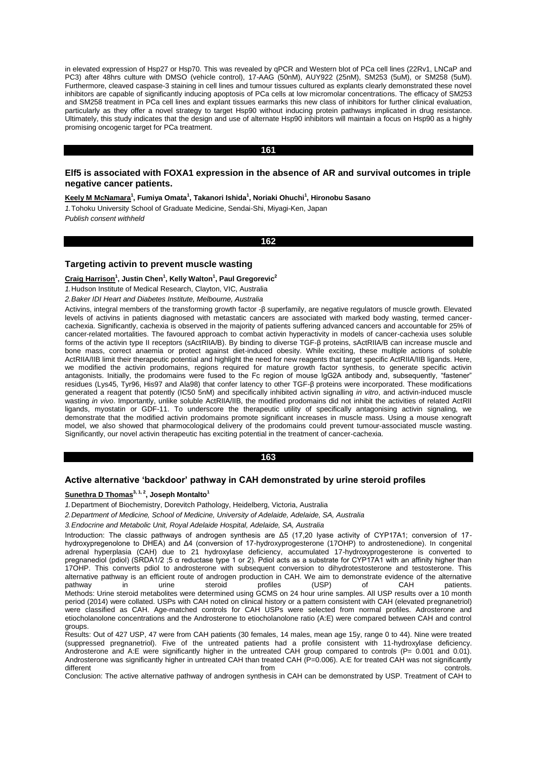in elevated expression of Hsp27 or Hsp70. This was revealed by qPCR and Western blot of PCa cell lines (22Rv1, LNCaP and PC3) after 48hrs culture with DMSO (vehicle control), 17-AAG (50nM), AUY922 (25nM), SM253 (5uM), or SM258 (5uM). Furthermore, cleaved caspase-3 staining in cell lines and tumour tissues cultured as explants clearly demonstrated these novel inhibitors are capable of significantly inducing apoptosis of PCa cells at low micromolar concentrations. The efficacy of SM253 and SM258 treatment in PCa cell lines and explant tissues earmarks this new class of inhibitors for further clinical evaluation, particularly as they offer a novel strategy to target Hsp90 without inducing protein pathways implicated in drug resistance. Ultimately, this study indicates that the design and use of alternate Hsp90 inhibitors will maintain a focus on Hsp90 as a highly promising oncogenic target for PCa treatment.

## **161**

# **Elf5 is associated with FOXA1 expression in the absence of AR and survival outcomes in triple negative cancer patients.**

**Keely M McNamara<sup>1</sup> , Fumiya Omata<sup>1</sup> , Takanori Ishida<sup>1</sup> , Noriaki Ohuchi<sup>1</sup> , Hironobu Sasano**

*1.*Tohoku University School of Graduate Medicine, Sendai-Shi, Miyagi-Ken, Japan *Publish consent withheld*

#### **162**

## **Targeting activin to prevent muscle wasting**

#### **Craig Harrison<sup>1</sup> , Justin Chen<sup>1</sup> , Kelly Walton<sup>1</sup> , Paul Gregorevic<sup>2</sup>**

*1.*Hudson Institute of Medical Research, Clayton, VIC, Australia

#### *2.Baker IDI Heart and Diabetes Institute, Melbourne, Australia*

Activins, integral members of the transforming growth factor -β superfamily, are negative regulators of muscle growth. Elevated levels of activins in patients diagnosed with metastatic cancers are associated with marked body wasting, termed cancercachexia. Significantly, cachexia is observed in the majority of patients suffering advanced cancers and accountable for 25% of cancer-related mortalities. The favoured approach to combat activin hyperactivity in models of cancer-cachexia uses soluble forms of the activin type II receptors (sActRIIA/B). By binding to diverse TGF-β proteins, sActRIIA/B can increase muscle and bone mass, correct anaemia or protect against diet-induced obesity. While exciting, these multiple actions of soluble ActRIIA/IIB limit their therapeutic potential and highlight the need for new reagents that target specific ActRIIA/IIB ligands. Here, we modified the activin prodomains, regions required for mature growth factor synthesis, to generate specific activin antagonists. Initially, the prodomains were fused to the Fc region of mouse IgG2A antibody and, subsequently, "fastener" residues (Lys45, Tyr96, His97 and Ala98) that confer latency to other TGF-β proteins were incorporated. These modifications generated a reagent that potently (IC50 5nM) and specifically inhibited activin signalling *in vitro*, and activin-induced muscle wasting *in vivo*. Importantly, unlike soluble ActRIIA/IIB, the modified prodomains did not inhibit the activities of related ActRII ligands, myostatin or GDF-11. To underscore the therapeutic utility of specifically antagonising activin signaling, we demonstrate that the modified activin prodomains promote significant increases in muscle mass. Using a mouse xenograft model, we also showed that pharmocological delivery of the prodomains could prevent tumour-associated muscle wasting. Significantly, our novel activin therapeutic has exciting potential in the treatment of cancer-cachexia.

### **163**

# **Active alternative 'backdoor' pathway in CAH demonstrated by urine steroid profiles**

# **Sunethra D Thomas3, 1, 2, Joseph Montalto<sup>1</sup>**

*1.*Department of Biochemistry, Dorevitch Pathology, Heidelberg, Victoria, Australia

*2.Department of Medicine, School of Medicine, University of Adelaide, Adelaide, SA, Australia*

*3.Endocrine and Metabolic Unit, Royal Adelaide Hospital, Adelaide, SA, Australia*

Introduction: The classic pathways of androgen synthesis are Δ5 (17,20 lyase activity of CYP17A1; conversion of 17 hydroxypregenolone to DHEA) and Δ4 (conversion of 17-hydroxyprogesterone (17OHP) to androstenedione). In congenital adrenal hyperplasia (CAH) due to 21 hydroxylase deficiency, accumulated 17-hydroxyprogesterone is converted to pregnanediol (pdiol) (SRDA1/2 ;5 α reductase type 1 or 2). Pdiol acts as a substrate for CYP17A1 with an affinity higher than 17OHP. This converts pdiol to androsterone with subsequent conversion to dihydrotestosterone and testosterone. This alternative pathway is an efficient route of androgen production in CAH. We aim to demonstrate evidence of the alternative patients.<br>
pathway in urine steroid profiles (USP) of CAH patients. pathway in urine steroid profiles (USP) of CAH patients. Methods: Urine steroid metabolites were determined using GCMS on 24 hour urine samples. All USP results over a 10 month period (2014) were collated. USPs with CAH noted on clinical history or a pattern consistent with CAH (elevated pregnanetriol) were classified as CAH. Age-matched controls for CAH USPs were selected from normal profiles. Adrosterone and etiocholanolone concentrations and the Androsterone to etiocholanolone ratio (A:E) were compared between CAH and control groups.

Results: Out of 427 USP, 47 were from CAH patients (30 females, 14 males, mean age 15y, range 0 to 44). Nine were treated (suppressed pregnanetriol). Five of the untreated patients had a profile consistent with 11-hydroxylase deficiency. Androsterone and A:E were significantly higher in the untreated CAH group compared to controls ( $P= 0.001$  and 0.01). Androsterone was significantly higher in untreated CAH than treated CAH (P=0.006). A:E for treated CAH was not significantly different and the controls. The controls of the controls of the controls of the controls.

Conclusion: The active alternative pathway of androgen synthesis in CAH can be demonstrated by USP. Treatment of CAH to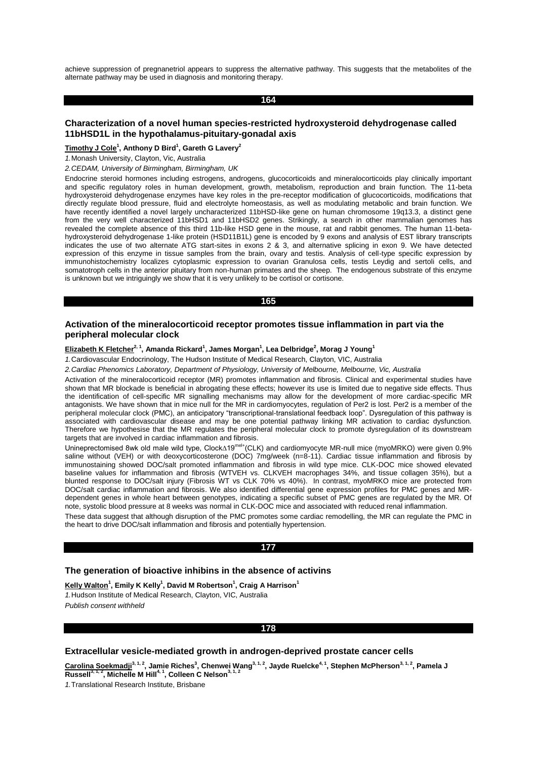achieve suppression of pregnanetriol appears to suppress the alternative pathway. This suggests that the metabolites of the alternate pathway may be used in diagnosis and monitoring therapy.

#### **164**

# **Characterization of a novel human species-restricted hydroxysteroid dehydrogenase called 11bHSD1L in the hypothalamus-pituitary-gonadal axis**

## **Timothy J Cole<sup>1</sup> , Anthony D Bird<sup>1</sup> , Gareth G Lavery<sup>2</sup>**

*1.*Monash University, Clayton, Vic, Australia

*2.CEDAM, University of Birmingham, Birmingham, UK*

Endocrine steroid hormones including estrogens, androgens, glucocorticoids and mineralocorticoids play clinically important and specific regulatory roles in human development, growth, metabolism, reproduction and brain function. The 11-beta hydroxysteroid dehydrogenase enzymes have key roles in the pre-receptor modification of glucocorticoids, modifications that directly regulate blood pressure, fluid and electrolyte homeostasis, as well as modulating metabolic and brain function. We have recently identified a novel largely uncharacterized 11bHSD-like gene on human chromosome 19q13.3, a distinct gene from the very well characterized 11bHSD1 and 11bHSD2 genes. Strikingly, a search in other mammalian genomes has revealed the complete absence of this third 11b-like HSD gene in the mouse, rat and rabbit genomes. The human 11-betahydroxysteroid dehydrogenase 1-like protein (HSD11B1L) gene is encoded by 9 exons and analysis of EST library transcripts indicates the use of two alternate ATG start-sites in exons 2 & 3, and alternative splicing in exon 9. We have detected expression of this enzyme in tissue samples from the brain, ovary and testis. Analysis of cell-type specific expression by immunohistochemistry localizes cytoplasmic expression to ovarian Granulosa cells, testis Leydig and sertoli cells, and somatotroph cells in the anterior pituitary from non-human primates and the sheep. The endogenous substrate of this enzyme is unknown but we intriguingly we show that it is very unlikely to be cortisol or cortisone.

#### **165**

# **Activation of the mineralocorticoid receptor promotes tissue inflammation in part via the peripheral molecular clock**

**Elizabeth K Fletcher2, 1, Amanda Rickard<sup>1</sup> , James Morgan<sup>1</sup> , Lea Delbridge<sup>2</sup> , Morag J Young<sup>1</sup>**

*1.*Cardiovascular Endocrinology, The Hudson Institute of Medical Research, Clayton, VIC, Australia

*2.Cardiac Phenomics Laboratory, Department of Physiology, University of Melbourne, Melbourne, Vic, Australia*

Activation of the mineralocorticoid receptor (MR) promotes inflammation and fibrosis. Clinical and experimental studies have shown that MR blockade is beneficial in abrogating these effects; however its use is limited due to negative side effects. Thus the identification of cell-specific MR signalling mechanisms may allow for the development of more cardiac-specific MR antagonists. We have shown that in mice null for the MR in cardiomyocytes, regulation of Per2 is lost. Per2 is a member of the peripheral molecular clock (PMC), an anticipatory "transcriptional-translational feedback loop". Dysregulation of this pathway is associated with cardiovascular disease and may be one potential pathway linking MR activation to cardiac dysfunction. Therefore we hypothesise that the MR regulates the peripheral molecular clock to promote dysregulation of its downstream targets that are involved in cardiac inflammation and fibrosis.

Unineprectomised 8wk old male wild type, Clock∆19<sup>mel+</sup>(CLK) and cardiomyocyte MR-null mice (myoMRKO) were given 0.9% saline without (VEH) or with deoxycorticosterone (DOC) 7mg/week (n=8-11). Cardiac tissue inflammation and fibrosis by immunostaining showed DOC/salt promoted inflammation and fibrosis in wild type mice. CLK-DOC mice showed elevated baseline values for inflammation and fibrosis (WTVEH vs. CLKVEH macrophages 34%, and tissue collagen 35%), but a blunted response to DOC/salt injury (Fibrosis WT vs CLK 70% vs 40%). In contrast, myoMRKO mice are protected from DOC/salt cardiac inflammation and fibrosis. We also identified differential gene expression profiles for PMC genes and MRdependent genes in whole heart between genotypes, indicating a specific subset of PMC genes are regulated by the MR. Of note, systolic blood pressure at 8 weeks was normal in CLK-DOC mice and associated with reduced renal inflammation.

These data suggest that although disruption of the PMC promotes some cardiac remodelling, the MR can regulate the PMC in the heart to drive DOC/salt inflammation and fibrosis and potentially hypertension.

#### **177**

# **The generation of bioactive inhibins in the absence of activins**

**Kelly Walton<sup>1</sup> , Emily K Kelly<sup>1</sup> , David M Robertson<sup>1</sup> , Craig A Harrison<sup>1</sup>** *1.*Hudson Institute of Medical Research, Clayton, VIC, Australia

*Publish consent withheld* 

## **178**

## **Extracellular vesicle-mediated growth in androgen-deprived prostate cancer cells**

**Carolina Soekmadji3, 1, 2, Jamie Riches<sup>3</sup> , Chenwei Wang3, 1, 2, Jayde Ruelcke4, 1, Stephen McPherson3, 1, 2, Pamela J Russell3, 1, 2, Michelle M Hill4, 1, Colleen C Nelson3, 1, 2**

*1.*Translational Research Institute, Brisbane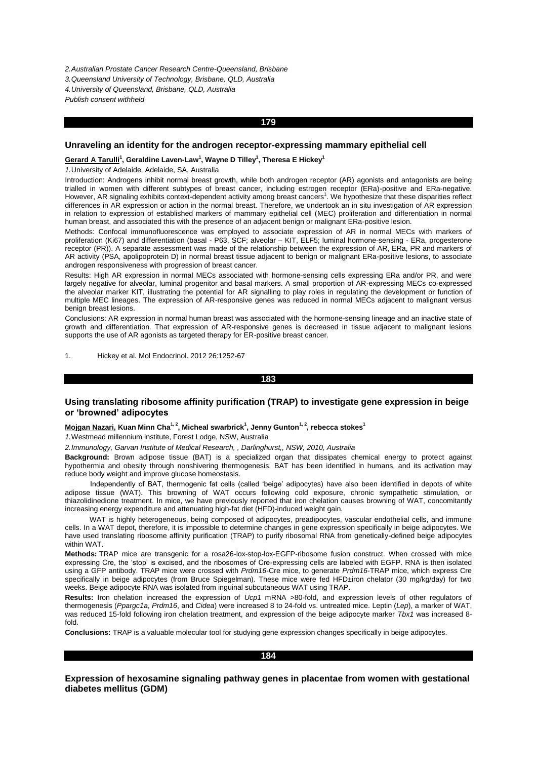*2.Australian Prostate Cancer Research Centre-Queensland, Brisbane*

*3.Queensland University of Technology, Brisbane, QLD, Australia*

*4.University of Queensland, Brisbane, QLD, Australia*

*Publish consent withheld* 

#### **179**

# **Unraveling an identity for the androgen receptor-expressing mammary epithelial cell**

#### $G$ erard A Tarulli<sup>1</sup>, Geraldine Laven-Law<sup>1</sup>, Wayne D Tilley<sup>1</sup>, Theresa E Hickey<sup>1</sup>

*1.*University of Adelaide, Adelaide, SA, Australia

Introduction: Androgens inhibit normal breast growth, while both androgen receptor (AR) agonists and antagonists are being trialled in women with different subtypes of breast cancer, including estrogen receptor (ERa)-positive and ERa-negative.<br>However, AR signaling exhibits context-dependent activity among breast cancers<sup>1</sup>. We hypothesize tha differences in AR expression or action in the normal breast. Therefore, we undertook an in situ investigation of AR expression in relation to expression of established markers of mammary epithelial cell (MEC) proliferation and differentiation in normal human breast, and associated this with the presence of an adjacent benign or malignant ERa-positive lesion.

Methods: Confocal immunofluorescence was employed to associate expression of AR in normal MECs with markers of proliferation (Ki67) and differentiation (basal - P63, SCF; alveolar – KIT, ELF5; luminal hormone-sensing - ERa, progesterone receptor (PR)). A separate assessment was made of the relationship between the expression of AR, ERa, PR and markers of AR activity (PSA, apolipoprotein D) in normal breast tissue adjacent to benign or malignant ERa-positive lesions, to associate androgen responsiveness with progression of breast cancer.

Results: High AR expression in normal MECs associated with hormone-sensing cells expressing ERa and/or PR, and were largely negative for alveolar, luminal progenitor and basal markers. A small proportion of AR-expressing MECs co-expressed the alveolar marker KIT, illustrating the potential for AR signalling to play roles in regulating the development or function of multiple MEC lineages. The expression of AR-responsive genes was reduced in normal MECs adjacent to malignant versus benign breast lesions.

Conclusions: AR expression in normal human breast was associated with the hormone-sensing lineage and an inactive state of growth and differentiation. That expression of AR-responsive genes is decreased in tissue adjacent to malignant lesions supports the use of AR agonists as targeted therapy for ER-positive breast cancer.

#### 1. Hickey et al. Mol Endocrinol. 2012 26:1252-67

## **183**

# **Using translating ribosome affinity purification (TRAP) to investigate gene expression in beige or 'browned' adipocytes**

#### **Mojgan Nazari, Kuan Minn Cha1, 2, Micheal swarbrick<sup>1</sup> , Jenny Gunton1, 2, rebecca stokes<sup>1</sup>**

*1.*Westmead millennium institute, Forest Lodge, NSW, Australia

*2.Immunology, Garvan Institute of Medical Research, , Darlinghurst,, NSW, 2010, Australia* 

**Background:** Brown adipose tissue (BAT) is a specialized organ that dissipates chemical energy to protect against hypothermia and obesity through nonshivering thermogenesis. BAT has been identified in humans, and its activation may reduce body weight and improve glucose homeostasis.

 Independently of BAT, thermogenic fat cells (called 'beige' adipocytes) have also been identified in depots of white adipose tissue (WAT). This browning of WAT occurs following cold exposure, chronic sympathetic stimulation, or thiazolidinedione treatment. In mice, we have previously reported that iron chelation causes browning of WAT, concomitantly increasing energy expenditure and attenuating high-fat diet (HFD)-induced weight gain.

WAT is highly heterogeneous, being composed of adipocytes, preadipocytes, vascular endothelial cells, and immune cells. In a WAT depot, therefore, it is impossible to determine changes in gene expression specifically in beige adipocytes. We have used translating ribosome affinity purification (TRAP) to purify ribosomal RNA from genetically-defined beige adipocytes within WAT.

**Methods:** TRAP mice are transgenic for a rosa26-lox-stop-lox-EGFP-ribosome fusion construct. When crossed with mice expressing Cre, the 'stop' is excised, and the ribosomes of Cre-expressing cells are labeled with EGFP. RNA is then isolated using a GFP antibody. TRAP mice were crossed with *Prdm16*-Cre mice, to generate *Prdm16*-TRAP mice, which express Cre specifically in beige adipocytes (from Bruce Spiegelman). These mice were fed HFD±iron chelator (30 mg/kg/day) for two weeks. Beige adipocyte RNA was isolated from inguinal subcutaneous WAT using TRAP.

**Results:** Iron chelation increased the expression of *Ucp1* mRNA >80-fold, and expression levels of other regulators of thermogenesis (*Ppargc1a*, *Prdm16*, and *Cidea*) were increased 8 to 24-fold vs. untreated mice. Leptin (*Lep*), a marker of WAT, was reduced 15-fold following iron chelation treatment, and expression of the beige adipocyte marker *Tbx1* was increased 8 fold.

**Conclusions:** TRAP is a valuable molecular tool for studying gene expression changes specifically in beige adipocytes.

# **184**

**Expression of hexosamine signaling pathway genes in placentae from women with gestational diabetes mellitus (GDM)**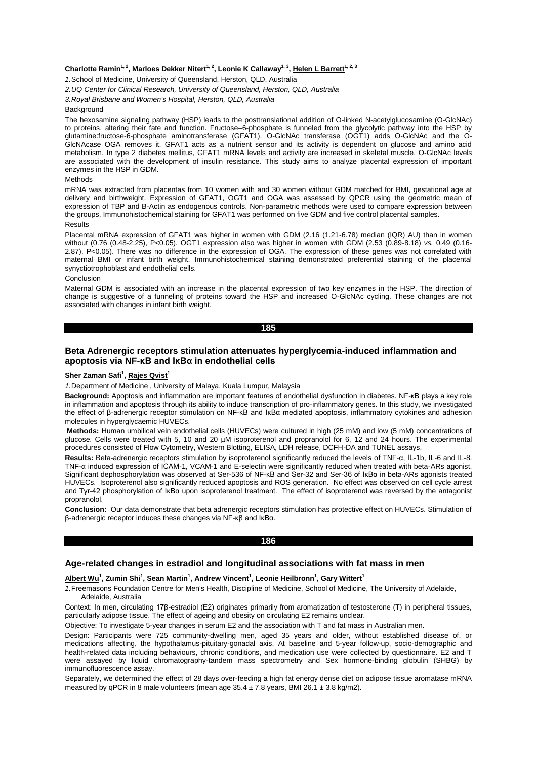#### **Charlotte Ramin1, 2, Marloes Dekker Nitert1, 2, Leonie K Callaway1, 3 , Helen L Barrett1, 2, 3**

*1.*School of Medicine, University of Queensland, Herston, QLD, Australia

*2.UQ Center for Clinical Research, University of Queensland, Herston, QLD, Australia*

*3.Royal Brisbane and Women's Hospital, Herston, QLD, Australia*

## **Background**

The hexosamine signaling pathway (HSP) leads to the posttranslational addition of O-linked N-acetylglucosamine (O-GlcNAc) to proteins, altering their fate and function. Fructose–6-phosphate is funneled from the glycolytic pathway into the HSP by glutamine:fructose-6-phosphate aminotransferase (GFAT1). O-GlcNAc transferase (OGT1) adds O-GlcNAc and the O-GlcNAcase OGA removes it. GFAT1 acts as a nutrient sensor and its activity is dependent on glucose and amino acid metabolism. In type 2 diabetes mellitus, GFAT1 mRNA levels and activity are increased in skeletal muscle. O-GlcNAc levels are associated with the development of insulin resistance. This study aims to analyze placental expression of important enzymes in the HSP in GDM.

#### Methods

mRNA was extracted from placentas from 10 women with and 30 women without GDM matched for BMI, gestational age at delivery and birthweight. Expression of GFAT1, OGT1 and OGA was assessed by QPCR using the geometric mean of expression of TBP and B-Actin as endogenous controls. Non-parametric methods were used to compare expression between the groups. Immunohistochemical staining for GFAT1 was performed on five GDM and five control placental samples. Results

Placental mRNA expression of GFAT1 was higher in women with GDM (2.16 (1.21-6.78) median (IQR) AU) than in women without (0.76 (0.48-2.25), P<0.05). OGT1 expression also was higher in women with GDM (2.53 (0.89-8.18) *vs.* 0.49 (0.16- 2.87), P<0.05). There was no difference in the expression of OGA. The expression of these genes was not correlated with maternal BMI or infant birth weight. Immunohistochemical staining demonstrated preferential staining of the placental synyctiotrophoblast and endothelial cells.

#### Conclusion

Maternal GDM is associated with an increase in the placental expression of two key enzymes in the HSP. The direction of change is suggestive of a funneling of proteins toward the HSP and increased O-GlcNAc cycling. These changes are not associated with changes in infant birth weight.

## **185**

# **Beta Adrenergic receptors stimulation attenuates hyperglycemia-induced inflammation and apoptosis via NF-κB and IκBα in endothelial cells**

#### **Sher Zaman Safi<sup>1</sup> , Rajes Qvist<sup>1</sup>**

*1.*Department of Medicine , University of Malaya, Kuala Lumpur, Malaysia

**Background:** Apoptosis and inflammation are important features of endothelial dysfunction in diabetes. NF-κB plays a key role in inflammation and apoptosis through its ability to induce transcription of pro-inflammatory genes. In this study, we investigated the effect of β-adrenergic receptor stimulation on NF-κB and IκBα mediated apoptosis, inflammatory cytokines and adhesion molecules in hyperglycaemic HUVECs.

**Methods:** Human umbilical vein endothelial cells (HUVECs) were cultured in high (25 mM) and low (5 mM) concentrations of glucose. Cells were treated with 5, 10 and 20 µM isoproterenol and propranolol for 6, 12 and 24 hours. The experimental procedures consisted of Flow Cytometry, Western Blotting, ELISA, LDH release, DCFH-DA and TUNEL assays.

**Results:** Beta-adrenergic receptors stimulation by isoproterenol significantly reduced the levels of TNF-α, IL-1b, IL-6 and IL-8. TNF-α induced expression of ICAM-1, VCAM-1 and E-selectin were significantly reduced when treated with beta-ARs agonist. Significant dephosphorylation was observed at Ser-536 of NF-κB and Ser-32 and Ser-36 of IκBα in beta-ARs agonists treated HUVECs. Isoproterenol also significantly reduced apoptosis and ROS generation. No effect was observed on cell cycle arrest and Tyr-42 phosphorylation of IκBα upon isoproterenol treatment. The effect of isoproterenol was reversed by the antagonist propranolol.

**Conclusion:** Our data demonstrate that beta adrenergic receptors stimulation has protective effect on HUVECs. Stimulation of β-adrenergic receptor induces these changes via NF-κβ and IκBα.

#### **186**

#### **Age-related changes in estradiol and longitudinal associations with fat mass in men**

#### **Albert Wu<sup>1</sup> , Zumin Shi<sup>1</sup> , Sean Martin<sup>1</sup> , Andrew Vincent<sup>1</sup> , Leonie Heilbronn<sup>1</sup> , Gary Wittert<sup>1</sup>**

*1.*Freemasons Foundation Centre for Men's Health, Discipline of Medicine, School of Medicine, The University of Adelaide, Adelaide, Australia

Context: In men, circulating 17β-estradiol (E2) originates primarily from aromatization of testosterone (T) in peripheral tissues, particularly adipose tissue. The effect of ageing and obesity on circulating E2 remains unclear.

Objective: To investigate 5-year changes in serum E2 and the association with T and fat mass in Australian men.

Design: Participants were 725 community-dwelling men, aged 35 years and older, without established disease of, or medications affecting, the hypothalamus-pituitary-gonadal axis. At baseline and 5-year follow-up, socio-demographic and health-related data including behaviours, chronic conditions, and medication use were collected by questionnaire. E2 and T were assayed by liquid chromatography-tandem mass spectrometry and Sex hormone-binding globulin (SHBG) by immunofluorescence assay.

Separately, we determined the effect of 28 days over-feeding a high fat energy dense diet on adipose tissue aromatase mRNA measured by qPCR in 8 male volunteers (mean age  $35.4 \pm 7.8$  years, BMI 26.1  $\pm$  3.8 kg/m2).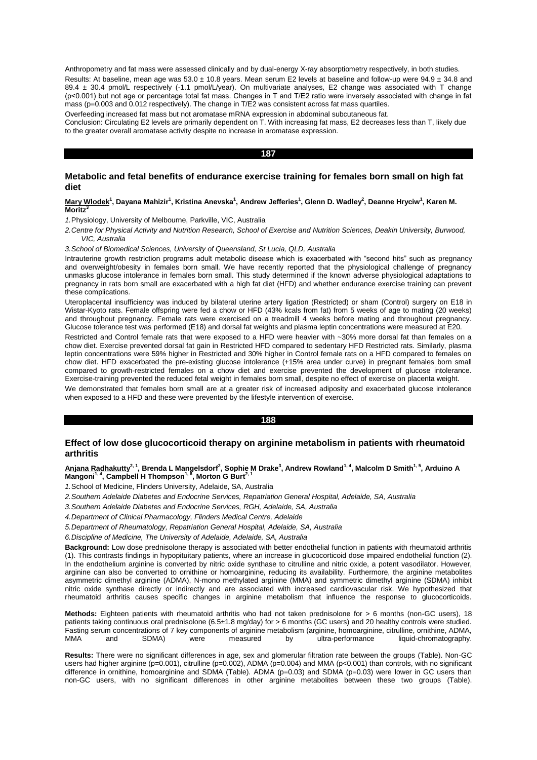Anthropometry and fat mass were assessed clinically and by dual-energy X-ray absorptiometry respectively, in both studies. Results: At baseline, mean age was  $53.0 \pm 10.8$  years. Mean serum E2 levels at baseline and follow-up were  $94.9 \pm 34.8$  and 89.4 ± 30.4 pmol/L respectively (-1.1 pmol/L/year). On multivariate analyses, E2 change was associated with T change (p˂0.001) but not age or percentage total fat mass. Changes in T and T/E2 ratio were inversely associated with change in fat mass ( $p=0.003$  and  $0.012$  respectively). The change in T/E2 was consistent across fat mass quartiles.

Overfeeding increased fat mass but not aromatase mRNA expression in abdominal subcutaneous fat.

Conclusion: Circulating E2 levels are primarily dependent on T. With increasing fat mass, E2 decreases less than T, likely due to the greater overall aromatase activity despite no increase in aromatase expression.

### **187**

# **Metabolic and fetal benefits of endurance exercise training for females born small on high fat diet**

### **Mary Wlodek<sup>1</sup> , Dayana Mahizir<sup>1</sup> , Kristina Anevska<sup>1</sup> , Andrew Jefferies<sup>1</sup> , Glenn D. Wadley<sup>2</sup> , Deanne Hryciw<sup>1</sup> , Karen M. Moritz<sup>3</sup>**

*1.*Physiology, University of Melbourne, Parkville, VIC, Australia

*2.Centre for Physical Activity and Nutrition Research, School of Exercise and Nutrition Sciences, Deakin University, Burwood, VIC, Australia*

*3.School of Biomedical Sciences, University of Queensland, St Lucia, QLD, Australia*

Intrauterine growth restriction programs adult metabolic disease which is exacerbated with "second hits" such as pregnancy and overweight/obesity in females born small. We have recently reported that the physiological challenge of pregnancy unmasks glucose intolerance in females born small. This study determined if the known adverse physiological adaptations to pregnancy in rats born small are exacerbated with a high fat diet (HFD) and whether endurance exercise training can prevent these complications.

Uteroplacental insufficiency was induced by bilateral uterine artery ligation (Restricted) or sham (Control) surgery on E18 in Wistar-Kyoto rats. Female offspring were fed a chow or HFD (43% kcals from fat) from 5 weeks of age to mating (20 weeks) and throughout pregnancy. Female rats were exercised on a treadmill 4 weeks before mating and throughout pregnancy. Glucose tolerance test was performed (E18) and dorsal fat weights and plasma leptin concentrations were measured at E20.

Restricted and Control female rats that were exposed to a HFD were heavier with ~30% more dorsal fat than females on a chow diet. Exercise prevented dorsal fat gain in Restricted HFD compared to sedentary HFD Restricted rats. Similarly, plasma leptin concentrations were 59% higher in Restricted and 30% higher in Control female rats on a HFD compared to females on chow diet. HFD exacerbated the pre-existing glucose intolerance (+15% area under curve) in pregnant females born small compared to growth-restricted females on a chow diet and exercise prevented the development of glucose intolerance. Exercise-training prevented the reduced fetal weight in females born small, despite no effect of exercise on placenta weight.

We demonstrated that females born small are at a greater risk of increased adiposity and exacerbated glucose intolerance when exposed to a HFD and these were prevented by the lifestyle intervention of exercise.

#### **188**

# **Effect of low dose glucocorticoid therapy on arginine metabolism in patients with rheumatoid arthritis**

## **Anjana Radhakutty2, 1, Brenda L Mangelsdorf<sup>2</sup> , Sophie M Drake<sup>3</sup> , Andrew Rowland1, 4, Malcolm D Smith1, 5, Arduino A Mangoni1, 4, Campbell H Thompson1, 6, Morton G Burt2, 1**

*1.*School of Medicine, Flinders University, Adelaide, SA, Australia

- *2.Southern Adelaide Diabetes and Endocrine Services, Repatriation General Hospital, Adelaide, SA, Australia*
- *3.Southern Adelaide Diabetes and Endocrine Services, RGH, Adelaide, SA, Australia*
- *4.Department of Clinical Pharmacology, Flinders Medical Centre, Adelaide*
- *5.Department of Rheumatology, Repatriation General Hospital, Adelaide, SA, Australia*
- *6.Discipline of Medicine, The University of Adelaide, Adelaide, SA, Australia*

**Background:** Low dose prednisolone therapy is associated with better endothelial function in patients with rheumatoid arthritis (1). This contrasts findings in hypopituitary patients, where an increase in glucocorticoid dose impaired endothelial function (2). In the endothelium arginine is converted by nitric oxide synthase to citrulline and nitric oxide, a potent vasodilator. However, arginine can also be converted to ornithine or homoarginine, reducing its availability. Furthermore, the arginine metabolites asymmetric dimethyl arginine (ADMA), N-mono methylated arginine (MMA) and symmetric dimethyl arginine (SDMA) inhibit nitric oxide synthase directly or indirectly and are associated with increased cardiovascular risk. We hypothesized that rheumatoid arthritis causes specific changes in arginine metabolism that influence the response to glucocorticoids.

**Methods:** Eighteen patients with rheumatoid arthritis who had not taken prednisolone for > 6 months (non-GC users), 18 patients taking continuous oral prednisolone (6.5±1.8 mg/day) for > 6 months (GC users) and 20 healthy controls were studied. Fasting serum concentrations of 7 key components of arginine metabolism (arginine, homoarginine, citrulline, ornithine, ADMA,<br>MMA and SDMA) were measured by ultra-performance liquid-chromatography. by ultra-performance liquid-chromatography.

**Results:** There were no significant differences in age, sex and glomerular filtration rate between the groups (Table). Non-GC users had higher arginine ( $p=0.001$ ), citrulline ( $p=0.002$ ), ADMA ( $p=0.004$ ) and MMA ( $p<0.001$ ) than controls, with no significant difference in ornithine, homoarginine and SDMA (Table). ADMA (p=0.03) and SDMA (p=0.03) were lower in GC users than non-GC users, with no significant differences in other arginine metabolites between these two groups (Table).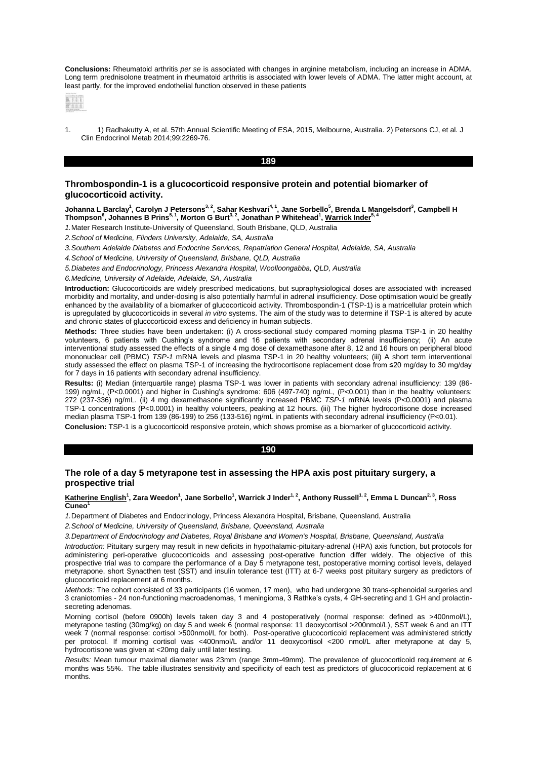**Conclusions:** Rheumatoid arthritis *per se* is associated with changes in arginine metabolism, including an increase in ADMA. Long term prednisolone treatment in rheumatoid arthritis is associated with lower levels of ADMA. The latter might account, at least partly, for the improved endothelial function observed in these patients



1. 1) Radhakutty A, et al. 57th Annual Scientific Meeting of ESA, 2015, Melbourne, Australia. 2) Petersons CJ, et al. J Clin Endocrinol Metab 2014;99:2269-76.

### **189**

# **Thrombospondin-1 is a glucocorticoid responsive protein and potential biomarker of glucocorticoid activity.**

Johanna L Barclay<sup>1</sup>, Carolyn J Petersons<sup>3, 2</sup>, Sahar Keshvari<sup>4, 1</sup>, Jane Sorbello<sup>5</sup>, Brenda L Mangelsdorf<sup>3</sup>, Campbell H<br>Thompson<sup>6</sup>, Johannes B Prins<sup>5, 1</sup>, Morton G Burt<sup>3, 2</sup>, Jonathan P Whitehead<sup>1</sup>, <u>Warrick Inder</u>

*1.*Mater Research Institute-University of Queensland, South Brisbane, QLD, Australia

*2.School of Medicine, Flinders University, Adelaide, SA, Australia*

*3.Southern Adelaide Diabetes and Endocrine Services, Repatriation General Hospital, Adelaide, SA, Australia*

*4.School of Medicine, University of Queensland, Brisbane, QLD, Australia*

*5.Diabetes and Endocrinology, Princess Alexandra Hospital, Woolloongabba, QLD, Australia*

*6.Medicine, University of Adelaide, Adelaide, SA, Australia*

**Introduction:** Glucocorticoids are widely prescribed medications, but supraphysiological doses are associated with increased morbidity and mortality, and under-dosing is also potentially harmful in adrenal insufficiency. Dose optimisation would be greatly enhanced by the availability of a biomarker of glucocorticoid activity. Thrombospondin-1 (TSP-1) is a matricellular protein which is upregulated by glucocorticoids in several *in vitro* systems. The aim of the study was to determine if TSP-1 is altered by acute and chronic states of glucocorticoid excess and deficiency in human subjects.

**Methods:** Three studies have been undertaken: (i) A cross-sectional study compared morning plasma TSP-1 in 20 healthy volunteers. 6 patients with Cushing's syndrome and 16 patients with secondary adrenal insufficiency; (ii) An acute interventional study assessed the effects of a single 4 mg dose of dexamethasone after 8, 12 and 16 hours on peripheral blood mononuclear cell (PBMC) *TSP-1* mRNA levels and plasma TSP-1 in 20 healthy volunteers; (iii) A short term interventional study assessed the effect on plasma TSP-1 of increasing the hydrocortisone replacement dose from ≤20 mg/day to 30 mg/day for 7 days in 16 patients with secondary adrenal insufficiency.

Results: (i) Median (interquartile range) plasma TSP-1 was lower in patients with secondary adrenal insufficiency: 139 (86-199) ng/mL, (P<0.0001) and higher in Cushing's syndrome: 606 (497-740) ng/mL, (P<0.001) than in the healthy volunteers: 272 (237-336) ng/mL. (ii) 4 mg dexamethasone significantly increased PBMC *TSP-1* mRNA levels (P<0.0001) and plasma TSP-1 concentrations (P<0.0001) in healthy volunteers, peaking at 12 hours. (iii) The higher hydrocortisone dose increased median plasma TSP-1 from 139 (86-199) to 256 (133-516) ng/mL in patients with secondary adrenal insufficiency (P<0.01).

**Conclusion:** TSP-1 is a glucocorticoid responsive protein, which shows promise as a biomarker of glucocorticoid activity.

## **190**

# **The role of a day 5 metyrapone test in assessing the HPA axis post pituitary surgery, a prospective trial**

#### **Katherine English<sup>1</sup> , Zara Weedon<sup>1</sup> , Jane Sorbello<sup>1</sup> , Warrick J Inder1, 2, Anthony Russell1, <sup>2</sup> , Emma L Duncan2, 3, Ross**  Cuneo<sup>1</sup>

*1.*Department of Diabetes and Endocrinology, Princess Alexandra Hospital, Brisbane, Queensland, Australia

*2.School of Medicine, University of Queensland, Brisbane, Queensland, Australia*

*3.Department of Endocrinology and Diabetes, Royal Brisbane and Women's Hospital, Brisbane, Queensland, Australia*

*Introduction:* Pituitary surgery may result in new deficits in hypothalamic-pituitary-adrenal (HPA) axis function, but protocols for administering peri-operative glucocorticoids and assessing post-operative function differ widely. The objective of this prospective trial was to compare the performance of a Day 5 metyrapone test, postoperative morning cortisol levels, delayed metyrapone, short Synacthen test (SST) and insulin tolerance test (ITT) at 6-7 weeks post pituitary surgery as predictors of glucocorticoid replacement at 6 months.

*Methods:* The cohort consisted of 33 participants (16 women, 17 men), who had undergone 30 trans-sphenoidal surgeries and 3 craniotomies - 24 non-functioning macroadenomas, 1 meningioma, 3 Rathke's cysts, 4 GH-secreting and 1 GH and prolactinsecreting adenomas.

Morning cortisol (before 0900h) levels taken day 3 and 4 postoperatively (normal response: defined as >400nmol/L), metyrapone testing (30mg/kg) on day 5 and week 6 (normal response: 11 deoxycortisol >200nmol/L), SST week 6 and an ITT week 7 (normal response: cortisol >500nmol/L for both). Post-operative glucocorticoid replacement was administered strictly per protocol. If morning cortisol was <400nmol/L and/or 11 deoxycortisol <200 nmol/L after metyrapone at day 5, hydrocortisone was given at <20mg daily until later testing.

*Results:* Mean tumour maximal diameter was 23mm (range 3mm-49mm). The prevalence of glucocorticoid requirement at 6 months was 55%. The table illustrates sensitivity and specificity of each test as predictors of glucocorticoid replacement at 6 months.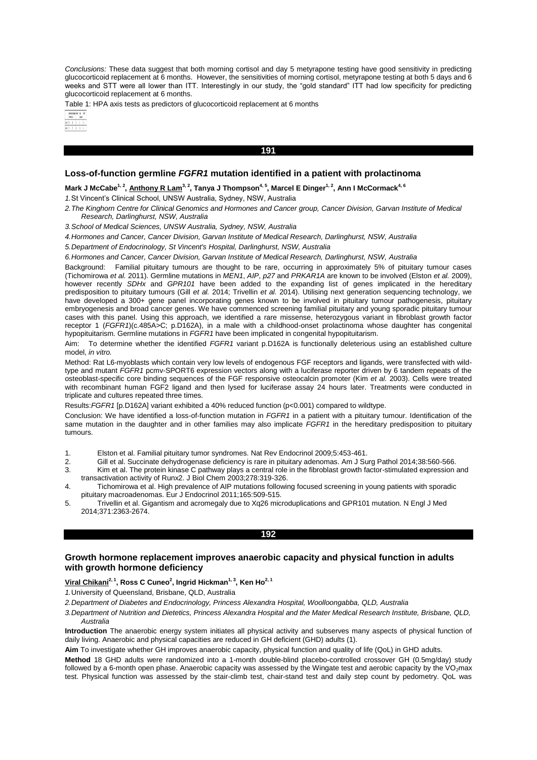*Conclusions:* These data suggest that both morning cortisol and day 5 metyrapone testing have good sensitivity in predicting glucocorticoid replacement at 6 months. However, the sensitivities of morning cortisol, metyrapone testing at both 5 days and 6 weeks and STT were all lower than ITT. Interestingly in our study, the "gold standard" ITT had low specificity for predicting glucocorticoid replacement at 6 months.

**191** 

Table 1: HPA axis tests as predictors of glucocorticoid replacement at 6 months

# **Loss-of-function germline** *FGFR1* **mutation identified in a patient with prolactinoma**

 $\mathsf{Mark\ J\ McCabe}^{1,2}, \underline{\text{Anthony R}\ Lam^3,^2},$  Tanya J Thompson<sup>4, 5</sup>, Marcel E Dinger<sup>1, 2</sup>, Ann I McCormack<sup>4, 6</sup>

### *1.*St Vincent's Clinical School, UNSW Australia, Sydney, NSW, Australia

*2.The Kinghorn Centre for Clinical Genomics and Hormones and Cancer group, Cancer Division, Garvan Institute of Medical Research, Darlinghurst, NSW, Australia*

*3.School of Medical Sciences, UNSW Australia, Sydney, NSW, Australia*

*4.Hormones and Cancer, Cancer Division, Garvan Institute of Medical Research, Darlinghurst, NSW, Australia*

*5.Department of Endocrinology, St Vincent's Hospital, Darlinghurst, NSW, Australia*

*6.Hormones and Cancer, Cancer Division, Garvan Institute of Medical Research, Darlinghurst, NSW, Australia*

Background: Familial pituitary tumours are thought to be rare, occurring in approximately 5% of pituitary tumour cases (Tichomirowa *et al.* 2011). Germline mutations in *MEN1*, *AIP*, *p27* and *PRKAR1A* are known to be involved (Elston *et al.* 2009), however recently *SDHx* and *GPR101* have been added to the expanding list of genes implicated in the hereditary predisposition to pituitary tumours (Gill *et al.* 2014; Trivellin *et al.* 2014). Utilising next generation sequencing technology, we have developed a 300+ gene panel incorporating genes known to be involved in pituitary tumour pathogenesis, pituitary embryogenesis and broad cancer genes. We have commenced screening familial pituitary and young sporadic pituitary tumour cases with this panel. Using this approach, we identified a rare missense, heterozygous variant in fibroblast growth factor receptor 1 (*FGFR1*)(c.485A>C; p.D162A), in a male with a childhood-onset prolactinoma whose daughter has congenital hypopituitarism. Germline mutations in *FGFR1* have been implicated in congenital hypopituitarism.

Aim: To determine whether the identified *FGFR1* variant p.D162A is functionally deleterious using an established culture model, *in vitro.*

Method: Rat L6-myoblasts which contain very low levels of endogenous FGF receptors and ligands, were transfected with wildtype and mutant *FGFR1* pcmv-SPORT6 expression vectors along with a luciferase reporter driven by 6 tandem repeats of the osteoblast-specific core binding sequences of the FGF responsive osteocalcin promoter (Kim *et al.* 2003). Cells were treated with recombinant human FGF2 ligand and then lysed for luciferase assay 24 hours later. Treatments were conducted in triplicate and cultures repeated three times.

Results:*FGFR1* [p.D162A] variant exhibited a 40% reduced function (p<0.001) compared to wildtype.

Conclusion: We have identified a loss-of-function mutation in *FGFR1* in a patient with a pituitary tumour. Identification of the same mutation in the daughter and in other families may also implicate *FGFR1* in the hereditary predisposition to pituitary tumours.

1. Elston et al. Familial pituitary tumor syndromes. Nat Rev Endocrinol 2009;5:453-461.

- 2. Gill et al. Succinate dehydrogenase deficiency is rare in pituitary adenomas. Am J Surg Pathol 2014;38:560-566.
- 3. Kim et al. The protein kinase C pathway plays a central role in the fibroblast growth factor-stimulated expression and transactivation activity of Runx2. J Biol Chem 2003;278:319-326.
- 4. Tichomirowa et al. High prevalence of AIP mutations following focused screening in young patients with sporadic pituitary macroadenomas. Eur J Endocrinol 2011;165:509-515.
- 5. Trivellin et al. Gigantism and acromegaly due to Xq26 microduplications and GPR101 mutation. N Engl J Med 2014;371:2363-2674.

# **192**

# **Growth hormone replacement improves anaerobic capacity and physical function in adults with growth hormone deficiency**

**Viral Chikani2, 1, Ross C Cuneo<sup>2</sup> , Ingrid Hickman1, 3, Ken Ho2, 1**

*1.*University of Queensland, Brisbane, QLD, Australia

*2.Department of Diabetes and Endocrinology, Princess Alexandra Hospital, Woolloongabba, QLD, Australia*

*3.Department of Nutrition and Dietetics, Princess Alexandra Hospital and the Mater Medical Research Institute, Brisbane, QLD, Australia*

**Introduction** The anaerobic energy system initiates all physical activity and subserves many aspects of physical function of daily living. Anaerobic and physical capacities are reduced in GH deficient (GHD) adults (1).

**Aim** To investigate whether GH improves anaerobic capacity, physical function and quality of life (QoL) in GHD adults.

**Method** 18 GHD adults were randomized into a 1-month double-blind placebo-controlled crossover GH (0.5mg/day) study followed by a 6-month open phase. Anaerobic capacity was assessed by the Wingate test and aerobic capacity by the  $VO<sub>2</sub>max$ test. Physical function was assessed by the stair-climb test, chair-stand test and daily step count by pedometry. QoL was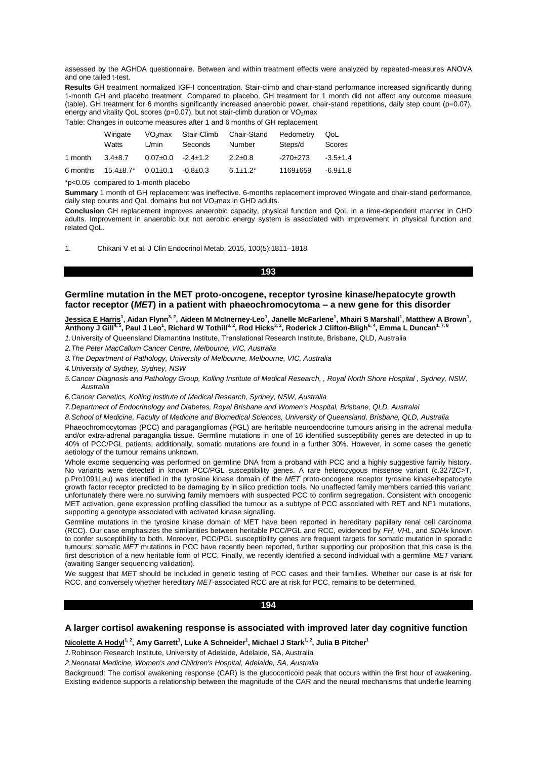assessed by the AGHDA questionnaire. Between and within treatment effects were analyzed by repeated-measures ANOVA and one tailed t-test.

**Results** GH treatment normalized IGF-I concentration. Stair-climb and chair-stand performance increased significantly during 1-month GH and placebo treatment. Compared to placebo, GH treatment for 1 month did not affect any outcome measure (table). GH treatment for 6 months significantly increased anaerobic power, chair-stand repetitions, daily step count (p=0.07), energy and vitality QoL scores (p=0.07), but not stair-climb duration or VO<sub>2</sub>max Table: Changes in outcome measures after 1 and 6 months of GH replacement

|          | Wingate<br>Watts                         | VO <sub>2</sub> max<br>L/min | Stair-Climb<br>Seconds | Chair-Stand<br>Number | Pedometry<br>Steps/d | QoL.<br>Scores |
|----------|------------------------------------------|------------------------------|------------------------|-----------------------|----------------------|----------------|
| 1 month  | $3.4\pm8.7$                              | $0.07 \pm 0.0$               | $-2.4 \pm 1.2$         | $2.2 \pm 0.8$         | $-270+273$           | $-3.5 \pm 1.4$ |
| 6 months | $15.4\pm8.7$ * $0.01\pm0.1$ $-0.8\pm0.3$ |                              |                        | $6.1 \pm 1.2^*$       | 1169±659             | $-6.9 \pm 1.8$ |

\*p<0.05 compared to 1-month placebo

**Summary** 1 month of GH replacement was ineffective. 6-months replacement improved Wingate and chair-stand performance, daily step counts and QoL domains but not VO<sub>2</sub>max in GHD adults.

**Conclusion** GH replacement improves anaerobic capacity, physical function and QoL in a time-dependent manner in GHD adults. Improvement in anaerobic but not aerobic energy system is associated with improvement in physical function and related QoL.

1. Chikani V et al. J Clin Endocrinol Metab, 2015, 100(5):1811–1818

#### **193**

## **Germline mutation in the MET proto-oncogene, receptor tyrosine kinase/hepatocyte growth factor receptor (***MET***) in a patient with phaeochromocytoma – a new gene for this disorder**

<u>Jessica E Harris</u><sup>1</sup>, Aidan Flynn<sup>3, 2</sup>, Aideen M McInerney-Leo<sup>1</sup>, Janelle McFarlene<sup>1</sup>, Mhairi S Marshall<sup>1</sup>, Matthew A Brown<sup>1</sup>,<br>Anthony J Gill<sup>4, 5</sup>, Paul J Leo<sup>1</sup>, Richard W Tothill<sup>3, 2</sup>, Rod Hicks<sup>3, 2</sup>, Roderick J

*1.*University of Queensland Diamantina Institute, Translational Research Institute, Brisbane, QLD, Australia

*2.The Peter MacCallum Cancer Centre, Melbourne, VIC, Australia*

*3.The Department of Pathology, University of Melbourne, Melbourne, VIC, Australia*

*4.University of Sydney, Sydney, NSW*

*5.Cancer Diagnosis and Pathology Group, Kolling Institute of Medical Research, , Royal North Shore Hospital , Sydney, NSW, Australia*

*6.Cancer Genetics, Kolling Institute of Medical Research, Sydney, NSW, Australia*

*7.Department of Endocrinology and Diabetes, Royal Brisbane and Women's Hospital, Brisbane, QLD, Australai*

*8.School of Medicine, Faculty of Medicine and Biomedical Sciences, University of Queensland, Brisbane, QLD, Australia*

Phaeochromocytomas (PCC) and paragangliomas (PGL) are heritable neuroendocrine tumours arising in the adrenal medulla and/or extra-adrenal paraganglia tissue. Germline mutations in one of 16 identified susceptibility genes are detected in up to 40% of PCC/PGL patients; additionally, somatic mutations are found in a further 30%. However, in some cases the genetic aetiology of the tumour remains unknown.

Whole exome sequencing was performed on germline DNA from a proband with PCC and a highly suggestive family history. No variants were detected in known PCC/PGL susceptibility genes. A rare heterozygous missense variant (c.3272C>T, p.Pro1091Leu) was identified in the tyrosine kinase domain of the *MET* proto-oncogene receptor tyrosine kinase/hepatocyte growth factor receptor predicted to be damaging by in silico prediction tools. No unaffected family members carried this variant; unfortunately there were no surviving family members with suspected PCC to confirm segregation. Consistent with oncogenic MET activation, gene expression profiling classified the tumour as a subtype of PCC associated with RET and NF1 mutations, supporting a genotype associated with activated kinase signalling.

Germline mutations in the tyrosine kinase domain of MET have been reported in hereditary papillary renal cell carcinoma (RCC). Our case emphasizes the similarities between heritable PCC/PGL and RCC, evidenced by *FH*, *VHL*, and *SDHx* known to confer susceptibility to both. Moreover, PCC/PGL susceptibility genes are frequent targets for somatic mutation in sporadic tumours: somatic *MET* mutations in PCC have recently been reported, further supporting our proposition that this case is the first description of a new heritable form of PCC. Finally, we recently identified a second individual with a germline *MET* variant (awaiting Sanger sequencing validation).

We suggest that MET should be included in genetic testing of PCC cases and their families. Whether our case is at risk for RCC, and conversely whether hereditary *MET*-associated RCC are at risk for PCC, remains to be determined.

## **194**

## **A larger cortisol awakening response is associated with improved later day cognitive function**

#### **Nicolette A Hodyl1, 2, Amy Garrett<sup>1</sup> , Luke A Schneider<sup>1</sup> , Michael J Stark1, 2, Julia B Pitcher<sup>1</sup>**

*1.*Robinson Research Institute, University of Adelaide, Adelaide, SA, Australia

*2.Neonatal Medicine, Women's and Children's Hospital, Adelaide, SA, Australia*

Background: The cortisol awakening response (CAR) is the glucocorticoid peak that occurs within the first hour of awakening. Existing evidence supports a relationship between the magnitude of the CAR and the neural mechanisms that underlie learning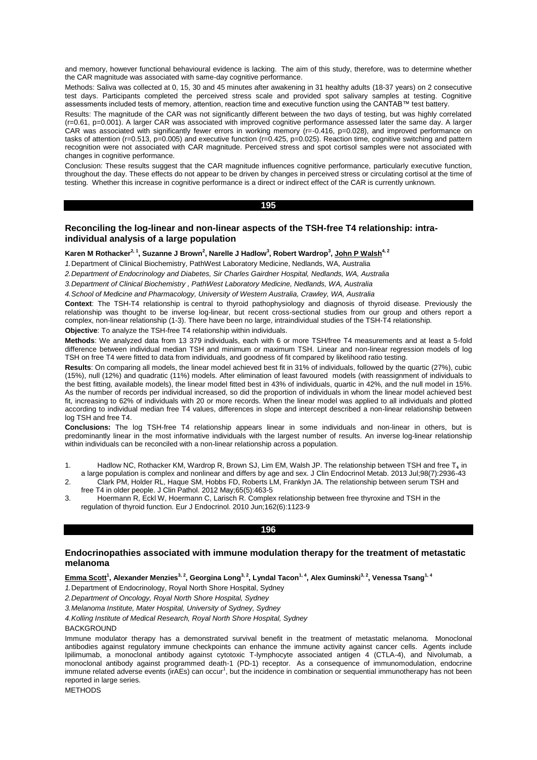and memory, however functional behavioural evidence is lacking. The aim of this study, therefore, was to determine whether the CAR magnitude was associated with same-day cognitive performance.

Methods: Saliva was collected at 0, 15, 30 and 45 minutes after awakening in 31 healthy adults (18-37 years) on 2 consecutive test days. Participants completed the perceived stress scale and provided spot salivary samples at testing. Cognitive assessments included tests of memory, attention, reaction time and executive function using the CANTAB™ test battery.

Results: The magnitude of the CAR was not significantly different between the two days of testing, but was highly correlated (r=0.61, p=0.001). A larger CAR was associated with improved cognitive performance assessed later the same day. A larger CAR was associated with significantly fewer errors in working memory (r=-0.416, p=0.028), and improved performance on tasks of attention (r=0.513, p=0.005) and executive function (r=0.425, p=0.025). Reaction time, cognitive switching and pattern recognition were not associated with CAR magnitude. Perceived stress and spot cortisol samples were not associated with changes in cognitive performance.

Conclusion: These results suggest that the CAR magnitude influences cognitive performance, particularly executive function, throughout the day. These effects do not appear to be driven by changes in perceived stress or circulating cortisol at the time of testing. Whether this increase in cognitive performance is a direct or indirect effect of the CAR is currently unknown.

**195** 

# **Reconciling the log-linear and non-linear aspects of the TSH-free T4 relationship: intraindividual analysis of a large population**

## **Karen M Rothacker2, 1, Suzanne J Brown<sup>2</sup> , Narelle J Hadlow<sup>3</sup> , Robert Wardrop<sup>3</sup> , John P Walsh4, 2**

*1.*Department of Clinical Biochemistry, PathWest Laboratory Medicine, Nedlands, WA, Australia

*2.Department of Endocrinology and Diabetes, Sir Charles Gairdner Hospital, Nedlands, WA, Australia*

*3.Department of Clinical Biochemistry , PathWest Laboratory Medicine, Nedlands, WA, Australia*

*4.School of Medicine and Pharmacology, University of Western Australia, Crawley, WA, Australia*

**Context**: The TSH-T4 relationship is central to thyroid pathophysiology and diagnosis of thyroid disease. Previously the relationship was thought to be inverse log-linear, but recent cross-sectional studies from our group and others report a complex, non-linear relationship (1-3). There have been no large, intraindividual studies of the TSH-T4 relationship. **Objective**: To analyze the TSH-free T4 relationship within individuals.

**Methods**: We analyzed data from 13 379 individuals, each with 6 or more TSH/free T4 measurements and at least a 5-fold difference between individual median TSH and minimum or maximum TSH. Linear and non-linear regression models of log TSH on free T4 were fitted to data from individuals, and goodness of fit compared by likelihood ratio testing.

**Results**: On comparing all models, the linear model achieved best fit in 31% of individuals, followed by the quartic (27%), cubic (15%), null (12%) and quadratic (11%) models. After elimination of least favoured models (with reassignment of individuals to the best fitting, available models), the linear model fitted best in 43% of individuals, quartic in 42%, and the null model in 15%. As the number of records per individual increased, so did the proportion of individuals in whom the linear model achieved best fit, increasing to 62% of individuals with 20 or more records. When the linear model was applied to all individuals and plotted according to individual median free T4 values, differences in slope and intercept described a non-linear relationship between log TSH and free T4.

**Conclusions:** The log TSH-free T4 relationship appears linear in some individuals and non-linear in others, but is predominantly linear in the most informative individuals with the largest number of results. An inverse log-linear relationship within individuals can be reconciled with a non-linear relationship across a population.

- 1. Hadlow NC, Rothacker KM, Wardrop R, Brown SJ, Lim EM, Walsh JP. The relationship between TSH and free  $T_4$  in a large population is complex and nonlinear and differs by age and sex. J Clin Endocrinol Metab. 2013 Jul;98(7):2936-43
- 2. Clark PM, Holder RL, Haque SM, Hobbs FD, Roberts LM, Franklyn JA. The relationship between serum TSH and free T4 in older people. J Clin Pathol. 2012 May;65(5):463-5
- 3. Hoermann R, Eckl W, Hoermann C, Larisch R. Complex relationship between free thyroxine and TSH in the regulation of thyroid function. Eur J Endocrinol. 2010 Jun;162(6):1123-9

### **196**

# **Endocrinopathies associated with immune modulation therapy for the treatment of metastatic melanoma**

**Emma Scott<sup>1</sup> , Alexander Menzies3, 2, Georgina Long3, 2, Lyndal Tacon1, 4, Alex Guminski3, 2, Venessa Tsang1, 4**

*1.*Department of Endocrinology, Royal North Shore Hospital, Sydney

*2.Department of Oncology, Royal North Shore Hospital, Sydney*

*3.Melanoma Institute, Mater Hospital, University of Sydney, Sydney*

*4.Kolling Institute of Medical Research, Royal North Shore Hospital, Sydney*

### BACKGROUND

Immune modulator therapy has a demonstrated survival benefit in the treatment of metastatic melanoma. Monoclonal antibodies against regulatory immune checkpoints can enhance the immune activity against cancer cells. Agents include Ipilimumab, a monoclonal antibody against cytotoxic T-lymphocyte associated antigen 4 (CTLA-4), and Nivolumab, a monoclonal antibody against programmed death-1 (PD-1) receptor. As a consequence of immunomodulation, endocrine immune related adverse events (irAEs) can occur<sup>1</sup>, but the incidence in combination or sequential immunotherapy has not been reported in large series.

**METHODS**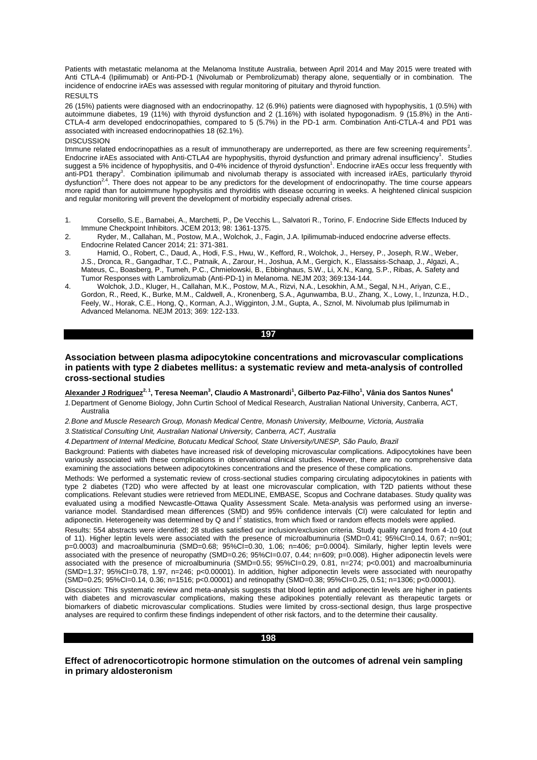Patients with metastatic melanoma at the Melanoma Institute Australia, between April 2014 and May 2015 were treated with Anti CTLA-4 (Ipilimumab) or Anti-PD-1 (Nivolumab or Pembrolizumab) therapy alone, sequentially or in combination. The incidence of endocrine irAEs was assessed with regular monitoring of pituitary and thyroid function. **RESULTS** 

26 (15%) patients were diagnosed with an endocrinopathy. 12 (6.9%) patients were diagnosed with hypophysitis, 1 (0.5%) with autoimmune diabetes, 19 (11%) with thyroid dysfunction and 2 (1.16%) with isolated hypogonadism. 9 (15.8%) in the Anti-CTLA-4 arm developed endocrinopathies, compared to 5 (5.7%) in the PD-1 arm. Combination Anti-CTLA-4 and PD1 was associated with increased endocrinopathies 18 (62.1%).

#### **DISCUSSION**

Immune related endocrinopathies as a result of immunotherapy are underreported, as there are few screening requirements<sup>2</sup>. Endocrine irAEs associated with Anti-CTLA4 are hypophysitis, thyroid dysfunction and primary adrenal insufficiency<sup>1</sup>. Studies<br>suggest a 5% incidence of hypophysitis, and 0-4% incidence of thyroid dysfunction<sup>1</sup>. Endocrine anti-PD1 therapy<sup>3</sup>. Combination ipilimumab and nivolumab therapy is associated with increased irAEs, particularly thyroid dysfunction<sup>2,4</sup>. There does not appear to be any predictors for the development of endocrinopathy. The time course appears more rapid than for autoimmune hypophysitis and thyroiditis with disease occurring in weeks. A heightened clinical suspicion and regular monitoring will prevent the development of morbidity especially adrenal crises.

- 1. Corsello, S.E., Barnabei, A., Marchetti, P., De Vecchis L., Salvatori R., Torino, F. Endocrine Side Effects Induced by Immune Checkpoint Inhibitors. JCEM 2013; 98: 1361-1375.
- 2. Ryder, M., Callahan, M., Postow, M.A., Wolchok, J., Fagin, J.A. Ipilimumab-induced endocrine adverse effects. Endocrine Related Cancer 2014; 21: 371-381.
- 3. Hamid, O., Robert, C., Daud, A., Hodi, F.S., Hwu, W., Kefford, R., Wolchok, J., Hersey, P., Joseph, R.W., Weber, J.S., Dronca, R., Gangadhar, T.C., Patnaik, A., Zarour, H., Joshua, A.M., Gergich, K., Elassaiss-Schaap, J., Algazi, A., Mateus, C., Boasberg, P., Tumeh, P.C., Chmielowski, B., Ebbinghaus, S.W., Li, X.N., Kang, S.P., Ribas, A. Safety and Tumor Responses with Lambrolizumab (Anti-PD-1) in Melanoma. NEJM 203; 369:134-144.
- 4. Wolchok, J.D., Kluger, H., Callahan, M.K., Postow, M.A., Rizvi, N.A., Lesokhin, A.M., Segal, N.H., Ariyan, C.E., Gordon, R., Reed, K., Burke, M.M., Caldwell, A., Kronenberg, S.A., Agunwamba, B.U., Zhang, X., Lowy, I., Inzunza, H.D., Feely, W., Horak, C.E., Hong, Q., Korman, A.J., Wigginton, J.M., Gupta, A., Sznol, M. Nivolumab plus Ipilimumab in Advanced Melanoma. NEJM 2013; 369: 122-133.

#### **197**

## **Association between plasma adipocytokine concentrations and microvascular complications in patients with type 2 diabetes mellitus: a systematic review and meta-analysis of controlled cross-sectional studies**

**Alexander J Rodriguez2, 1, Teresa Neeman<sup>3</sup> , Claudio A Mastronardi<sup>1</sup> , Gilberto Paz-Filho<sup>1</sup> , Vânia dos Santos Nunes<sup>4</sup>**

*1.*Department of Genome Biology, John Curtin School of Medical Research, Australian National University, Canberra, ACT, .<br>Australia

*2.Bone and Muscle Research Group, Monash Medical Centre, Monash University, Melbourne, Victoria, Australia*

*3.Statistical Consulting Unit, Australian National University, Canberra, ACT, Australia*

*4.Department of Internal Medicine, Botucatu Medical School, State University/UNESP, São Paulo, Brazil*

Background: Patients with diabetes have increased risk of developing microvascular complications. Adipocytokines have been variously associated with these complications in observational clinical studies. However, there are no comprehensive data examining the associations between adipocytokines concentrations and the presence of these complications.

Methods: We performed a systematic review of cross-sectional studies comparing circulating adipocytokines in patients with type 2 diabetes (T2D) who were affected by at least one microvascular complication, with T2D patients without these complications. Relevant studies were retrieved from MEDLINE, EMBASE, Scopus and Cochrane databases. Study quality was evaluated using a modified Newcastle-Ottawa Quality Assessment Scale. Meta-analysis was performed using an inversevariance model. Standardised mean differences (SMD) and 95% confidence intervals (CI) were calculated for leptin and adiponectin. Heterogeneity was determined by Q and I<sup>2</sup> statistics, from which fixed or random effects models were applied.

Results: 554 abstracts were identified; 28 studies satisfied our inclusion/exclusion criteria. Study quality ranged from 4-10 (out of 11). Higher leptin levels were associated with the presence of microalbuminuria (SMD=0.41; 95%CI=0.14, 0.67; n=901; p=0.0003) and macroalbuminuria (SMD=0.68; 95%CI=0.30, 1.06; n=406; p=0.0004). Similarly, higher leptin levels were associated with the presence of neuropathy (SMD=0.26; 95%CI=0.07, 0.44; n=609; p=0.008). Higher adiponectin levels were associated with the presence of microalbuminuria (SMD=0.55; 95%CI=0.29, 0.81, n=274; p<0.001) and macroalbuminuria (SMD=1.37; 95%CI=0.78, 1.97, n=246; p<0.00001). In addition, higher adiponectin levels were associated with neuropathy (SMD=0.25; 95%CI=0.14, 0.36; n=1516; p<0.00001) and retinopathy (SMD=0.38; 95%CI=0.25, 0.51; n=1306; p<0.00001).

Discussion: This systematic review and meta-analysis suggests that blood leptin and adiponectin levels are higher in patients with diabetes and microvascular complications, making these adipokines potentially relevant as therapeutic targets or biomarkers of diabetic microvascular complications. Studies were limited by cross-sectional design, thus large prospective analyses are required to confirm these findings independent of other risk factors, and to the determine their causality.

#### **198**

**Effect of adrenocorticotropic hormone stimulation on the outcomes of adrenal vein sampling in primary aldosteronism**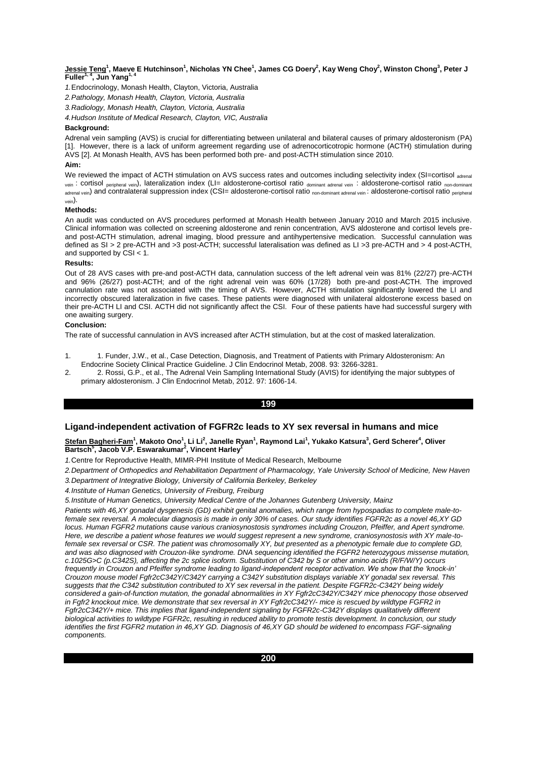# <u>Jessie Teng</u><sup>1</sup>, Maeve E Hutchinson<sup>1</sup>, Nicholas YN Chee<sup>1</sup>, James CG Doery<sup>2</sup>, Kay Weng Choy<sup>2</sup>, Winston Chong<sup>3</sup>, Peter J<br>Fuller<sup>1, 4</sup>, Jun Yang<sup>1, 4</sup>

*1.*Endocrinology, Monash Health, Clayton, Victoria, Australia

*2.Pathology, Monash Health, Clayton, Victoria, Australia*

*3.Radiology, Monash Health, Clayton, Victoria, Australia*

*4.Hudson Institute of Medical Research, Clayton, VIC, Australia*

## **Background:**

Adrenal vein sampling (AVS) is crucial for differentiating between unilateral and bilateral causes of primary aldosteronism (PA) [1]. However, there is a lack of uniform agreement regarding use of adrenocorticotropic hormone (ACTH) stimulation during AVS [2]. At Monash Health, AVS has been performed both pre- and post-ACTH stimulation since 2010.

# **Aim:**

We reviewed the impact of ACTH stimulation on AVS success rates and outcomes including selectivity index (SI=cortisol adrenal vein : cortisol <sub>peripheral vein</sub>), lateralization index (LI= aldosterone-cortisol ratio dominant adrenal vein : aldosterone-cortisol ratio non-dominant adrenal vein) and contralateral suppression index (CSI= aldosterone-cortisol ratio <sub>non-dominant adrenal vein</sub>: aldosterone-cortisol ratio <sub>peripheral</sub> vein).

## **Methods:**

An audit was conducted on AVS procedures performed at Monash Health between January 2010 and March 2015 inclusive. Clinical information was collected on screening aldosterone and renin concentration, AVS aldosterone and cortisol levels preand post-ACTH stimulation, adrenal imaging, blood pressure and antihypertensive medication. Successful cannulation was defined as SI > 2 pre-ACTH and >3 post-ACTH; successful lateralisation was defined as LI >3 pre-ACTH and > 4 post-ACTH, and supported by  $CSI < 1$ .

### **Results:**

Out of 28 AVS cases with pre-and post-ACTH data, cannulation success of the left adrenal vein was 81% (22/27) pre-ACTH and 96% (26/27) post-ACTH; and of the right adrenal vein was 60% (17/28) both pre-and post-ACTH. The improved cannulation rate was not associated with the timing of AVS. However, ACTH stimulation significantly lowered the LI and incorrectly obscured lateralization in five cases. These patients were diagnosed with unilateral aldosterone excess based on their pre-ACTH LI and CSI. ACTH did not significantly affect the CSI. Four of these patients have had successful surgery with one awaiting surgery.

### **Conclusion:**

The rate of successful cannulation in AVS increased after ACTH stimulation, but at the cost of masked lateralization.

- 1. 1. Funder, J.W., et al., Case Detection, Diagnosis, and Treatment of Patients with Primary Aldosteronism: An Endocrine Society Clinical Practice Guideline. J Clin Endocrinol Metab, 2008. 93: 3266-3281.
- 2. 2. Rossi, G.P., et al., The Adrenal Vein Sampling International Study (AVIS) for identifying the major subtypes of primary aldosteronism. J Clin Endocrinol Metab, 2012. 97: 1606-14.

# **199**

# **Ligand-independent activation of FGFR2c leads to XY sex reversal in humans and mice**

<u>Stefan Bagheri-Fam</u><sup>1</sup>, Makoto Ono<sup>1</sup>, Li Li<sup>2</sup>, Janelle Ryan<sup>1</sup>, Raymond Lai<sup>1</sup>, Yukako Katsura<sup>3</sup>, Gerd Scherer<sup>4</sup>, Oliver<br>Bartsch<sup>s</sup>, Jacob V.P. Eswarakumar<sup>2</sup>, Vincent Harley<sup>1</sup>

*1.*Centre for Reproductive Health, MIMR-PHI Institute of Medical Research, Melbourne

*2.Department of Orthopedics and Rehabilitation Department of Pharmacology, Yale University School of Medicine, New Haven 3.Department of Integrative Biology, University of California Berkeley, Berkeley*

*4.Institute of Human Genetics, University of Freiburg, Freiburg*

*5.Institute of Human Genetics, University Medical Centre of the Johannes Gutenberg University, Mainz*

*Patients with 46,XY gonadal dysgenesis (GD) exhibit genital anomalies, which range from hypospadias to complete male-tofemale sex reversal. A molecular diagnosis is made in only 30% of cases. Our study identifies FGFR2c as a novel 46,XY GD locus. Human FGFR2 mutations cause various craniosynostosis syndromes including Crouzon, Pfeiffer, and Apert syndrome. Here, we describe a patient whose features we would suggest represent a new syndrome, craniosynostosis with XY male-tofemale sex reversal or CSR. The patient was chromosomally XY, but presented as a phenotypic female due to complete GD, and was also diagnosed with Crouzon-like syndrome. DNA sequencing identified the FGFR2 heterozygous missense mutation, c.1025G>C (p.C342S), affecting the 2c splice isoform. Substitution of C342 by S or other amino acids (R/F/W/Y) occurs frequently in Crouzon and Pfeiffer syndrome leading to ligand-independent receptor activation. We show that the 'knock-in' Crouzon mouse model Fgfr2cC342Y/C342Y carrying a C342Y substitution displays variable XY gonadal sex reversal. This suggests that the C342 substitution contributed to XY sex reversal in the patient. Despite FGFR2c-C342Y being widely considered a gain-of-function mutation, the gonadal abnormalities in XY Fgfr2cC342Y/C342Y mice phenocopy those observed in Fgfr2 knockout mice. We demonstrate that sex reversal in XY Fgfr2cC342Y/- mice is rescued by wildtype FGFR2 in Fgfr2cC342Y/+ mice. This implies that ligand-independent signaling by FGFR2c-C342Y displays qualitatively different biological activities to wildtype FGFR2c, resulting in reduced ability to promote testis development. In conclusion, our study identifies the first FGFR2 mutation in 46,XY GD. Diagnosis of 46,XY GD should be widened to encompass FGF-signaling components.*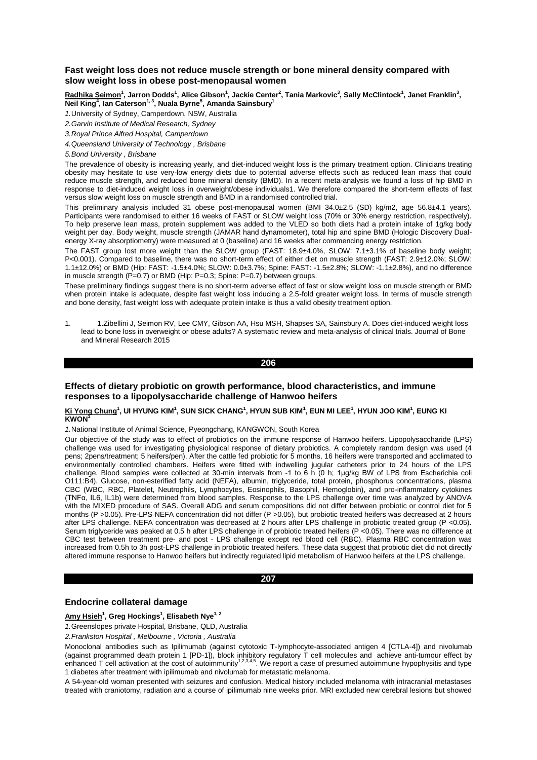# **Fast weight loss does not reduce muscle strength or bone mineral density compared with slow weight loss in obese post-menopausal women**

<u>Radhika Seimon<sup>1</sup>,</u> Jarron Dodds<sup>1</sup>, Alice Gibson<sup>1</sup>, Jackie Center<sup>2</sup>, Tania Markovic<sup>3</sup>, Sally McClintock<sup>1</sup>, Janet Franklin<sup>3</sup>, **Neil King<sup>4</sup> , Ian Caterson1, 3, Nuala Byrne<sup>5</sup> , Amanda Sainsbury<sup>1</sup>**

*1.*University of Sydney, Camperdown, NSW, Australia

*2.Garvin Institute of Medical Research, Sydney*

*3.Royal Prince Alfred Hospital, Camperdown*

*4.Queensland University of Technology , Brisbane*

*5.Bond University , Brisbane*

The prevalence of obesity is increasing yearly, and diet-induced weight loss is the primary treatment option. Clinicians treating obesity may hesitate to use very-low energy diets due to potential adverse effects such as reduced lean mass that could reduce muscle strength, and reduced bone mineral density (BMD). In a recent meta-analysis we found a loss of hip BMD in response to diet-induced weight loss in overweight/obese individuals1. We therefore compared the short-term effects of fast versus slow weight loss on muscle strength and BMD in a randomised controlled trial.

This preliminary analysis included 31 obese post-menopausal women (BMI 34.0±2.5 (SD) kg/m2, age 56.8±4.1 years). Participants were randomised to either 16 weeks of FAST or SLOW weight loss (70% or 30% energy restriction, respectively). To help preserve lean mass, protein supplement was added to the VLED so both diets had a protein intake of 1g/kg body weight per day. Body weight, muscle strength (JAMAR hand dynamometer), total hip and spine BMD (Hologic Discovery Dualenergy X-ray absorptiometry) were measured at 0 (baseline) and 16 weeks after commencing energy restriction.

The FAST group lost more weight than the SLOW group (FAST: 18.9±4.0%, SLOW: 7.1±3.1% of baseline body weight; P<0.001). Compared to baseline, there was no short-term effect of either diet on muscle strength (FAST: 2.9±12.0%; SLOW: 1.1±12.0%) or BMD (Hip: FAST: -1.5±4.0%; SLOW: 0.0±3.7%; Spine: FAST: -1.5±2.8%; SLOW: -1.1±2.8%), and no difference in muscle strength (P=0.7) or BMD (Hip: P=0.3; Spine: P=0.7) between groups.

These preliminary findings suggest there is no short-term adverse effect of fast or slow weight loss on muscle strength or BMD when protein intake is adequate, despite fast weight loss inducing a 2.5-fold greater weight loss. In terms of muscle strength and bone density, fast weight loss with adequate protein intake is thus a valid obesity treatment option.

1. 1.Zibellini J, Seimon RV, Lee CMY, Gibson AA, Hsu MSH, Shapses SA, Sainsbury A. Does diet-induced weight loss lead to bone loss in overweight or obese adults? A systematic review and meta-analysis of clinical trials. Journal of Bone and Mineral Research 2015

**206** 

# **Effects of dietary probiotic on growth performance, blood characteristics, and immune responses to a lipopolysaccharide challenge of Hanwoo heifers**

#### $\mathbf{K}$ i Yong Chung<sup>1</sup>, UI HYUNG KIM<sup>1</sup>, SUN SICK CHANG<sup>1</sup>, HYUN SUB KIM<sup>1</sup>, EUN MI LEE<sup>1</sup>, HYUN JOO KIM<sup>1</sup>, EUNG KI **KWON<sup>1</sup>**

*1.*National Institute of Animal Science, Pyeongchang, KANGWON, South Korea

Our objective of the study was to effect of probiotics on the immune response of Hanwoo heifers. Lipopolysaccharide (LPS) challenge was used for investigating physiological response of dietary probiotics. A completely random design was used (4 pens; 2pens/treatment; 5 heifers/pen). After the cattle fed probiotic for 5 months, 16 heifers were transported and acclimated to environmentally controlled chambers. Heifers were fitted with indwelling jugular catheters prior to 24 hours of the LPS challenge. Blood samples were collected at 30-min intervals from -1 to 6 h (0 h; 1μg/kg BW of LPS from Escherichia coli O111:B4). Glucose, non-esterified fatty acid (NEFA), albumin, triglyceride, total protein, phosphorus concentrations, plasma CBC (WBC, RBC, Platelet, Neutrophils, Lymphocytes, Eosinophils, Basophil, Hemoglobin), and pro-inflammatory cytokines (TNFα, IL6, IL1b) were determined from blood samples. Response to the LPS challenge over time was analyzed by ANOVA with the MIXED procedure of SAS. Overall ADG and serum compositions did not differ between probiotic or control diet for 5 months (P > 0.05). Pre-LPS NEFA concentration did not differ (P > 0.05), but probiotic treated heifers was decreased at 2 hours after LPS challenge. NEFA concentration was decreased at 2 hours after LPS challenge in probiotic treated group (P <0.05). Serum trigivceride was peaked at 0.5 h after LPS challenge in of probiotic treated heifers (P <0.05). There was no difference at CBC test between treatment pre- and post - LPS challenge except red blood cell (RBC). Plasma RBC concentration was increased from 0.5h to 3h post-LPS challenge in probiotic treated heifers. These data suggest that probiotic diet did not directly altered immune response to Hanwoo heifers but indirectly regulated lipid metabolism of Hanwoo heifers at the LPS challenge.

#### **207**

# **Endocrine collateral damage**

**Amy Hsieh<sup>1</sup> , Greg Hockings<sup>1</sup> , Elisabeth Nye1, 2**

*1.*Greenslopes private Hospital, Brisbane, QLD, Australia

*2.Frankston Hospital , Melbourne , Victoria , Australia*

Monoclonal antibodies such as Ipilimumab (against cytotoxic T-lymphocyte-associated antigen 4 [CTLA-4]) and nivolumab (against programmed death protein 1 [PD-1]), block inhibitory regulatory T cell molecules and achieve anti-tumour effect by<br>enhanced T cell activation at the cost of autoimmunity<sup>1,2,3,4,5</sup>. We report a case of presumed au 1 diabetes after treatment with ipilimumab and nivolumab for metastatic melanoma.

A 54-year-old woman presented with seizures and confusion. Medical history included melanoma with intracranial metastases treated with craniotomy, radiation and a course of ipilimumab nine weeks prior. MRI excluded new cerebral lesions but showed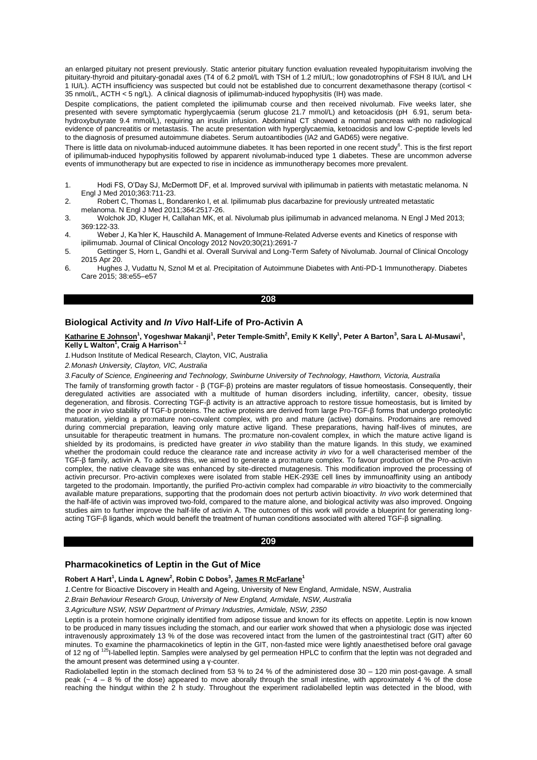an enlarged pituitary not present previously. Static anterior pituitary function evaluation revealed hypopituitarism involving the pituitary-thyroid and pituitary-gonadal axes (T4 of 6.2 pmol/L with TSH of 1.2 mIU/L; low gonadotrophins of FSH 8 IU/L and LH 1 IU/L). ACTH insufficiency was suspected but could not be established due to concurrent dexamethasone therapy (cortisol < 35 nmol/L, ACTH < 5 ng/L). A clinical diagnosis of ipilimumab-induced hypophysitis (IH) was made.

Despite complications, the patient completed the ipilimumab course and then received nivolumab. Five weeks later, she presented with severe symptomatic hyperglycaemia (serum glucose 21.7 mmol/L) and ketoacidosis (pH 6.91, serum betahydroxybutyrate 9.4 mmol/L), requiring an insulin infusion. Abdominal CT showed a normal pancreas with no radiological evidence of pancreatitis or metastasis. The acute presentation with hyperglycaemia, ketoacidosis and low C-peptide levels led to the diagnosis of presumed autoimmune diabetes. Serum autoantibodies (IA2 and GAD65) were negative.

There is little data on nivolumab-induced autoimmune diabetes. It has been reported in one recent study<sup>6</sup>. This is the first report of ipilimumab-induced hypophysitis followed by apparent nivolumab-induced type 1 diabetes. These are uncommon adverse events of immunotherapy but are expected to rise in incidence as immunotherapy becomes more prevalent.

- 1. Hodi FS, O'Day SJ, McDermott DF, et al. Improved survival with ipilimumab in patients with metastatic melanoma. N Engl J Med 2010;363:711-23.
- 2. Robert C, Thomas L, Bondarenko I, et al. Ipilimumab plus dacarbazine for previously untreated metastatic melanoma. N Engl J Med 2011;364:2517-26.
- 3. Wolchok JD, Kluger H, Callahan MK, et al. Nivolumab plus ipilimumab in advanced melanoma. N Engl J Med 2013; 369:122-33.
- 4. Weber J, Ka ̈hler K, Hauschild A. Management of Immune-Related Adverse events and Kinetics of response with ipilimumab. Journal of Clinical Oncology 2012 Nov20;30(21):2691-7
- 5. Gettinger S, Horn L, Gandhi et al. Overall Survival and Long-Term Safety of Nivolumab. Journal of Clinical Oncology 2015 Apr 20.
- 6. Hughes J, Vudattu N, Sznol M et al. Precipitation of Autoimmune Diabetes with Anti-PD-1 Immunotherapy. Diabetes Care 2015; 38:e55–e57

#### **208**

# **Biological Activity and** *In Vivo* **Half-Life of Pro-Activin A**

**Katharine E Johnson<sup>1</sup> , Yogeshwar Makanji<sup>1</sup> , Peter Temple-Smith<sup>2</sup> , Emily K Kelly<sup>1</sup> , Peter A Barton<sup>3</sup> , Sara L Al-Musawi<sup>1</sup> , Kelly L Walton<sup>1</sup> , Craig A Harrison1, 2**

*1.*Hudson Institute of Medical Research, Clayton, VIC, Australia

*2.Monash University, Clayton, VIC, Australia*

*3.Faculty of Science, Engineering and Technology, Swinburne University of Technology, Hawthorn, Victoria, Australia*

The family of transforming growth factor - β (TGF-β) proteins are master regulators of tissue homeostasis. Consequently, their deregulated activities are associated with a multitude of human disorders including, infertility, cancer, obesity, tissue degeneration, and fibrosis. Correcting TGF-β activity is an attractive approach to restore tissue homeostasis, but is limited by the poor *in vivo* stability of TGF-b proteins. The active proteins are derived from large Pro-TGF-β forms that undergo proteolytic maturation, yielding a pro:mature non-covalent complex, with pro and mature (active) domains. Prodomains are removed during commercial preparation, leaving only mature active ligand. These preparations, having half-lives of minutes, are unsuitable for therapeutic treatment in humans. The pro:mature non-covalent complex, in which the mature active ligand is shielded by its prodomains, is predicted have greater *in vivo* stability than the mature ligands. In this study, we examined whether the prodomain could reduce the clearance rate and increase activity *in vivo* for a well characterised member of the TGF-β family, activin A*.* To address this, we aimed to generate a pro:mature complex. To favour production of the Pro-activin complex, the native cleavage site was enhanced by site-directed mutagenesis. This modification improved the processing of activin precursor. Pro-activin complexes were isolated from stable HEK-293E cell lines by immunoaffinity using an antibody targeted to the prodomain. Importantly, the purified Pro-activin complex had comparable *in vitro* bioactivity to the commercially available mature preparations, supporting that the prodomain does not perturb activin bioactivity. *In vivo* work determined that the half-life of activin was improved two-fold, compared to the mature alone, and biological activity was also improved. Ongoing studies aim to further improve the half-life of activin A. The outcomes of this work will provide a blueprint for generating longacting TGF-β ligands, which would benefit the treatment of human conditions associated with altered TGF-β signalling.

### **209**

# **Pharmacokinetics of Leptin in the Gut of Mice**

## **Robert A Hart<sup>1</sup> , Linda L Agnew<sup>2</sup> , Robin C Dobos<sup>3</sup> , James R McFarlane<sup>1</sup>**

*1.*Centre for Bioactive Discovery in Health and Ageing, University of New England, Armidale, NSW, Australia

*2.Brain Behaviour Research Group, University of New England, Armidale, NSW, Australia*

*3.Agriculture NSW, NSW Department of Primary Industries, Armidale, NSW, 2350*

Leptin is a protein hormone originally identified from adipose tissue and known for its effects on appetite. Leptin is now known to be produced in many tissues including the stomach, and our earlier work showed that when a physiologic dose was injected intravenously approximately 13 % of the dose was recovered intact from the lumen of the gastrointestinal tract (GIT) after 60 minutes. To examine the pharmacokinetics of leptin in the GIT, non-fasted mice were lightly anaesthetised before oral gavage<br>of 12 ng of <sup>125</sup>I-labelled leptin. Samples were analysed by gel permeation HPLC to confirm that the amount present was determined using a γ-counter.

Radiolabelled leptin in the stomach declined from 53 % to 24 % of the administered dose 30 – 120 min post-gavage. A small peak ( $\sim$  4 – 8 % of the dose) appeared to move aborally through the small intestine, with approximately 4 % of the dose reaching the hindgut within the 2 h study. Throughout the experiment radiolabelled leptin was detected in the blood, with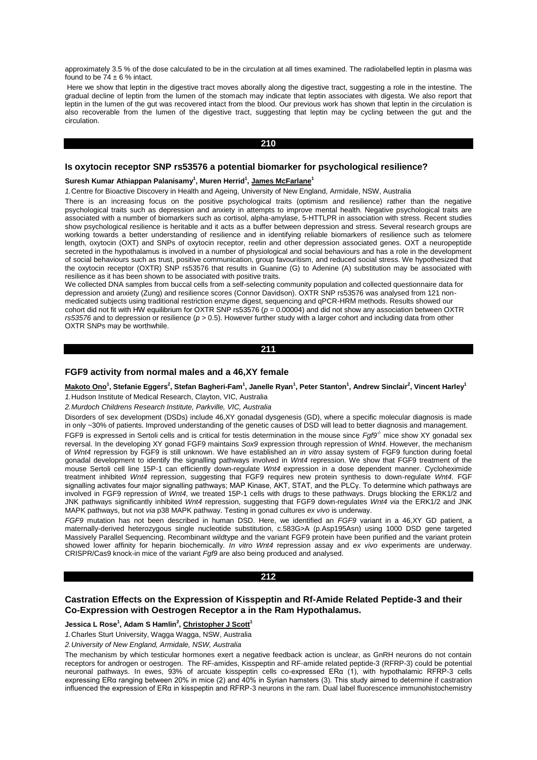approximately 3.5 % of the dose calculated to be in the circulation at all times examined. The radiolabelled leptin in plasma was found to be  $74 \pm 6$  % intact.

Here we show that leptin in the digestive tract moves aborally along the digestive tract, suggesting a role in the intestine. The gradual decline of leptin from the lumen of the stomach may indicate that leptin associates with digesta. We also report that leptin in the lumen of the gut was recovered intact from the blood. Our previous work has shown that leptin in the circulation is also recoverable from the lumen of the digestive tract, suggesting that leptin may be cycling between the gut and the circulation.

## **210**

## **Is oxytocin receptor SNP rs53576 a potential biomarker for psychological resilience?**

## Suresh Kumar Athiappan Palanisamy<sup>1</sup>, Muren Herrid<sup>1</sup>, James McFarlane<sup>1</sup>

*1.*Centre for Bioactive Discovery in Health and Ageing, University of New England, Armidale, NSW, Australia

There is an increasing focus on the positive psychological traits (optimism and resilience) rather than the negative psychological traits such as depression and anxiety in attempts to improve mental health. Negative psychological traits are associated with a number of biomarkers such as cortisol, alpha-amylase, 5-HTTLPR in association with stress. Recent studies show psychological resilience is heritable and it acts as a buffer between depression and stress. Several research groups are working towards a better understanding of resilience and in identifying reliable biomarkers of resilience such as telomere length, oxytocin (OXT) and SNPs of oxytocin receptor, reelin and other depression associated genes. OXT a neuropeptide secreted in the hypothalamus is involved in a number of physiological and social behaviours and has a role in the development of social behaviours such as trust, positive communication, group favouritism, and reduced social stress. We hypothesized that the oxytocin receptor (OXTR) SNP rs53576 that results in Guanine (G) to Adenine (A) substitution may be associated with resilience as it has been shown to be associated with positive traits.

We collected DNA samples from buccal cells from a self-selecting community population and collected questionnaire data for depression and anxiety (Zung) and resilience scores (Connor Davidson). OXTR SNP rs53576 was analysed from 121 nonmedicated subjects using traditional restriction enzyme digest, sequencing and qPCR-HRM methods. Results showed our cohort did not fit with HW equilibrium for OXTR SNP rs53576 ( $p = 0.00004$ ) and did not show any association between OXTR *rs53576* and to depression or resilience ( $p > 0.5$ ). However further study with a larger cohort and including data from other OXTR SNPs may be worthwhile.

## **211**

# **FGF9 activity from normal males and a 46,XY female**

Makoto Ono<sup>1</sup>, Stefanie Eggers<sup>2</sup>, Stefan Bagheri-Fam<sup>1</sup>, Janelle Ryan<sup>1</sup>, Peter Stanton<sup>1</sup>, Andrew Sinclair<sup>2</sup>, Vincent Harley<sup>1</sup>

*1.*Hudson Institute of Medical Research, Clayton, VIC, Australia

*2.Murdoch Childrens Research Institute, Parkville, VIC, Australia*

Disorders of sex development (DSDs) include 46,XY gonadal dysgenesis (GD), where a specific molecular diagnosis is made in only ~30% of patients. Improved understanding of the genetic causes of DSD will lead to better diagnosis and management. FGF9 is expressed in Sertoli cells and is critical for testis determination in the mouse since *Faf9<sup>1</sup>* mice show XY gonadal sex reversal. In the developing XY gonad FGF9 maintains *Sox9* expression through repression of *Wnt4*. However, the mechanism of *Wnt4* repression by FGF9 is still unknown. We have established an *in vitro* assay system of FGF9 function during foetal gonadal development to identify the signalling pathways involved in *Wnt4* repression. We show that FGF9 treatment of the mouse Sertoli cell line 15P-1 can efficiently down-regulate *Wnt4* expression in a dose dependent manner. Cycloheximide treatment inhibited *Wnt4* repression, suggesting that FGF9 requires new protein synthesis to down-regulate *Wnt4*. FGF signalling activates four major signalling pathways; MAP Kinase, AKT, STAT, and the PLCγ. To determine which pathways are involved in FGF9 repression of *Wnt4*, we treated 15P-1 cells with drugs to these pathways. Drugs blocking the ERK1/2 and JNK pathways significantly inhibited *Wnt4* repression, suggesting that FGF9 down-regulates *Wnt4 via* the ERK1/2 and JNK MAPK pathways, but not *via* p38 MAPK pathway. Testing in gonad cultures *ex vivo* is underway.

*FGF9* mutation has not been described in human DSD. Here, we identified an *FGF9* variant in a 46,XY GD patient, a maternally-derived heterozygous single nucleotide substitution, c.583G>A (p.Asp195Asn) using 1000 DSD gene targeted Massively Parallel Sequencing. Recombinant wildtype and the variant FGF9 protein have been purified and the variant protein showed lower affinity for heparin biochemically. *In vitro Wnt4* repression assay and *ex vivo* experiments are underway. CRISPR/Cas9 knock-in mice of the variant *Fgf9* are also being produced and analysed.

#### **212**

## **Castration Effects on the Expression of Kisspeptin and Rf-Amide Related Peptide-3 and their Co-Expression with Oestrogen Receptor a in the Ram Hypothalamus.**

## **Jessica L Rose<sup>1</sup> , Adam S Hamlin<sup>2</sup> , Christopher J Scott<sup>1</sup>**

*1.*Charles Sturt University, Wagga Wagga, NSW, Australia

*2.University of New England, Armidale, NSW, Australia*

The mechanism by which testicular hormones exert a negative feedback action is unclear, as GnRH neurons do not contain receptors for androgen or oestrogen. The RF-amides, Kisspeptin and RF-amide related peptide-3 (RFRP-3) could be potential neuronal pathways. In ewes, 93% of arcuate kisspeptin cells co-expressed ERα (1), with hypothalamic RFRP-3 cells expressing ERα ranging between 20% in mice (2) and 40% in Syrian hamsters (3). This study aimed to determine if castration influenced the expression of ERα in kisspeptin and RFRP-3 neurons in the ram. Dual label fluorescence immunohistochemistry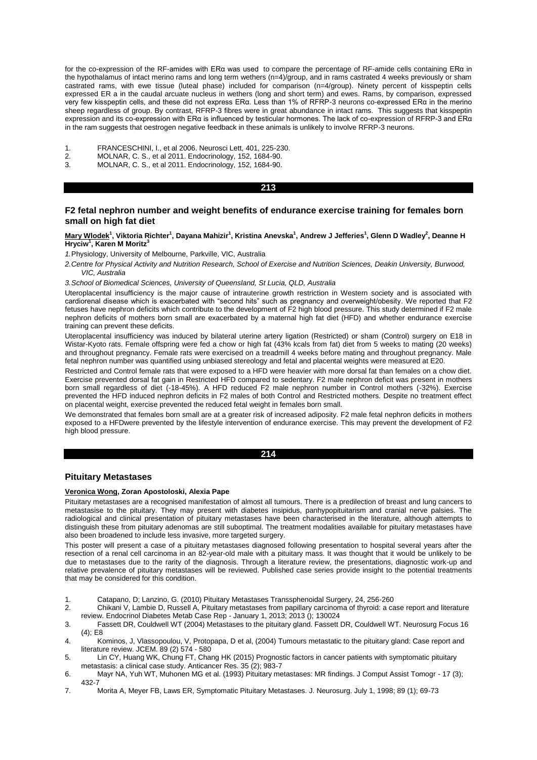for the co-expression of the RF-amides with ERα was used to compare the percentage of RF-amide cells containing ERα in the hypothalamus of intact merino rams and long term wethers (n=4)/group, and in rams castrated 4 weeks previously or sham castrated rams, with ewe tissue (luteal phase) included for comparison (n=4/group). Ninety percent of kisspeptin cells expressed ER a in the caudal arcuate nucleus in wethers (long and short term) and ewes. Rams, by comparison, expressed very few kisspeptin cells, and these did not express ERα. Less than 1% of RFRP-3 neurons co-expressed ERα in the merino sheep regardless of group. By contrast, RFRP-3 fibres were in great abundance in intact rams. This suggests that kisspeptin expression and its co-expression with ERα is influenced by testicular hormones. The lack of co-expression of RFRP-3 and ERα in the ram suggests that oestrogen negative feedback in these animals is unlikely to involve RFRP-3 neurons.

- 1. FRANCESCHINI, I., et al 2006. Neurosci Lett, 401, 225-230.
- 2. MOLNAR, C. S., et al 2011. Endocrinology, 152, 1684-90.
- 3. MOLNAR, C. S., et al 2011. Endocrinology, 152, 1684-90.

## **213**

## **F2 fetal nephron number and weight benefits of endurance exercise training for females born small on high fat diet**

#### **Mary Wlodek<sup>1</sup> , Viktoria Richter<sup>1</sup> , Dayana Mahizir<sup>1</sup> , Kristina Anevska<sup>1</sup> , Andrew J Jefferies<sup>1</sup> , Glenn D Wadley<sup>2</sup> , Deanne H Hryciw<sup>1</sup> , Karen M Moritz<sup>3</sup>**

*1.*Physiology, University of Melbourne, Parkville, VIC, Australia

*2.Centre for Physical Activity and Nutrition Research, School of Exercise and Nutrition Sciences, Deakin University, Burwood, VIC, Australia*

*3.School of Biomedical Sciences, University of Queensland, St Lucia, QLD, Australia*

Uteroplacental insufficiency is the major cause of intrauterine growth restriction in Western society and is associated with cardiorenal disease which is exacerbated with "second hits" such as pregnancy and overweight/obesity. We reported that F2 fetuses have nephron deficits which contribute to the development of F2 high blood pressure. This study determined if F2 male nephron deficits of mothers born small are exacerbated by a maternal high fat diet (HFD) and whether endurance exercise training can prevent these deficits.

Uteroplacental insufficiency was induced by bilateral uterine artery ligation (Restricted) or sham (Control) surgery on E18 in Wistar-Kyoto rats. Female offspring were fed a chow or high fat (43% kcals from fat) diet from 5 weeks to mating (20 weeks) and throughout pregnancy. Female rats were exercised on a treadmill 4 weeks before mating and throughout pregnancy. Male fetal nephron number was quantified using unbiased stereology and fetal and placental weights were measured at E20.

Restricted and Control female rats that were exposed to a HFD were heavier with more dorsal fat than females on a chow diet. Exercise prevented dorsal fat gain in Restricted HFD compared to sedentary. F2 male nephron deficit was present in mothers born small regardless of diet (-18-45%). A HFD reduced F2 male nephron number in Control mothers (-32%). Exercise prevented the HFD induced nephron deficits in F2 males of both Control and Restricted mothers. Despite no treatment effect on placental weight, exercise prevented the reduced fetal weight in females born small.

We demonstrated that females born small are at a greater risk of increased adiposity. F2 male fetal nephron deficits in mothers exposed to a HFDwere prevented by the lifestyle intervention of endurance exercise. This may prevent the development of F2 high blood pressure.

### **214**

# **Pituitary Metastases**

# **Veronica Wong, Zoran Apostoloski, Alexia Pape**

Pituitary metastases are a recognised manifestation of almost all tumours. There is a predilection of breast and lung cancers to metastasise to the pituitary. They may present with diabetes insipidus, panhypopituitarism and cranial nerve palsies. The radiological and clinical presentation of pituitary metastases have been characterised in the literature, although attempts to distinguish these from pituitary adenomas are still suboptimal. The treatment modalities available for pituitary metastases have also been broadened to include less invasive, more targeted surgery.

This poster will present a case of a pituitary metastases diagnosed following presentation to hospital several years after the resection of a renal cell carcinoma in an 82-year-old male with a pituitary mass. It was thought that it would be unlikely to be due to metastases due to the rarity of the diagnosis. Through a literature review, the presentations, diagnostic work-up and relative prevalence of pituitary metastases will be reviewed. Published case series provide insight to the potential treatments that may be considered for this condition.

- 1. Catapano, D; Lanzino, G. (2010) Pituitary Metastases Transsphenoidal Surgery, 24, 256-260
- 2. Chikani V, Lambie D, Russell A, Pituitary metastases from papillary carcinoma of thyroid: a case report and literature review. Endocrinol Diabetes Metab Case Rep - January 1, 2013; 2013 (); 130024
- 3. Fassett DR, Couldwell WT (2004) Metastases to the pituitary gland. Fassett DR, Couldwell WT. Neurosurg Focus 16 (4); E8
- 4. Kominos, J, Vlassopoulou, V, Protopapa, D et al, (2004) Tumours metastatic to the pituitary gland: Case report and literature review. JCEM. 89 (2) 574 - 580
- 5. Lin CY, Huang WK, Chung FT, Chang HK (2015) Prognostic factors in cancer patients with symptomatic pituitary metastasis: a clinical case study. Anticancer Res. 35 (2); 983-7
- 6. Mayr NA, Yuh WT, Muhonen MG et al. (1993) Pituitary metastases: MR findings. J Comput Assist Tomogr 17 (3); 432-7
- 7. Morita A, Meyer FB, Laws ER, Symptomatic Pituitary Metastases. J. Neurosurg. July 1, 1998; 89 (1); 69-73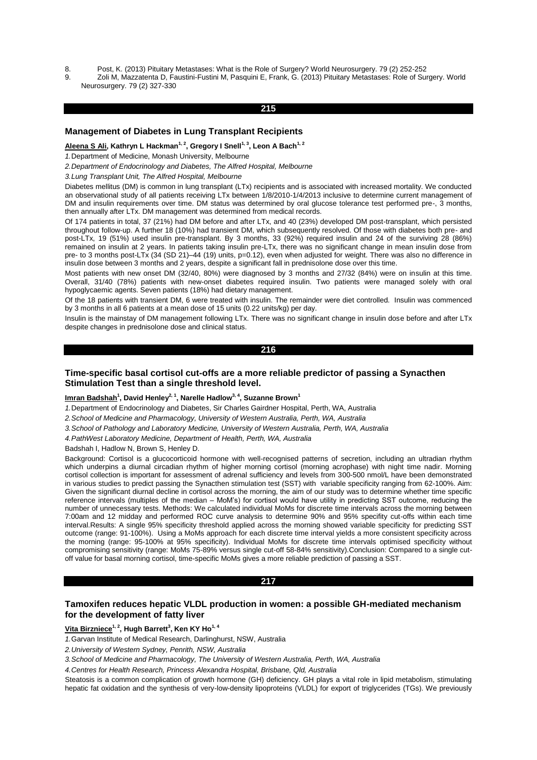- 8. Post, K. (2013) Pituitary Metastases: What is the Role of Surgery? World Neurosurgery. 79 (2) 252-252
- 9. Zoli M, Mazzatenta D, Faustini-Fustini M, Pasquini E, Frank, G. (2013) Pituitary Metastases: Role of Surgery. World Neurosurgery. 79 (2) 327-330

# **215**

## **Management of Diabetes in Lung Transplant Recipients**

**Aleena S Ali, Kathryn L Hackman1, 2, Gregory I Snell1, 3, Leon A Bach1, 2**

*1.*Department of Medicine, Monash University, Melbourne

*2.Department of Endocrinology and Diabetes, The Alfred Hospital, Melbourne*

*3.Lung Transplant Unit, The Alfred Hospital, Melbourne*

Diabetes mellitus (DM) is common in lung transplant (LTx) recipients and is associated with increased mortality. We conducted an observational study of all patients receiving LTx between 1/8/2010-1/4/2013 inclusive to determine current management of DM and insulin requirements over time. DM status was determined by oral glucose tolerance test performed pre-, 3 months, then annually after LTx. DM management was determined from medical records.

Of 174 patients in total, 37 (21%) had DM before and after LTx, and 40 (23%) developed DM post-transplant, which persisted throughout follow-up. A further 18 (10%) had transient DM, which subsequently resolved. Of those with diabetes both pre- and post-LTx, 19 (51%) used insulin pre-transplant. By 3 months, 33 (92%) required insulin and 24 of the surviving 28 (86%) remained on insulin at 2 years. In patients taking insulin pre-LTx, there was no significant change in mean insulin dose from pre- to 3 months post-LTx (34 (SD 21)-44 (19) units, p=0.12), even when adjusted for weight. There was also no difference in insulin dose between 3 months and 2 years, despite a significant fall in prednisolone dose over this time.

Most patients with new onset DM (32/40, 80%) were diagnosed by 3 months and 27/32 (84%) were on insulin at this time. Overall, 31/40 (78%) patients with new-onset diabetes required insulin. Two patients were managed solely with oral hypoglycaemic agents. Seven patients (18%) had dietary management.

Of the 18 patients with transient DM, 6 were treated with insulin. The remainder were diet controlled. Insulin was commenced by 3 months in all 6 patients at a mean dose of 15 units (0.22 units/kg) per day.

Insulin is the mainstay of DM management following LTx. There was no significant change in insulin dose before and after LTx despite changes in prednisolone dose and clinical status.

# **216**

# **Time-specific basal cortisol cut-offs are a more reliable predictor of passing a Synacthen Stimulation Test than a single threshold level.**

#### **Imran Badshah<sup>1</sup> , David Henley2, 1 , Narelle Hadlow3, 4, Suzanne Brown<sup>1</sup>**

*1.*Department of Endocrinology and Diabetes, Sir Charles Gairdner Hospital, Perth, WA, Australia

*2.School of Medicine and Pharmacology, University of Western Australia, Perth, WA, Australia*

*3.School of Pathology and Laboratory Medicine, University of Western Australia, Perth, WA, Australia*

*4.PathWest Laboratory Medicine, Department of Health, Perth, WA, Australia*

Badshah I, Hadlow N, Brown S, Henley D.

Background: Cortisol is a glucocorticoid hormone with well-recognised patterns of secretion, including an ultradian rhythm which underpins a diurnal circadian rhythm of higher morning cortisol (morning acrophase) with night time nadir. Morning cortisol collection is important for assessment of adrenal sufficiency and levels from 300-500 nmol/L have been demonstrated in various studies to predict passing the Synacthen stimulation test (SST) with variable specificity ranging from 62-100%. Aim: Given the significant diurnal decline in cortisol across the morning, the aim of our study was to determine whether time specific reference intervals (multiples of the median – MoM's) for cortisol would have utility in predicting SST outcome, reducing the number of unnecessary tests. Methods: We calculated individual MoMs for discrete time intervals across the morning between 7:00am and 12 midday and performed ROC curve analysis to determine 90% and 95% specifity cut-offs within each time interval.Results: A single 95% specificity threshold applied across the morning showed variable specificity for predicting SST outcome (range: 91-100%). Using a MoMs approach for each discrete time interval yields a more consistent specificity across the morning (range: 95-100% at 95% specificity). Individual MoMs for discrete time intervals optimised specificity without compromising sensitivity (range: MoMs 75-89% versus single cut-off 58-84% sensitivity).Conclusion: Compared to a single cutoff value for basal morning cortisol, time-specific MoMs gives a more reliable prediction of passing a SST.

#### **217**

# **Tamoxifen reduces hepatic VLDL production in women: a possible GH-mediated mechanism for the development of fatty liver**

## **Vita Birzniece1, 2, Hugh Barrett<sup>3</sup> , Ken KY Ho1, 4**

*1.*Garvan Institute of Medical Research, Darlinghurst, NSW, Australia

*2.University of Western Sydney, Penrith, NSW, Australia*

*3.School of Medicine and Pharmacology, The University of Western Australia, Perth, WA, Australia*

*4.Centres for Health Research, Princess Alexandra Hospital, Brisbane, Qld, Australia*

Steatosis is a common complication of growth hormone (GH) deficiency. GH plays a vital role in lipid metabolism, stimulating hepatic fat oxidation and the synthesis of very-low-density lipoproteins (VLDL) for export of triglycerides (TGs). We previously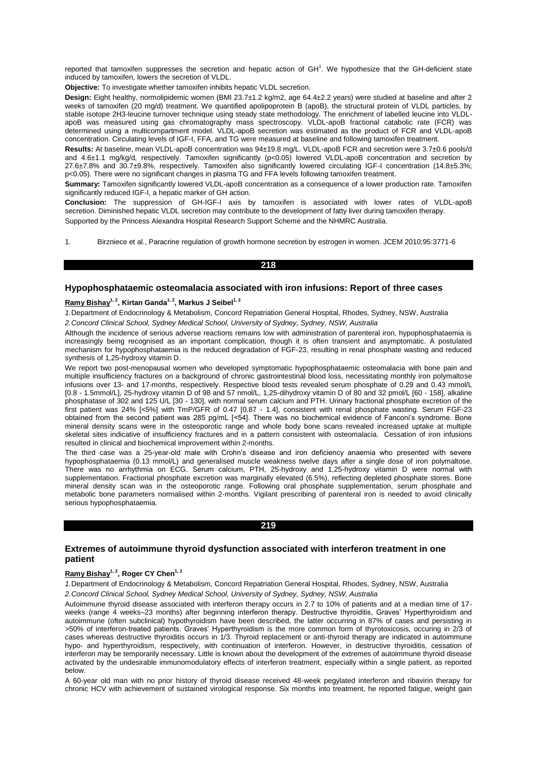reported that tamoxifen suppresses the secretion and hepatic action of  $GH<sup>1</sup>$ . We hypothesize that the GH-deficient state induced by tamoxifen, lowers the secretion of VLDL.

**Objective:** To investigate whether tamoxifen inhibits hepatic VLDL secretion.

**Design:** Eight healthy, normolipidemic women (BMI 23.7±1.2 kg/m2, age 64.4±2.2 years) were studied at baseline and after 2 weeks of tamoxifen (20 mg/d) treatment. We quantified apolipoprotein B (apoB), the structural protein of VLDL particles, by stable isotope 2H3-leucine turnover technique using steady state methodology. The enrichment of labelled leucine into VLDLapoB was measured using gas chromatography mass spectroscopy. VLDL-apoB fractional catabolic rate (FCR) was determined using a multicompartment model. VLDL-apoB secretion was estimated as the product of FCR and VLDL-apoB concentration. Circulating levels of IGF-I, FFA, and TG were measured at baseline and following tamoxifen treatment.

**Results:** At baseline, mean VLDL-apoB concentration was 94±19.8 mg/L. VLDL-apoB FCR and secretion were 3.7±0.6 pools/d and 4.6±1.1 mg/kg/d, respectively. Tamoxifen significantly (p<0.05) lowered VLDL-apoB concentration and secretion by 27.6±7.8% and 30.7±9.8%, respectively. Tamoxifen also significantly lowered circulating IGF-I concentration (14.8±5.3%; p<0.05). There were no significant changes in plasma TG and FFA levels following tamoxifen treatment.

**Summary:** Tamoxifen significantly lowered VLDL-apoB concentration as a consequence of a lower production rate. Tamoxifen significantly reduced IGF-I, a hepatic marker of GH action.

**Conclusion:** The suppression of GH-IGF-I axis by tamoxifen is associated with lower rates of VLDL-apoB secretion. Diminished hepatic VLDL secretion may contribute to the development of fatty liver during tamoxifen therapy. Supported by the Princess Alexandra Hospital Research Support Scheme and the NHMRC Australia.

1. Birzniece et al., Paracrine regulation of growth hormone secretion by estrogen in women. JCEM 2010;95:3771-6

### **218**

### **Hypophosphataemic osteomalacia associated with iron infusions: Report of three cases**

# **Ramy Bishay1, 2, Kirtan Ganda1, 2, Markus J Seibel1, 2**

*1.*Department of Endocrinology & Metabolism, Concord Repatriation General Hospital, Rhodes, Sydney, NSW, Australia *2.Concord Clinical School, Sydney Medical School, University of Sydney, Sydney, NSW, Australia*

Although the incidence of serious adverse reactions remains low with administration of parenteral iron, hypophosphataemia is increasingly being recognised as an important complication, though it is often transient and asymptomatic. A postulated mechanism for hypophosphataemia is the reduced degradation of FGF-23, resulting in renal phosphate wasting and reduced synthesis of 1,25-hydroxy vitamin D.

We report two post-menopausal women who developed symptomatic hypophosphataemic osteomalacia with bone pain and multiple insufficiency fractures on a background of chronic gastrointestinal blood loss, necessitating monthly iron polymaltose infusions over 13- and 17-months, respectively. Respective blood tests revealed serum phosphate of 0.29 and 0.43 mmol/L [0.8 - 1.5mmol/L], 25-hydroxy vitamin D of 98 and 57 nmol/L, 1,25-dihydroxy vitamin D of 80 and 32 pmol/L [60 - 158], alkaline phosphatase of 302 and 125 U/L [30 - 130], with normal serum calcium and PTH. Urinary fractional phosphate excretion of the first patient was 24% [<5%] with TmP/GFR of 0.47 [0.87 - 1.4], consistent with renal phosphate wasting. Serum FGF-23 obtained from the second patient was 285 pg/mL [<54]. There was no biochemical evidence of Fanconi's syndrome. Bone mineral density scans were in the osteoporotic range and whole body bone scans revealed increased uptake at multiple skeletal sites indicative of insufficiency fractures and in a pattern consistent with osteomalacia. Cessation of iron infusions resulted in clinical and biochemical improvement within 2-months.

The third case was a 25-year-old male with Crohn's disease and iron deficiency anaemia who presented with severe hypophosphataemia (0.13 mmol/L) and generalised muscle weakness twelve days after a single dose of iron polymaltose. There was no arrhythmia on ECG. Serum calcium, PTH, 25-hydroxy and 1,25-hydroxy vitamin D were normal with supplementation. Fractional phosphate excretion was marginally elevated (6.5%), reflecting depleted phosphate stores. Bone mineral density scan was in the osteoporotic range. Following oral phosphate supplementation, serum phosphate and metabolic bone parameters normalised within 2-months. Vigilant prescribing of parenteral iron is needed to avoid clinically serious hypophosphataemia.

#### **219**

# **Extremes of autoimmune thyroid dysfunction associated with interferon treatment in one patient**

## **Ramy Bishay1, 2, Roger CY Chen1, 2**

*1.*Department of Endocrinology & Metabolism, Concord Repatriation General Hospital, Rhodes, Sydney, NSW, Australia *2.Concord Clinical School, Sydney Medical School, University of Sydney, Sydney, NSW, Australia*

Autoimmune thyroid disease associated with interferon therapy occurs in 2.7 to 10% of patients and at a median time of 17 weeks (range 4 weeks–23 months) after beginning interferon therapy. Destructive thyroiditis, Graves' Hyperthyroidism and autoimmune (often subclinical) hypothyroidism have been described, the latter occurring in 87% of cases and persisting in >50% of interferon-treated patients. Graves' Hyperthyroidism is the more common form of thyrotoxicosis, occuring in 2/3 of cases whereas destructive thyroiditis occurs in 1/3. Thyroid replacement or anti-thyroid therapy are indicated in autoimmune hypo- and hyperthyroidism, respectively, with continuation of interferon. However, in destructive thyroiditis, cessation of interferon may be temporarily necessary. Little is known about the development of the extremes of autoimmune thyroid disease activated by the undesirable immunomodulatory effects of interferon treatment, especially within a single patient, as reported below.

A 60-year old man with no prior history of thyroid disease received 48-week pegylated interferon and ribavirin therapy for chronic HCV with achievement of sustained virological response. Six months into treatment, he reported fatigue, weight gain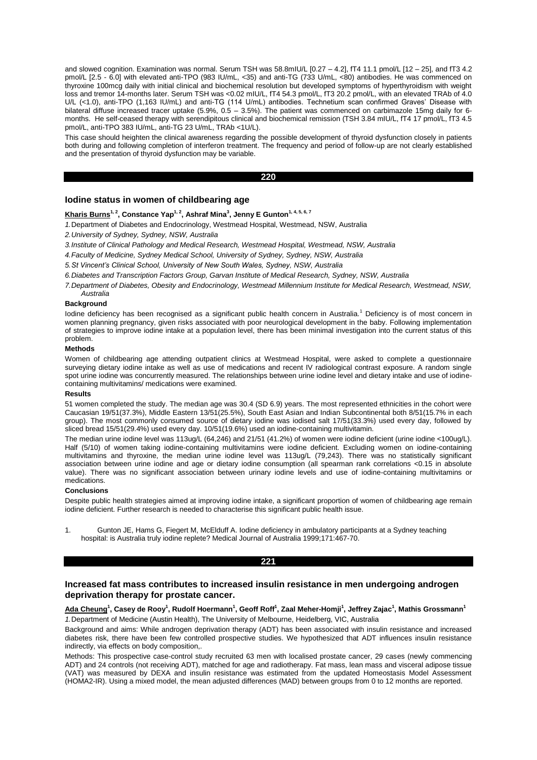and slowed cognition. Examination was normal. Serum TSH was 58.8mIU/L [0.27 – 4.2], fT4 11.1 pmol/L [12 – 25], and fT3 4.2 pmol/L [2.5 - 6.0] with elevated anti-TPO (983 IU/mL, <35) and anti-TG (733 U/mL, <80) antibodies. He was commenced on thyroxine 100mcg daily with initial clinical and biochemical resolution but developed symptoms of hyperthyroidism with weight loss and tremor 14-months later. Serum TSH was <0.02 mIU/L, fT4 54.3 pmol/L, fT3 20.2 pmol/L, with an elevated TRAb of 4.0 U/L (<1.0), anti-TPO (1,163 IU/mL) and anti-TG (114 U/mL) antibodies. Technetium scan confirmed Graves' Disease with bilateral diffuse increased tracer uptake (5.9%, 0.5 – 3.5%). The patient was commenced on carbimazole 15mg daily for 6 months. He self-ceased therapy with serendipitous clinical and biochemical remission (TSH 3.84 mIU/L, fT4 17 pmol/L, fT3 4.5 pmol/L, anti-TPO 383 IU/mL, anti-TG 23 U/mL, TRAb <1U/L).

This case should heighten the clinical awareness regarding the possible development of thyroid dysfunction closely in patients both during and following completion of interferon treatment. The frequency and period of follow-up are not clearly established and the presentation of thyroid dysfunction may be variable.

#### **220**

### **Iodine status in women of childbearing age**

## **Kharis Burns1, 2, Constance Yap1, 2, Ashraf Mina<sup>3</sup> , Jenny E Gunton1, 4, 5, 6, 7**

*1.*Department of Diabetes and Endocrinology, Westmead Hospital, Westmead, NSW, Australia

*2.University of Sydney, Sydney, NSW, Australia*

- *3.Institute of Clinical Pathology and Medical Research, Westmead Hospital, Westmead, NSW, Australia*
- *4.Faculty of Medicine, Sydney Medical School, University of Sydney, Sydney, NSW, Australia*

*5.St Vincent's Clinical School, University of New South Wales, Sydney, NSW, Australia*

*6.Diabetes and Transcription Factors Group, Garvan Institute of Medical Research, Sydney, NSW, Australia*

*7.Department of Diabetes, Obesity and Endocrinology, Westmead Millennium Institute for Medical Research, Westmead, NSW, Australia*

# **Background**

Iodine deficiency has been recognised as a significant public health concern in Australia.<sup>1</sup> Deficiency is of most concern in women planning pregnancy, given risks associated with poor neurological development in the baby. Following implementation of strategies to improve iodine intake at a population level, there has been minimal investigation into the current status of this problem.

#### **Methods**

Women of childbearing age attending outpatient clinics at Westmead Hospital, were asked to complete a questionnaire surveying dietary iodine intake as well as use of medications and recent IV radiological contrast exposure. A random single spot urine iodine was concurrently measured. The relationships between urine iodine level and dietary intake and use of iodinecontaining multivitamins/ medications were examined.

#### **Results**

51 women completed the study. The median age was 30.4 (SD 6.9) years. The most represented ethnicities in the cohort were Caucasian 19/51(37.3%), Middle Eastern 13/51(25.5%), South East Asian and Indian Subcontinental both 8/51(15.7% in each group). The most commonly consumed source of dietary iodine was iodised salt 17/51(33.3%) used every day, followed by sliced bread 15/51(29.4%) used every day. 10/51(19.6%) used an iodine-containing multivitamin.

The median urine iodine level was 113ug/L (64,246) and 21/51 (41.2%) of women were iodine deficient (urine iodine <100ug/L). Half (5/10) of women taking iodine-containing multivitamins were iodine deficient. Excluding women on iodine-containing multivitamins and thyroxine, the median urine iodine level was 113ug/L (79,243). There was no statistically significant association between urine iodine and age or dietary iodine consumption (all spearman rank correlations <0.15 in absolute value). There was no significant association between urinary iodine levels and use of iodine-containing multivitamins or medications.

#### **Conclusions**

Despite public health strategies aimed at improving iodine intake, a significant proportion of women of childbearing age remain iodine deficient. Further research is needed to characterise this significant public health issue.

1. Gunton JE, Hams G, Fiegert M, McElduff A. Iodine deficiency in ambulatory participants at a Sydney teaching hospital: is Australia truly iodine replete? Medical Journal of Australia 1999;171:467-70.

## **221**

# **Increased fat mass contributes to increased insulin resistance in men undergoing androgen deprivation therapy for prostate cancer.**

## **Ada Cheung<sup>1</sup> , Casey de Rooy<sup>1</sup> , Rudolf Hoermann<sup>1</sup> , Geoff Roff<sup>1</sup> , Zaal Meher-Homji<sup>1</sup> , Jeffrey Zajac<sup>1</sup> , Mathis Grossmann<sup>1</sup>** *1.*Department of Medicine (Austin Health), The University of Melbourne, Heidelberg, VIC, Australia

Background and aims: While androgen deprivation therapy (ADT) has been associated with insulin resistance and increased diabetes risk, there have been few controlled prospective studies. We hypothesized that ADT influences insulin resistance indirectly, via effects on body composition,.

Methods: This prospective case-control study recruited 63 men with localised prostate cancer, 29 cases (newly commencing ADT) and 24 controls (not receiving ADT), matched for age and radiotherapy. Fat mass, lean mass and visceral adipose tissue (VAT) was measured by DEXA and insulin resistance was estimated from the updated Homeostasis Model Assessment (HOMA2-IR). Using a mixed model, the mean adjusted differences (MAD) between groups from 0 to 12 months are reported.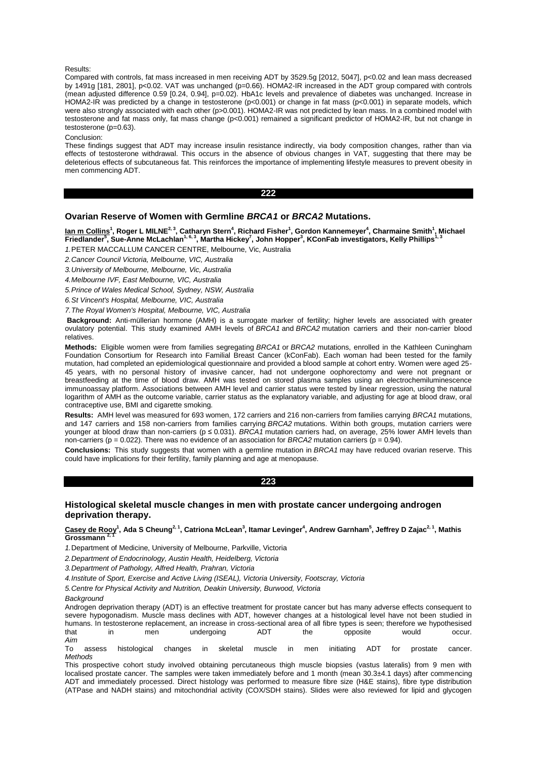#### Results:

Compared with controls, fat mass increased in men receiving ADT by 3529.5g [2012, 5047], p<0.02 and lean mass decreased by 1491g [181, 2801], p<0.02. VAT was unchanged (p=0.66). HOMA2-IR increased in the ADT group compared with controls (mean adjusted difference 0.59 [0.24, 0.94], p=0.02). HbA1c levels and prevalence of diabetes was unchanged. Increase in HOMA2-IR was predicted by a change in testosterone (p<0.001) or change in fat mass (p<0.001) in separate models, which were also strongly associated with each other (p>0.001). HOMA2-IR was not predicted by lean mass. In a combined model with testosterone and fat mass only, fat mass change (p<0.001) remained a significant predictor of HOMA2-IR, but not change in testosterone  $(n=0.63)$ .

Conclusion:

These findings suggest that ADT may increase insulin resistance indirectly, via body composition changes, rather than via effects of testosterone withdrawal. This occurs in the absence of obvious changes in VAT, suggesting that there may be deleterious effects of subcutaneous fat. This reinforces the importance of implementing lifestyle measures to prevent obesity in men commencing ADT.

**222** 

## **Ovarian Reserve of Women with Germline** *BRCA1* **or** *BRCA2* **Mutations.**

**Ian m Collins<sup>1</sup> , Roger L MILNE2, 3, Catharyn Stern<sup>4</sup> , Richard Fisher<sup>1</sup> , Gordon Kannemeyer<sup>4</sup> , Charmaine Smith<sup>1</sup> , Michael Friedlander<sup>5</sup> , Sue-Anne McLachlan1, 6, 3, Martha Hickey<sup>7</sup> , John Hopper<sup>3</sup> , KConFab investigators, Kelly Phillips1, 3**

*1.*PETER MACCALLUM CANCER CENTRE, Melbourne, Vic, Australia

*2.Cancer Council Victoria, Melbourne, VIC, Australia*

*3.University of Melbourne, Melbourne, Vic, Australia*

*4.Melbourne IVF, East Melbourne, VIC, Australia*

*5.Prince of Wales Medical School, Sydney, NSW, Australia*

*6.St Vincent's Hospital, Melbourne, VIC, Australia*

*7.The Royal Women's Hospital, Melbourne, VIC, Australia*

**Background:** Anti-müllerian hormone (AMH) is a surrogate marker of fertility; higher levels are associated with greater ovulatory potential. This study examined AMH levels of *BRCA1* and *BRCA2* mutation carriers and their non-carrier blood relatives.

**Methods:** Eligible women were from families segregating *BRCA1* or *BRCA2* mutations, enrolled in the Kathleen Cuningham Foundation Consortium for Research into Familial Breast Cancer (kConFab). Each woman had been tested for the family mutation, had completed an epidemiological questionnaire and provided a blood sample at cohort entry. Women were aged 25- 45 years, with no personal history of invasive cancer, had not undergone oophorectomy and were not pregnant or breastfeeding at the time of blood draw. AMH was tested on stored plasma samples using an electrochemiluminescence immunoassay platform. Associations between AMH level and carrier status were tested by linear regression, using the natural logarithm of AMH as the outcome variable, carrier status as the explanatory variable, and adjusting for age at blood draw, oral contraceptive use, BMI and cigarette smoking.

**Results:** AMH level was measured for 693 women, 172 carriers and 216 non-carriers from families carrying *BRCA1* mutations, and 147 carriers and 158 non-carriers from families carrying *BRCA2* mutations. Within both groups, mutation carriers were younger at blood draw than non-carriers (p ≤ 0.031). *BRCA1* mutation carriers had, on average, 25% lower AMH levels than non-carriers ( $p = 0.022$ ). There was no evidence of an association for *BRCA2* mutation carriers ( $p = 0.94$ ).

**Conclusions:** This study suggests that women with a germline mutation in *BRCA1* may have reduced ovarian reserve. This could have implications for their fertility, family planning and age at menopause.

**223** 

# **Histological skeletal muscle changes in men with prostate cancer undergoing androgen deprivation therapy.**

## **Casey de Rooy<sup>1</sup> , Ada S Cheung2, 1, Catriona McLean<sup>3</sup> , Itamar Levinger<sup>4</sup> , Andrew Garnham<sup>5</sup> , Jeffrey D Zajac2, 1, Mathis Grossmann 2, 1**

*1.*Department of Medicine, University of Melbourne, Parkville, Victoria

*2.Department of Endocrinology, Austin Health, Heidelberg, Victoria*

*3.Department of Pathology, Alfred Health, Prahran, Victoria*

*4.Institute of Sport, Exercise and Active Living (ISEAL), Victoria University, Footscray, Victoria*

*5.Centre for Physical Activity and Nutrition, Deakin University, Burwood, Victoria* 

*Background*

Androgen deprivation therapy (ADT) is an effective treatment for prostate cancer but has many adverse effects consequent to severe hypogonadism. Muscle mass declines with ADT, however changes at a histological level have not been studied in humans. In testosterone replacement, an increase in cross-sectional area of all fibre types is seen; therefore we hypothesised that in men undergoing ADT the opposite would occur. *Aim*

To assess histological changes in skeletal muscle in men initiating ADT for prostate cancer. *Methods*

This prospective cohort study involved obtaining percutaneous thigh muscle biopsies (vastus lateralis) from 9 men with localised prostate cancer. The samples were taken immediately before and 1 month (mean 30.3±4.1 days) after commencing ADT and immediately processed. Direct histology was performed to measure fibre size (H&E stains), fibre type distribution (ATPase and NADH stains) and mitochondrial activity (COX/SDH stains). Slides were also reviewed for lipid and glycogen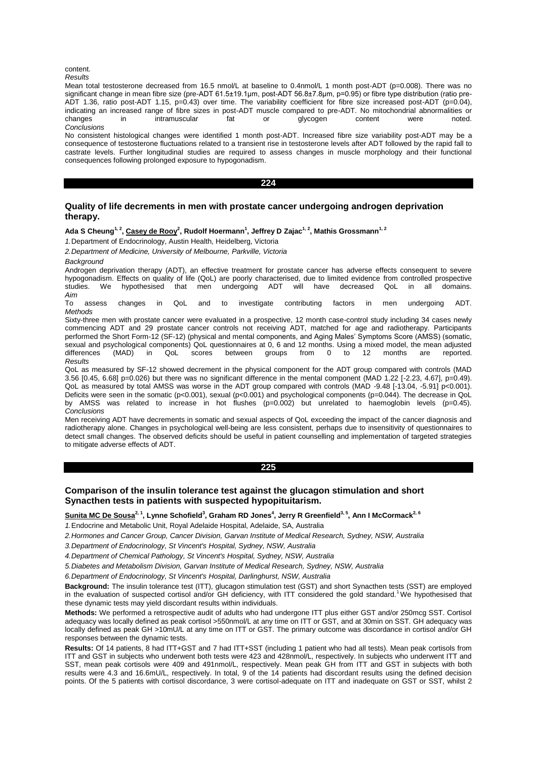#### content.

*Results* 

Mean total testosterone decreased from 16.5 nmol/L at baseline to 0.4nmol/L 1 month post-ADT (p=0.008). There was no significant change in mean fibre size (pre-ADT 61.5±19.1μm, post-ADT 56.8±7.8μm, p=0.95) or fibre type distribution (ratio pre-ADT 1.36, ratio post-ADT 1.15, p=0.43) over time. The variability coefficient for fibre size increased post-ADT (p=0.04), indicating an increased range of fibre sizes in post-ADT muscle compared to pre-ADT. No mitochondrial abnormalities or<br>changes in intramuscular fat or divcogen content were noted. changes in intramuscular fat or glycogen content were noted. *Conclusions*

No consistent histological changes were identified 1 month post-ADT. Increased fibre size variability post-ADT may be a consequence of testosterone fluctuations related to a transient rise in testosterone levels after ADT followed by the rapid fall to castrate levels. Further longitudinal studies are required to assess changes in muscle morphology and their functional consequences following prolonged exposure to hypogonadism.

#### **224**

# **Quality of life decrements in men with prostate cancer undergoing androgen deprivation therapy.**

## **Ada S Cheung1, 2 , Casey de Rooy<sup>2</sup> , Rudolf Hoermann<sup>1</sup> , Jeffrey D Zajac1, 2, Mathis Grossmann1, 2**

*1.*Department of Endocrinology, Austin Health, Heidelberg, Victoria

*2.Department of Medicine, University of Melbourne, Parkville, Victoria*

*Background*

Androgen deprivation therapy (ADT), an effective treatment for prostate cancer has adverse effects consequent to severe hypogonadism. Effects on quality of life (QoL) are poorly characterised, due to limited evidence from controlled prospective<br>studies. We hypothesised that men undergoing ADT will have decreased QoL in all domains. will have decreased *Aim*

To assess changes in QoL and to investigate contributing factors in men undergoing ADT. *Methods*

Sixty-three men with prostate cancer were evaluated in a prospective, 12 month case-control study including 34 cases newly commencing ADT and 29 prostate cancer controls not receiving ADT, matched for age and radiotherapy. Participants performed the Short Form-12 (SF-12) (physical and mental components, and Aging Males' Symptoms Score (AMSS) (somatic, sexual and psychological components) QoL questionnaires at 0, 6 and 12 months. Using a mixed model, the mean adjusted differences (MAD) in QoL scores between groups from 0 to 12 months are reported. *Results* 

QoL as measured by SF-12 showed decrement in the physical component for the ADT group compared with controls (MAD 3.56  $[0.45, 6.68]$  p=0.026) but there was no significant difference in the mental component (MAD 1.22 [-2.23, 4.67], p=0.49). QoL as measured by total AMSS was worse in the ADT group compared with controls (MAD -9.48 [-13.04, -5.91] p<0.001). Deficits were seen in the somatic (p<0.001), sexual (p<0.001) and psychological components (p=0.044). The decrease in QoL by AMSS was related to increase in hot flushes (p=0.002) but unrelated to haemoglobin levels (p=0.45). *Conclusions*

Men receiving ADT have decrements in somatic and sexual aspects of QoL exceeding the impact of the cancer diagnosis and radiotherapy alone. Changes in psychological well-being are less consistent, perhaps due to insensitivity of questionnaires to detect small changes. The observed deficits should be useful in patient counselling and implementation of targeted strategies to mitigate adverse effects of ADT.

#### **225**

# **Comparison of the insulin tolerance test against the glucagon stimulation and short Synacthen tests in patients with suspected hypopituitarism.**

**Sunita MC De Sousa2, 1, Lynne Schofield<sup>3</sup> , Graham RD Jones<sup>4</sup> , Jerry R Greenfield3, 5, Ann I McCormack2, 6**

*1.*Endocrine and Metabolic Unit, Royal Adelaide Hospital, Adelaide, SA, Australia

- *2.Hormones and Cancer Group, Cancer Division, Garvan Institute of Medical Research, Sydney, NSW, Australia*
- *3.Department of Endocrinology, St Vincent's Hospital, Sydney, NSW, Australia*

*4.Department of Chemical Pathology, St Vincent's Hospital, Sydney, NSW, Australia*

*5.Diabetes and Metabolism Division, Garvan Institute of Medical Research, Sydney, NSW, Australia*

*6.Department of Endocrinology, St Vincent's Hospital, Darlinghurst, NSW, Australia*

**Background:** The insulin tolerance test (ITT), glucagon stimulation test (GST) and short Synacthen tests (SST) are employed in the evaluation of suspected cortisol and/or GH deficiency, with ITT considered the gold standard.<sup>1</sup>We hypothesised that these dynamic tests may yield discordant results within individuals.

**Methods:** We performed a retrospective audit of adults who had undergone ITT plus either GST and/or 250mcg SST. Cortisol adequacy was locally defined as peak cortisol >550nmol/L at any time on ITT or GST, and at 30min on SST. GH adequacy was locally defined as peak GH >10mU/L at any time on ITT or GST. The primary outcome was discordance in cortisol and/or GH responses between the dynamic tests.

**Results:** Of 14 patients, 8 had ITT+GST and 7 had ITT+SST (including 1 patient who had all tests). Mean peak cortisols from ITT and GST in subjects who underwent both tests were 423 and 428nmol/L, respectively. In subjects who underwent ITT and SST, mean peak cortisols were 409 and 491nmol/L, respectively. Mean peak GH from ITT and GST in subjects with both results were 4.3 and 16.6mU/L, respectively. In total, 9 of the 14 patients had discordant results using the defined decision points. Of the 5 patients with cortisol discordance, 3 were cortisol-adequate on ITT and inadequate on GST or SST, whilst 2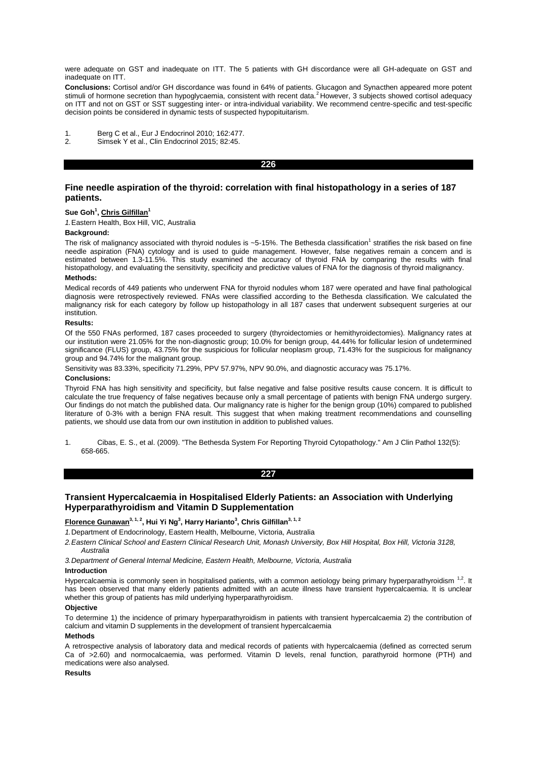were adequate on GST and inadequate on ITT. The 5 patients with GH discordance were all GH-adequate on GST and inadequate on ITT.

**Conclusions:** Cortisol and/or GH discordance was found in 64% of patients. Glucagon and Synacthen appeared more potent<br>stimuli of hormone secretion than hypoglycaemia, consistent with recent data.<sup>2</sup> However, 3 subjects s on ITT and not on GST or SST suggesting inter- or intra-individual variability. We recommend centre-specific and test-specific decision points be considered in dynamic tests of suspected hypopituitarism.

- 1. Berg C et al., Eur J Endocrinol 2010; 162:477.<br>2. Simsek Y et al., Clin Endocrinol 2015; 82:45.
- Simsek Y et al., Clin Endocrinol 2015; 82:45.

#### **226**

# **Fine needle aspiration of the thyroid: correlation with final histopathology in a series of 187 patients.**

#### **Sue Goh<sup>1</sup> , Chris Gilfillan<sup>1</sup>**

*1.*Eastern Health, Box Hill, VIC, Australia

#### **Background:**

The risk of malignancy associated with thyroid nodules is ~5-15%. The Bethesda classification<sup>1</sup> stratifies the risk based on fine needle aspiration (FNA) cytology and is used to guide management. However, false negatives remain a concern and is estimated between 1.3-11.5%. This study examined the accuracy of thyroid FNA by comparing the results with final histopathology, and evaluating the sensitivity, specificity and predictive values of FNA for the diagnosis of thyroid malignancy.

#### **Methods:**

Medical records of 449 patients who underwent FNA for thyroid nodules whom 187 were operated and have final pathological diagnosis were retrospectively reviewed. FNAs were classified according to the Bethesda classification. We calculated the malignancy risk for each category by follow up histopathology in all 187 cases that underwent subsequent surgeries at our institution.

#### **Results:**

Of the 550 FNAs performed, 187 cases proceeded to surgery (thyroidectomies or hemithyroidectomies). Malignancy rates at our institution were 21.05% for the non-diagnostic group; 10.0% for benign group, 44.44% for follicular lesion of undetermined significance (FLUS) group, 43.75% for the suspicious for follicular neoplasm group, 71.43% for the suspicious for malignancy group and 94.74% for the malignant group.

Sensitivity was 83.33%, specificity 71.29%, PPV 57.97%, NPV 90.0%, and diagnostic accuracy was 75.17%.

#### **Conclusions:**

Thyroid FNA has high sensitivity and specificity, but false negative and false positive results cause concern. It is difficult to calculate the true frequency of false negatives because only a small percentage of patients with benign FNA undergo surgery. Our findings do not match the published data. Our malignancy rate is higher for the benign group (10%) compared to published literature of 0-3% with a benign FNA result. This suggest that when making treatment recommendations and counselling patients, we should use data from our own institution in addition to published values.

1. Cibas, E. S., et al. (2009). "The Bethesda System For Reporting Thyroid Cytopathology." Am J Clin Pathol 132(5): 658-665.

## **227**

# **Transient Hypercalcaemia in Hospitalised Elderly Patients: an Association with Underlying Hyperparathyroidism and Vitamin D Supplementation**

## **Florence Gunawan3, 1, 2, Hui Yi Ng<sup>3</sup> , Harry Harianto<sup>3</sup> , Chris Gilfillan3, 1, 2**

*1.*Department of Endocrinology, Eastern Health, Melbourne, Victoria, Australia

*2.Eastern Clinical School and Eastern Clinical Research Unit, Monash University, Box Hill Hospital, Box Hill, Victoria 3128, Australia*

*3.Department of General Internal Medicine, Eastern Health, Melbourne, Victoria, Australia*

## **Introduction**

Hypercalcaemia is commonly seen in hospitalised patients, with a common aetiology being primary hyperparathyroidism <sup>1,2</sup>. It has been observed that many elderly patients admitted with an acute illness have transient hypercalcaemia. It is unclear whether this group of patients has mild underlying hyperparathyroidism.

#### **Objective**

To determine 1) the incidence of primary hyperparathyroidism in patients with transient hypercalcaemia 2) the contribution of calcium and vitamin D supplements in the development of transient hypercalcaemia

## **Methods**

A retrospective analysis of laboratory data and medical records of patients with hypercalcaemia (defined as corrected serum Ca of >2.60) and normocalcaemia, was performed. Vitamin D levels, renal function, parathyroid hormone (PTH) and medications were also analysed.

#### **Results**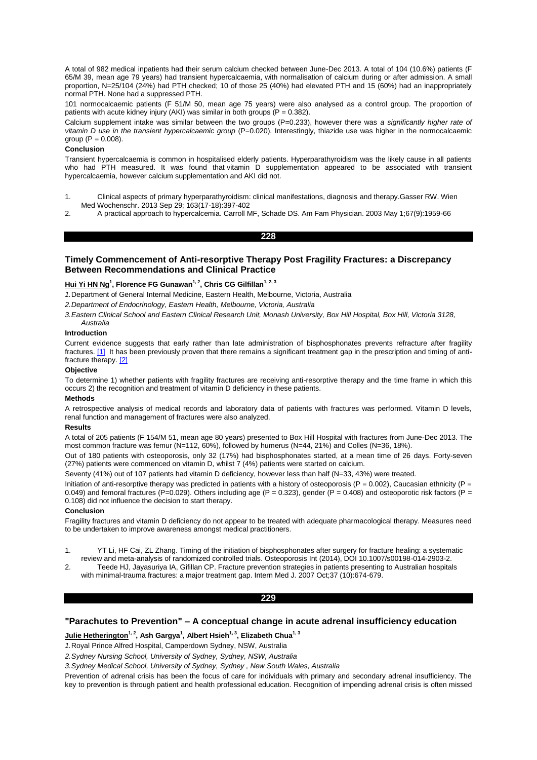A total of 982 medical inpatients had their serum calcium checked between June-Dec 2013. A total of 104 (10.6%) patients (F 65/M 39, mean age 79 years) had transient hypercalcaemia, with normalisation of calcium during or after admission. A small proportion, N=25/104 (24%) had PTH checked; 10 of those 25 (40%) had elevated PTH and 15 (60%) had an inappropriately normal PTH. None had a suppressed PTH.

101 normocalcaemic patients (F 51/M 50, mean age 75 years) were also analysed as a control group. The proportion of patients with acute kidney injury (AKI) was similar in both groups  $(P = 0.382)$ .

Calcium supplement intake was similar between the two groups (P=0.233), however there was *a significantly higher rate of vitamin D use in the transient hypercalcaemic group* (P=0.020). Interestingly, thiazide use was higher in the normocalcaemic aroup  $(P = 0.008)$ .

### **Conclusion**

Transient hypercalcaemia is common in hospitalised elderly patients. Hyperparathyroidism was the likely cause in all patients who had PTH measured. It was found that vitamin D supplementation appeared to be associated with transient hypercalcaemia, however calcium supplementation and AKI did not.

- 1. Clinical aspects of primary hyperparathyroidism: clinical manifestations, diagnosis and therapy.Gasser RW. Wien Med Wochenschr. 2013 Sep 29; 163(17-18):397-402
- 2. A practical approach to hypercalcemia. Carroll MF, Schade DS. Am Fam Physician. 2003 May 1;67(9):1959-66

**228** 

# **Timely Commencement of Anti-resorptive Therapy Post Fragility Fractures: a Discrepancy Between Recommendations and Clinical Practice**

## **Hui Yi HN Ng<sup>1</sup> , Florence FG Gunawan1, 2, Chris CG Gilfillan1, 2, 3**

*1.*Department of General Internal Medicine, Eastern Health, Melbourne, Victoria, Australia

*2.Department of Endocrinology, Eastern Health, Melbourne, Victoria, Australia*

*3.Eastern Clinical School and Eastern Clinical Research Unit, Monash University, Box Hill Hospital, Box Hill, Victoria 3128, Australia*

### **Introduction**

Current evidence suggests that early rather than late administration of bisphosphonates prevents refracture after fragility fractures. [1] It has been previously proven that there remains a significant treatment gap in the prescription and timing of antifracture therapy. [2]

# **Objective**

To determine 1) whether patients with fragility fractures are receiving anti-resorptive therapy and the time frame in which this occurs 2) the recognition and treatment of vitamin D deficiency in these patients.

# **Methods**

A retrospective analysis of medical records and laboratory data of patients with fractures was performed. Vitamin D levels, renal function and management of fractures were also analyzed.

### **Results**

A total of 205 patients (F 154/M 51, mean age 80 years) presented to Box Hill Hospital with fractures from June-Dec 2013. The most common fracture was femur (N=112, 60%), followed by humerus (N=44, 21%) and Colles (N=36, 18%).

Out of 180 patients with osteoporosis, only 32 (17%) had bisphosphonates started, at a mean time of 26 days. Forty-seven (27%) patients were commenced on vitamin D, whilst 7 (4%) patients were started on calcium.

Seventy (41%) out of 107 patients had vitamin D deficiency, however less than half (N=33, 43%) were treated.

Initiation of anti-resorptive therapy was predicted in patients with a history of osteoporosis ( $P = 0.002$ ), Caucasian ethnicity ( $P =$ 0.049) and femoral fractures (P=0.029). Others including age (P = 0.323), gender (P = 0.408) and osteoporotic risk factors (P = 0.108) did not influence the decision to start therapy.

## **Conclusion**

Fragility fractures and vitamin D deficiency do not appear to be treated with adequate pharmacological therapy. Measures need to be undertaken to improve awareness amongst medical practitioners.

- 1. YT Li, HF Cai, ZL Zhang. Timing of the initiation of bisphosphonates after surgery for fracture healing: a systematic review and meta-analysis of randomized controlled trials. Osteoporosis Int (2014), DOI 10.1007/s00198-014-2903-2.
- 2. Teede HJ, Jayasuriya IA, Gifillan CP. Fracture prevention strategies in patients presenting to Australian hospitals with minimal-trauma fractures: a major treatment gap. Intern Med J. 2007 Oct;37 (10):674-679.

# **229**

# **"Parachutes to Prevention" – A conceptual change in acute adrenal insufficiency education**

**Julie Hetherington1, 2, Ash Gargya<sup>1</sup> , Albert Hsieh1, 3, Elizabeth Chua1, 3**

*1.*Royal Prince Alfred Hospital, Camperdown Sydney, NSW, Australia

*2.Sydney Nursing School, University of Sydney, Sydney, NSW, Australia*

*3.Sydney Medical School, University of Sydney, Sydney , New South Wales, Australia*

Prevention of adrenal crisis has been the focus of care for individuals with primary and secondary adrenal insufficiency. The key to prevention is through patient and health professional education. Recognition of impending adrenal crisis is often missed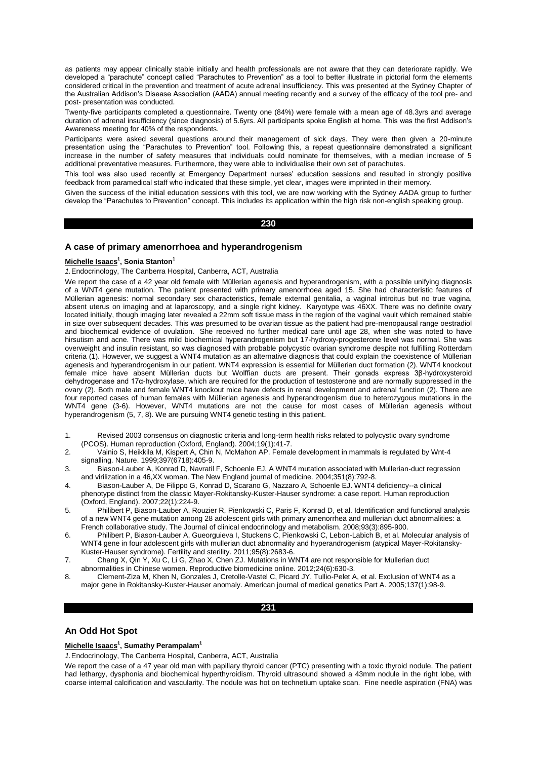as patients may appear clinically stable initially and health professionals are not aware that they can deteriorate rapidly. We developed a "parachute" concept called "Parachutes to Prevention" as a tool to better illustrate in pictorial form the elements considered critical in the prevention and treatment of acute adrenal insufficiency. This was presented at the Sydney Chapter of the Australian Addison's Disease Association (AADA) annual meeting recently and a survey of the efficacy of the tool pre- and post- presentation was conducted.

Twenty-five participants completed a questionnaire. Twenty one (84%) were female with a mean age of 48.3yrs and average duration of adrenal insufficiency (since diagnosis) of 5.6yrs. All participants spoke English at home. This was the first Addison's Awareness meeting for 40% of the respondents.

Participants were asked several questions around their management of sick days. They were then given a 20-minute presentation using the "Parachutes to Prevention" tool. Following this, a repeat questionnaire demonstrated a significant increase in the number of safety measures that individuals could nominate for themselves, with a median increase of 5 additional preventative measures. Furthermore, they were able to individualise their own set of parachutes.

This tool was also used recently at Emergency Department nurses' education sessions and resulted in strongly positive feedback from paramedical staff who indicated that these simple, yet clear, images were imprinted in their memory.

Given the success of the initial education sessions with this tool, we are now working with the Sydney AADA group to further develop the "Parachutes to Prevention" concept. This includes its application within the high risk non-english speaking group.

# **230**

# **A case of primary amenorrhoea and hyperandrogenism**

## **Michelle Isaacs<sup>1</sup> , Sonia Stanton<sup>1</sup>**

*1.*Endocrinology, The Canberra Hospital, Canberra, ACT, Australia

We report the case of a 42 year old female with Müllerian agenesis and hyperandrogenism, with a possible unifying diagnosis of a WNT4 gene mutation. The patient presented with primary amenorrhoea aged 15. She had characteristic features of Müllerian agenesis: normal secondary sex characteristics, female external genitalia, a vaginal introitus but no true vagina, absent uterus on imaging and at laparoscopy, and a single right kidney. Karyotype was 46XX. There was no definite ovary located initially, though imaging later revealed a 22mm soft tissue mass in the region of the vaginal vault which remained stable in size over subsequent decades. This was presumed to be ovarian tissue as the patient had pre-menopausal range oestradiol and biochemical evidence of ovulation. She received no further medical care until age 28, when she was noted to have hirsutism and acne. There was mild biochemical hyperandrogenism but 17-hydroxy-progesterone level was normal. She was overweight and insulin resistant, so was diagnosed with probable polycystic ovarian syndrome despite not fulfilling Rotterdam criteria (1). However, we suggest a WNT4 mutation as an alternative diagnosis that could explain the coexistence of Müllerian agenesis and hyperandrogenism in our patient. WNT4 expression is essential for Müllerian duct formation (2). WNT4 knockout female mice have absent Müllerian ducts but Wolffian ducts are present. Their gonads express 3β-hydroxysteroid dehydrogenase and 17α-hydroxylase, which are required for the production of testosterone and are normally suppressed in the ovary (2). Both male and female WNT4 knockout mice have defects in renal development and adrenal function (2). There are four reported cases of human females with Müllerian agenesis and hyperandrogenism due to heterozygous mutations in the WNT4 gene (3-6). However, WNT4 mutations are not the cause for most cases of Müllerian agenesis without hyperandrogenism (5, 7, 8). We are pursuing WNT4 genetic testing in this patient.

- 1. Revised 2003 consensus on diagnostic criteria and long-term health risks related to polycystic ovary syndrome (PCOS). Human reproduction (Oxford, England). 2004;19(1):41-7.
- 2. Vainio S, Heikkila M, Kispert A, Chin N, McMahon AP. Female development in mammals is regulated by Wnt-4 signalling. Nature. 1999;397(6718):405-9.
- 3. Biason-Lauber A, Konrad D, Navratil F, Schoenle EJ. A WNT4 mutation associated with Mullerian-duct regression and virilization in a 46,XX woman. The New England journal of medicine. 2004;351(8):792-8.
- 4. Biason-Lauber A, De Filippo G, Konrad D, Scarano G, Nazzaro A, Schoenle EJ. WNT4 deficiency--a clinical phenotype distinct from the classic Mayer-Rokitansky-Kuster-Hauser syndrome: a case report. Human reproduction (Oxford, England). 2007;22(1):224-9.
- 5. Philibert P, Biason-Lauber A, Rouzier R, Pienkowski C, Paris F, Konrad D, et al. Identification and functional analysis of a new WNT4 gene mutation among 28 adolescent girls with primary amenorrhea and mullerian duct abnormalities: a French collaborative study. The Journal of clinical endocrinology and metabolism. 2008;93(3):895-900.
- 6. Philibert P, Biason-Lauber A, Gueorguieva I, Stuckens C, Pienkowski C, Lebon-Labich B, et al. Molecular analysis of WNT4 gene in four adolescent girls with mullerian duct abnormality and hyperandrogenism (atypical Mayer-Rokitansky-Kuster-Hauser syndrome). Fertility and sterility. 2011;95(8):2683-6.
- 7. Chang X, Qin Y, Xu C, Li G, Zhao X, Chen ZJ. Mutations in WNT4 are not responsible for Mullerian duct abnormalities in Chinese women. Reproductive biomedicine online. 2012;24(6):630-3.
- 8. Clement-Ziza M, Khen N, Gonzales J, Cretolle-Vastel C, Picard JY, Tullio-Pelet A, et al. Exclusion of WNT4 as a major gene in Rokitansky-Kuster-Hauser anomaly. American journal of medical genetics Part A. 2005;137(1):98-9.

## **231**

## **An Odd Hot Spot**

#### **Michelle Isaacs<sup>1</sup> , Sumathy Perampalam<sup>1</sup>**

*1.*Endocrinology, The Canberra Hospital, Canberra, ACT, Australia

We report the case of a 47 year old man with papillary thyroid cancer (PTC) presenting with a toxic thyroid nodule. The patient had lethargy, dysphonia and biochemical hyperthyroidism. Thyroid ultrasound showed a 43mm nodule in the right lobe, with coarse internal calcification and vascularity. The nodule was hot on technetium uptake scan. Fine needle aspiration (FNA) was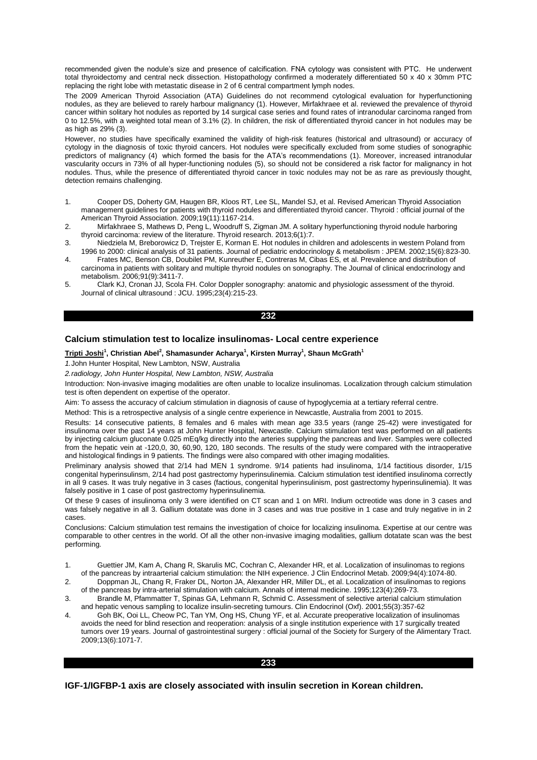recommended given the nodule's size and presence of calcification. FNA cytology was consistent with PTC. He underwent total thyroidectomy and central neck dissection. Histopathology confirmed a moderately differentiated 50 x 40 x 30mm PTC replacing the right lobe with metastatic disease in 2 of 6 central compartment lymph nodes.

The 2009 American Thyroid Association (ATA) Guidelines do not recommend cytological evaluation for hyperfunctioning nodules, as they are believed to rarely harbour malignancy (1). However, Mirfakhraee et al. reviewed the prevalence of thyroid cancer within solitary hot nodules as reported by 14 surgical case series and found rates of intranodular carcinoma ranged from 0 to 12.5%, with a weighted total mean of 3.1% (2). In children, the risk of differentiated thyroid cancer in hot nodules may be as high as 29% (3).

However, no studies have specifically examined the validity of high-risk features (historical and ultrasound) or accuracy of cytology in the diagnosis of toxic thyroid cancers. Hot nodules were specifically excluded from some studies of sonographic predictors of malignancy (4) which formed the basis for the ATA's recommendations (1). Moreover, increased intranodular vascularity occurs in 73% of all hyper-functioning nodules (5), so should not be considered a risk factor for malignancy in hot nodules. Thus, while the presence of differentiated thyroid cancer in toxic nodules may not be as rare as previously thought, detection remains challenging.

- 1. Cooper DS, Doherty GM, Haugen BR, Kloos RT, Lee SL, Mandel SJ, et al. Revised American Thyroid Association management guidelines for patients with thyroid nodules and differentiated thyroid cancer. Thyroid : official journal of the American Thyroid Association. 2009;19(11):1167-214.
- 2. Mirfakhraee S, Mathews D, Peng L, Woodruff S, Zigman JM. A solitary hyperfunctioning thyroid nodule harboring thyroid carcinoma: review of the literature. Thyroid research. 2013;6(1):7.
- 3. Niedziela M, Breborowicz D, Trejster E, Korman E. Hot nodules in children and adolescents in western Poland from 1996 to 2000: clinical analysis of 31 patients. Journal of pediatric endocrinology & metabolism : JPEM. 2002;15(6):823-30.
- 4. Frates MC, Benson CB, Doubilet PM, Kunreuther E, Contreras M, Cibas ES, et al. Prevalence and distribution of carcinoma in patients with solitary and multiple thyroid nodules on sonography. The Journal of clinical endocrinology and metabolism. 2006;91(9):3411-7.
- 5. Clark KJ, Cronan JJ, Scola FH. Color Doppler sonography: anatomic and physiologic assessment of the thyroid. Journal of clinical ultrasound : JCU. 1995;23(4):215-23.

## **232**

# **Calcium stimulation test to localize insulinomas- Local centre experience**

### **Tripti Joshi<sup>1</sup> , Christian Abel<sup>2</sup> , Shamasunder Acharya<sup>1</sup> , Kirsten Murray<sup>1</sup> , Shaun McGrath<sup>1</sup>**

*1.*John Hunter Hospital, New Lambton, NSW, Australia

# *2.radiology, John Hunter Hospital, New Lambton, NSW, Australia*

Introduction: Non-invasive imaging modalities are often unable to localize insulinomas. Localization through calcium stimulation test is often dependent on expertise of the operator.

Aim: To assess the accuracy of calcium stimulation in diagnosis of cause of hypoglycemia at a tertiary referral centre.

Method: This is a retrospective analysis of a single centre experience in Newcastle, Australia from 2001 to 2015.

Results: 14 consecutive patients, 8 females and 6 males with mean age 33.5 years (range 25-42) were investigated for insulinoma over the past 14 years at John Hunter Hospital, Newcastle. Calcium stimulation test was performed on all patients by injecting calcium gluconate 0.025 mEq/kg directly into the arteries supplying the pancreas and liver. Samples were collected from the hepatic vein at -120,0, 30, 60,90, 120, 180 seconds. The results of the study were compared with the intraoperative and histological findings in 9 patients. The findings were also compared with other imaging modalities.

Preliminary analysis showed that 2/14 had MEN 1 syndrome. 9/14 patients had insulinoma, 1/14 factitious disorder, 1/15 congenital hyperinsulinsm, 2/14 had post gastrectomy hyperinsulinemia. Calcium stimulation test identified insulinoma correctly in all 9 cases. It was truly negative in 3 cases (factious, congenital hyperinsulinism, post gastrectomy hyperinsulinemia). It was falsely positive in 1 case of post gastrectomy hyperinsulinemia.

Of these 9 cases of insulinoma only 3 were identified on CT scan and 1 on MRI. Indium octreotide was done in 3 cases and was falsely negative in all 3. Gallium dotatate was done in 3 cases and was true positive in 1 case and truly negative in in 2 cases.

Conclusions: Calcium stimulation test remains the investigation of choice for localizing insulinoma. Expertise at our centre was comparable to other centres in the world. Of all the other non-invasive imaging modalities, gallium dotatate scan was the best performing.

- 2. Doppman JL, Chang R, Fraker DL, Norton JA, Alexander HR, Miller DL, et al. Localization of insulinomas to regions of the pancreas by intra-arterial stimulation with calcium. Annals of internal medicine. 1995;123(4):269-73.
- 3. Brandle M, Pfammatter T, Spinas GA, Lehmann R, Schmid C. Assessment of selective arterial calcium stimulation and hepatic venous sampling to localize insulin-secreting tumours. Clin Endocrinol (Oxf). 2001;55(3):357-62
- 4. Goh BK, Ooi LL, Cheow PC, Tan YM, Ong HS, Chung YF, et al. Accurate preoperative localization of insulinomas avoids the need for blind resection and reoperation: analysis of a single institution experience with 17 surgically treated tumors over 19 years. Journal of gastrointestinal surgery : official journal of the Society for Surgery of the Alimentary Tract. 2009;13(6):1071-7.

# **233**

**IGF-1/IGFBP-1 axis are closely associated with insulin secretion in Korean children.**

<sup>1.</sup> Guettier JM, Kam A, Chang R, Skarulis MC, Cochran C, Alexander HR, et al. Localization of insulinomas to regions of the pancreas by intraarterial calcium stimulation: the NIH experience. J Clin Endocrinol Metab. 2009;94(4):1074-80.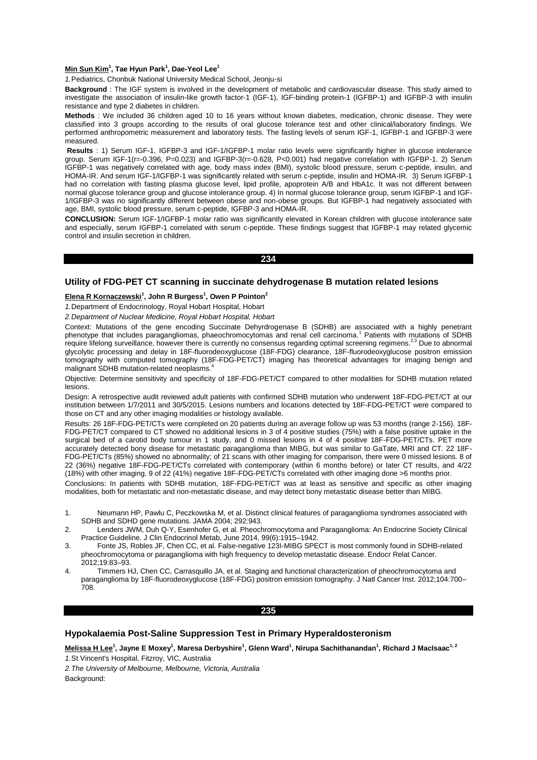## **Min Sun Kim<sup>1</sup> , Tae Hyun Park<sup>1</sup> , Dae-Yeol Lee<sup>1</sup>**

*1.*Pediatrics, Chonbuk National University Medical School, Jeonju-si

**Background** : The IGF system is involved in the development of metabolic and cardiovascular disease. This study aimed to investigate the association of insulin-like growth factor-1 (IGF-1), IGF-binding protein-1 (IGFBP-1) and IGFBP-3 with insulin resistance and type 2 diabetes in children.

**Methods** : We included 36 children aged 10 to 16 years without known diabetes, medication, chronic disease. They were classified into 3 groups according to the results of oral glucose tolerance test and other clinical/laboratory findings. We performed anthropometric measurement and laboratory tests. The fasting levels of serum IGF-1, IGFBP-1 and IGFBP-3 were measured.

**Results** : 1) Serum IGF-1, IGFBP-3 and IGF-1/IGFBP-1 molar ratio levels were significantly higher in glucose intolerance group. Serum IGF-1(r=-0.396, P=0.023) and IGFBP-3(r=-0.628, P<0.001) had negative correlation with IGFBP-1. 2) Serum IGFBP-1 was negatively correlated with age, body mass index (BMI), systolic blood pressure, serum c-peptide, insulin, and HOMA-IR. And serum IGF-1/IGFBP-1 was significantly related with serum c-peptide, insulin and HOMA-IR. 3) Serum IGFBP-1 had no correlation with fasting plasma glucose level, lipid profile, apoprotein A/B and HbA1c. It was not different between normal glucose tolerance group and glucose intolerance group. 4) In normal glucose tolerance group, serum IGFBP-1 and IGF-1/IGFBP-3 was no significantly different between obese and non-obese groups. But IGFBP-1 had negatively associated with age, BMI, systolic blood pressure, serum c-peptide, IGFBP-3 and HOMA-IR.

**CONCLUSION:** Serum IGF-1/IGFBP-1 molar ratio was significantly elevated in Korean children with glucose intolerance sate and especially, serum IGFBP-1 correlated with serum c-peptide. These findings suggest that IGFBP-1 may related glycemic control and insulin secretion in children.

**234** 

# **Utility of FDG-PET CT scanning in succinate dehydrogenase B mutation related lesions**

#### **Elena R Kornaczewski<sup>1</sup> , John R Burgess<sup>1</sup> , Owen P Pointon<sup>2</sup>**

*1.*Department of Endocrinology, Royal Hobart Hospital, Hobart

*2.Department of Nuclear Medicine, Royal Hobart Hospital, Hobart*

Context: Mutations of the gene encoding Succinate Dehyrdrogenase B (SDHB) are associated with a highly penetrant phenotype that includes paragangliomas, phaeochromocytomas and renal cell carcinoma.<sup>1</sup> Patients with mutations of SDHB require lifelong surveillance, however there is currently no consensus regarding optimal screening regimens.2,3 Due to abnormal glycolytic processing and delay in 18F-fluorodeoxyglucose (18F-FDG) clearance, 18F-fluorodeoxyglucose positron emission tomography with computed tomography (18F-FDG-PET/CT) imaging has theoretical advantages for imaging benign and malignant SDHB mutation-related neoplasms.<sup>4</sup>

Objective: Determine sensitivity and specificity of 18F-FDG-PET/CT compared to other modalities for SDHB mutation related lesions.

Design: A retrospective audit reviewed adult patients with confirmed SDHB mutation who underwent 18F-FDG-PET/CT at our institution between 1/7/2011 and 30/5/2015. Lesions numbers and locations detected by 18F-FDG-PET/CT were compared to those on CT and any other imaging modalities or histology available.

Results: 26 18F-FDG-PET/CTs were completed on 20 patients during an average follow up was 53 months (range 2-156). 18F-FDG-PET/CT compared to CT showed no additional lesions in 3 of 4 positive studies (75%) with a false positive uptake in the surgical bed of a carotid body tumour in 1 study, and 0 missed lesions in 4 of 4 positive 18F-FDG-PET/CTs. PET more accurately detected bony disease for metastatic paraganglioma than MIBG, but was similar to GaTate, MRI and CT. 22 18F-FDG-PET/CTs (85%) showed no abnormality; of 21 scans with other imaging for comparison, there were 0 missed lesions. 8 of 22 (36%) negative 18F-FDG-PET/CTs correlated with contemporary (within 6 months before) or later CT results, and 4/22 (18%) with other imaging. 9 of 22 (41%) negative 18F-FDG-PET/CTs correlated with other imaging done >6 months prior.

Conclusions: In patients with SDHB mutation, 18F-FDG-PET/CT was at least as sensitive and specific as other imaging modalities, both for metastatic and non-metastatic disease, and may detect bony metastatic disease better than MIBG.

- 1. Neumann HP, Pawlu C, Peczkowska M, et al. Distinct clinical features of paraganglioma syndromes associated with SDHB and SDHD gene mutations. JAMA 2004; 292:943.
- 2. Lenders JWM, Duh Q-Y, Esenhofer G, et al. Pheochromocytoma and Paraganglioma: An Endocrine Society Clinical Practice Guideline. J Clin Endocrinol Metab, June 2014, 99(6):1915–1942.
- 3. Fonte JS, Robles JF, Chen CC, et al. False-negative 123I-MIBG SPECT is most commonly found in SDHB-related pheochromocytoma or paraganglioma with high frequency to develop metastatic disease. Endocr Relat Cancer. 2012;19:83–93.
- 4. Timmers HJ, Chen CC, Carrasquillo JA, et al. Staging and functional characterization of pheochromocytoma and paraganglioma by 18F-fluorodeoxyglucose (18F-FDG) positron emission tomography. J Natl Cancer Inst. 2012;104:700– .<br>708.

#### **235**

# **Hypokalaemia Post-Saline Suppression Test in Primary Hyperaldosteronism**

**Melissa H Lee<sup>1</sup> , Jayne E Moxey<sup>1</sup> , Maresa Derbyshire<sup>1</sup> , Glenn Ward<sup>1</sup> , Nirupa Sachithanandan<sup>1</sup> , Richard J MacIsaac1, 2** *1.*St Vincent's Hospital, Fitzroy, VIC, Australia

*2.The University of Melbourne, Melbourne, Victoria, Australia* Background: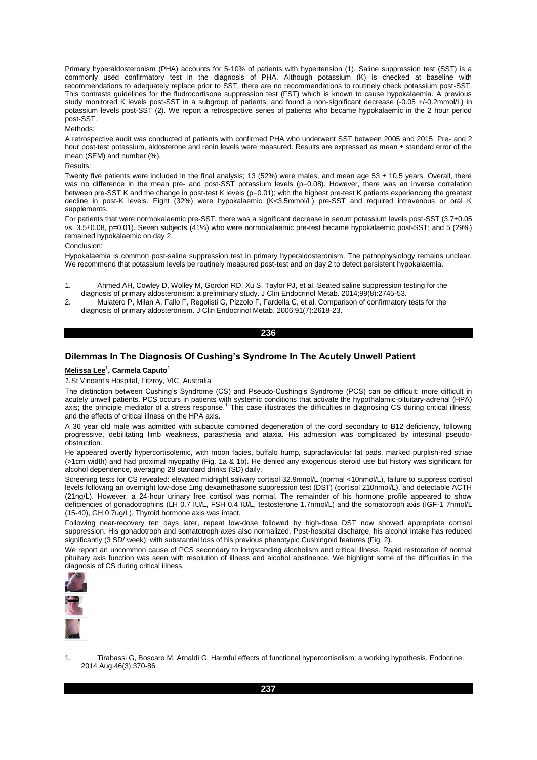Primary hyperaldosteronism (PHA) accounts for 5-10% of patients with hypertension (1). Saline suppression test (SST) is a commonly used confirmatory test in the diagnosis of PHA. Although potassium (K) is checked at baseline with recommendations to adequately replace prior to SST, there are no recommendations to routinely check potassium post-SST. This contrasts guidelines for the fludrocortisone suppression test (FST) which is known to cause hypokalaemia. A previous study monitored K levels post-SST in a subgroup of patients, and found a non-significant decrease (-0.05 +/-0.2mmol/L) in potassium levels post-SST (2). We report a retrospective series of patients who became hypokalaemic in the 2 hour period post-SST.

#### Methods:

A retrospective audit was conducted of patients with confirmed PHA who underwent SST between 2005 and 2015. Pre- and 2 hour post-test potassium, aldosterone and renin levels were measured. Results are expressed as mean ± standard error of the mean (SEM) and number (%).

# Results:

Twenty five patients were included in the final analysis; 13 (52%) were males, and mean age 53  $\pm$  10.5 years. Overall, there was no difference in the mean pre- and post-SST potassium levels (p=0.08). However, there was an inverse correlation between pre-SST K and the change in post-test K levels (p=0.01); with the highest pre-test K patients experiencing the greatest decline in post-K levels. Eight (32%) were hypokalaemic (K<3.5mmol/L) pre-SST and required intravenous or oral K supplements.

For patients that were normokalaemic pre-SST, there was a significant decrease in serum potassium levels post-SST (3.7±0.05 vs. 3.5±0.08, p=0.01). Seven subjects (41%) who were normokalaemic pre-test became hypokalaemic post-SST; and 5 (29%) remained hypokalaemic on day 2.

#### Conclusion:

Hypokalaemia is common post-saline suppression test in primary hyperaldosteronism. The pathophysiology remains unclear. We recommend that potassium levels be routinely measured post-test and on day 2 to detect persistent hypokalaemia.

- 1. Ahmed AH, Cowley D, Wolley M, Gordon RD, Xu S, Taylor PJ, et al. Seated saline suppression testing for the diagnosis of primary aldosteronism: a preliminary study. J Clin Endocrinol Metab. 2014;99(8):2745-53.
- 2. Mulatero P, Milan A, Fallo F, Regolisti G, Pizzolo F, Fardella C, et al. Comparison of confirmatory tests for the diagnosis of primary aldosteronism. J Clin Endocrinol Metab. 2006;91(7):2618-23.

## **236**

# **Dilemmas In The Diagnosis Of Cushing's Syndrome In The Acutely Unwell Patient**

#### **Melissa Lee<sup>1</sup> , Carmela Caputo<sup>1</sup>**

*1.*St Vincent's Hospital, Fitzroy, VIC, Australia

The distinction between Cushing's Syndrome (CS) and Pseudo-Cushing's Syndrome (PCS) can be difficult: more difficult in acutely unwell patients. PCS occurs in patients with systemic conditions that activate the hypothalamic-pituitary-adrenal (HPA) axis; the principle mediator of a stress response.<sup>1</sup> This case illustrates the difficulties in diagnosing CS during critical illness; and the effects of critical illness on the HPA axis.

A 36 year old male was admitted with subacute combined degeneration of the cord secondary to B12 deficiency, following progressive, debilitating limb weakness, parasthesia and ataxia. His admission was complicated by intestinal pseudoobstruction.

He appeared overtly hypercortisolemic, with moon facies, buffalo hump, supraclavicular fat pads, marked purplish-red striae (>1cm width) and had proximal myopathy (Fig. 1a & 1b). He denied any exogenous steroid use but history was significant for alcohol dependence, averaging 28 standard drinks (SD) daily.

Screening tests for CS revealed: elevated midnight salivary cortisol 32.9nmol/L (normal <10nmol/L), failure to suppress cortisol levels following an overnight low-dose 1mg dexamethasone suppression test (DST) (cortisol 210nmol/L), and detectable ACTH (21ng/L). However, a 24-hour urinary free cortisol was normal. The remainder of his hormone profile appeared to show deficiencies of gonadotrophins (LH 0.7 IU/L, FSH 0.4 IU/L, testosterone 1.7nmol/L) and the somatotroph axis (IGF-1 7nmol/L (15-40), GH 0.7ug/L). Thyroid hormone axis was intact.

Following near-recovery ten days later, repeat low-dose followed by high-dose DST now showed appropriate cortisol suppression. His gonadotroph and somatotroph axes also normalized. Post-hospital discharge, his alcohol intake has reduced significantly (3 SD/ week); with substantial loss of his previous phenotypic Cushingoid features (Fig. 2).

We report an uncommon cause of PCS secondary to longstanding alcoholism and critical illness. Rapid restoration of normal pituitary axis function was seen with resolution of illness and alcohol abstinence. We highlight some of the difficulties in the diagnosis of CS during critical illness.



1. Tirabassi G, Boscaro M, Arnaldi G. Harmful effects of functional hypercortisolism: a working hypothesis. Endocrine. 2014 Aug;46(3):370-86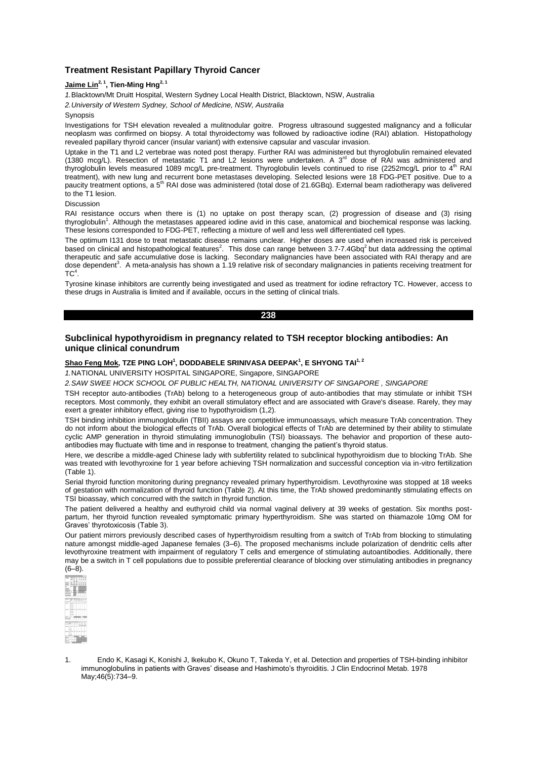# **Treatment Resistant Papillary Thyroid Cancer**

# **Jaime Lin2, 1, Tien-Ming Hng2, 1**

*1.*Blacktown/Mt Druitt Hospital, Western Sydney Local Health District, Blacktown, NSW, Australia

*2.University of Western Sydney, School of Medicine, NSW, Australia*

#### **Synopsis**

Investigations for TSH elevation revealed a mulitnodular goitre. Progress ultrasound suggested malignancy and a follicular neoplasm was confirmed on biopsy. A total thyroidectomy was followed by radioactive iodine (RAI) ablation. Histopathology revealed papillary thyroid cancer (insular variant) with extensive capsular and vascular invasion.

Uptake in the T1 and L2 vertebrae was noted post therapy. Further RAI was administered but thyroglobulin remained elevated (1380 mcg/L). Resection of metastatic T1 and L2 lesions were undertaken. A  $3<sup>rd</sup>$  dose of RAI was administered and thyroglobulin levels measured 1089 mcg/L pre-treatment. Thyroglobulin levels continued to rise (2252mcg/L prior to  $4<sup>th</sup>$  RAI treatment), with new lung and recurrent bone metastases developing. Selected lesions were 18 FDG-PET positive. Due to a paucity treatment options, a 5<sup>th</sup> RAI dose was administered (total dose of 21.6GBq). External beam radiotherapy was delivered to the T1 lesion.

## Discussion

RAI resistance occurs when there is (1) no uptake on post therapy scan, (2) progression of disease and (3) rising thyroglobulin<sup>1</sup>. Although the metastases appeared iodine avid in this case, anatomical and biochemical response was lacking. These lesions corresponded to FDG-PET, reflecting a mixture of well and less well differentiated cell types.

The optimum I131 dose to treat metastatic disease remains unclear. Higher doses are used when increased risk is perceived based on clinical and histopathological features<sup>2</sup>. This dose can range between 3.7-7.4Gbq<sup>2</sup> but data addressing the optimal therapeutic and safe accumulative dose is lacking. Secondary malignancies have been associated with RAI therapy and are<br>dose dependent<sup>3</sup>. A meta-analysis has shown a 1.19 relative risk of secondary malignancies in patient  $TC<sup>4</sup>$ .

Tyrosine kinase inhibitors are currently being investigated and used as treatment for iodine refractory TC. However, access to these drugs in Australia is limited and if available, occurs in the setting of clinical trials.

#### **238**

# **Subclinical hypothyroidism in pregnancy related to TSH receptor blocking antibodies: An unique clinical conundrum**

## $\boldsymbol{\mathsf{Shao}~}$  Feng Mok, TZE PING LOH<sup>1</sup>, DODDABELE SRINIVASA DEEPAK<sup>1</sup>, E SHYONG TAI<sup>1, 2</sup>

*1.*NATIONAL UNIVERSITY HOSPITAL SINGAPORE, Singapore, SINGAPORE

*2.SAW SWEE HOCK SCHOOL OF PUBLIC HEALTH, NATIONAL UNIVERSITY OF SINGAPORE , SINGAPORE* 

TSH receptor auto-antibodies (TrAb) belong to a heterogeneous group of auto-antibodies that may stimulate or inhibit TSH receptors. Most commonly, they exhibit an overall stimulatory effect and are associated with Grave's disease. Rarely, they may exert a greater inhibitory effect, giving rise to hypothyroidism (1,2).

TSH binding inhibition immunoglobulin (TBII) assays are competitive immunoassays, which measure TrAb concentration. They do not inform about the biological effects of TrAb. Overall biological effects of TrAb are determined by their ability to stimulate cyclic AMP generation in thyroid stimulating immunoglobulin (TSI) bioassays. The behavior and proportion of these autoantibodies may fluctuate with time and in response to treatment, changing the patient's thyroid status.

Here, we describe a middle-aged Chinese lady with subfertility related to subclinical hypothyroidism due to blocking TrAb. She was treated with levothyroxine for 1 year before achieving TSH normalization and successful conception via in-vitro fertilization (Table 1).

Serial thyroid function monitoring during pregnancy revealed primary hyperthyroidism. Levothyroxine was stopped at 18 weeks of gestation with normalization of thyroid function (Table 2). At this time, the TrAb showed predominantly stimulating effects on TSI bioassay, which concurred with the switch in thyroid function.

The patient delivered a healthy and euthyroid child via normal vaginal delivery at 39 weeks of gestation. Six months postpartum, her thyroid function revealed symptomatic primary hyperthyroidism. She was started on thiamazole 10mg OM for Graves' thyrotoxicosis (Table 3).

Our patient mirrors previously described cases of hyperthyroidism resulting from a switch of TrAb from blocking to stimulating nature amongst middle-aged Japanese females (3–6). The proposed mechanisms include polarization of dendritic cells after levothyroxine treatment with impairment of regulatory T cells and emergence of stimulating autoantibodies. Additionally, there may be a switch in T cell populations due to possible preferential clearance of blocking over stimulating antibodies in pregnancy  $(6-8)$ .



1. Endo K, Kasagi K, Konishi J, Ikekubo K, Okuno T, Takeda Y, et al. Detection and properties of TSH-binding inhibitor immunoglobulins in patients with Graves' disease and Hashimoto's thyroiditis. J Clin Endocrinol Metab. 1978 May;46(5):734–9.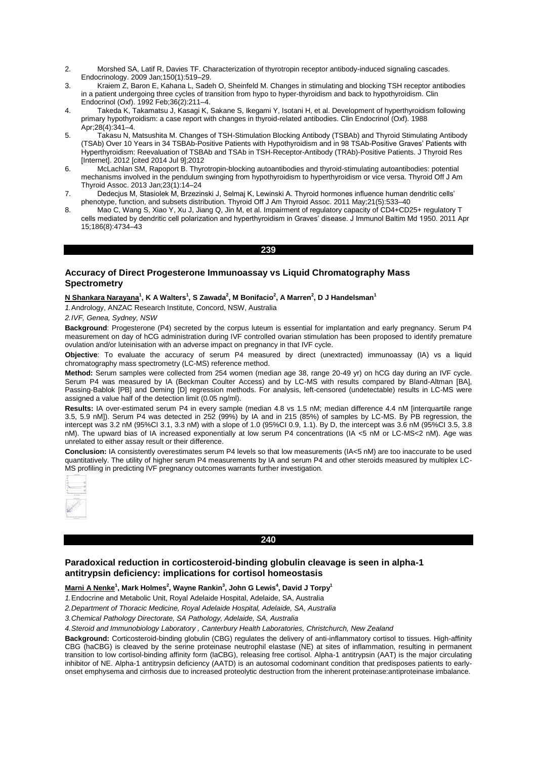- 2. Morshed SA, Latif R, Davies TF. Characterization of thyrotropin receptor antibody-induced signaling cascades. Endocrinology. 2009 Jan;150(1):519–29.
- 3. Kraiem Z, Baron E, Kahana L, Sadeh O, Sheinfeld M. Changes in stimulating and blocking TSH receptor antibodies in a patient undergoing three cycles of transition from hypo to hyper-thyroidism and back to hypothyroidism. Clin Endocrinol (Oxf). 1992 Feb;36(2):211–4.
- 4. Takeda K, Takamatsu J, Kasagi K, Sakane S, Ikegami Y, Isotani H, et al. Development of hyperthyroidism following primary hypothyroidism: a case report with changes in thyroid-related antibodies. Clin Endocrinol (Oxf). 1988 Apr;28(4):341–4.
- 5. Takasu N, Matsushita M. Changes of TSH-Stimulation Blocking Antibody (TSBAb) and Thyroid Stimulating Antibody (TSAb) Over 10 Years in 34 TSBAb-Positive Patients with Hypothyroidism and in 98 TSAb-Positive Graves' Patients with Hyperthyroidism: Reevaluation of TSBAb and TSAb in TSH-Receptor-Antibody (TRAb)-Positive Patients. J Thyroid Res [Internet]. 2012 [cited 2014 Jul 9];2012
- 6. McLachlan SM, Rapoport B. Thyrotropin-blocking autoantibodies and thyroid-stimulating autoantibodies: potential mechanisms involved in the pendulum swinging from hypothyroidism to hyperthyroidism or vice versa. Thyroid Off J Am Thyroid Assoc. 2013 Jan;23(1):14–24
- 7. Dedecjus M, Stasiolek M, Brzezinski J, Selmaj K, Lewinski A. Thyroid hormones influence human dendritic cells' phenotype, function, and subsets distribution. Thyroid Off J Am Thyroid Assoc. 2011 May;21(5):533–40
- 8. Mao C, Wang S, Xiao Y, Xu J, Jiang Q, Jin M, et al. Impairment of regulatory capacity of CD4+CD25+ regulatory T cells mediated by dendritic cell polarization and hyperthyroidism in Graves' disease. J Immunol Baltim Md 1950. 2011 Apr 15;186(8):4734–43

### **239**

# **Accuracy of Direct Progesterone Immunoassay vs Liquid Chromatography Mass Spectrometry**

# **N Shankara Narayana<sup>1</sup> , K A Walters<sup>1</sup> , S Zawada<sup>2</sup> , M Bonifacio<sup>2</sup> , A Marren<sup>2</sup> , D J Handelsman<sup>1</sup>**

*1.*Andrology, ANZAC Research Institute, Concord, NSW, Australia

*2.IVF, Genea, Sydney, NSW*

**Background**: Progesterone (P4) secreted by the corpus luteum is essential for implantation and early pregnancy. Serum P4 measurement on day of hCG administration during IVF controlled ovarian stimulation has been proposed to identify premature ovulation and/or luteinisation with an adverse impact on pregnancy in that IVF cycle.

**Objective**: To evaluate the accuracy of serum P4 measured by direct (unextracted) immunoassay (IA) vs a liquid chromatography mass spectrometry (LC-MS) reference method.

**Method:** Serum samples were collected from 254 women (median age 38, range 20-49 yr) on hCG day during an IVF cycle. Serum P4 was measured by IA (Beckman Coulter Access) and by LC-MS with results compared by Bland-Altman [BA], Passing-Bablok [PB] and Deming [D] regression methods. For analysis, left-censored (undetectable) results in LC-MS were assigned a value half of the detection limit (0.05 ng/ml).

**Results:** IA over-estimated serum P4 in every sample (median 4.8 vs 1.5 nM; median difference 4.4 nM [interquartile range 3.5, 5.9 nM]). Serum P4 was detected in 252 (99%) by IA and in 215 (85%) of samples by LC-MS. By PB regression, the intercept was 3.2 nM (95%CI 3.1, 3.3 nM) with a slope of 1.0 (95%CI 0.9, 1.1). By D, the intercept was 3.6 nM (95%CI 3.5, 3.8 nM). The upward bias of IA increased exponentially at low serum P4 concentrations (IA <5 nM or LC-MS<2 nM). Age was unrelated to either assay result or their difference.

**Conclusion:** IA consistently overestimates serum P4 levels so that low measurements (IA<5 nM) are too inaccurate to be used quantitatively. The utility of higher serum P4 measurements by IA and serum P4 and other steroids measured by multiplex LC-MS profiling in predicting IVF pregnancy outcomes warrants further investigation.



# **240**

# **Paradoxical reduction in corticosteroid-binding globulin cleavage is seen in alpha-1 antitrypsin deficiency: implications for cortisol homeostasis**

**Marni A Nenke<sup>1</sup> , Mark Holmes<sup>2</sup> , Wayne Rankin<sup>3</sup> , John G Lewis<sup>4</sup> , David J Torpy<sup>1</sup>**

*1.*Endocrine and Metabolic Unit, Royal Adelaide Hospital, Adelaide, SA, Australia

*2.Department of Thoracic Medicine, Royal Adelaide Hospital, Adelaide, SA, Australia*

*3.Chemical Pathology Directorate, SA Pathology, Adelaide, SA, Australia*

*4.Steroid and Immunobiology Laboratory , Canterbury Health Laboratories, Christchurch, New Zealand*

**Background:** Corticosteroid-binding globulin (CBG) regulates the delivery of anti-inflammatory cortisol to tissues. High-affinity CBG (haCBG) is cleaved by the serine proteinase neutrophil elastase (NE) at sites of inflammation, resulting in permanent transition to low cortisol-binding affinity form (laCBG), releasing free cortisol. Alpha-1 antitrypsin (AAT) is the major circulating inhibitor of NE. Alpha-1 antitrypsin deficiency (AATD) is an autosomal codominant condition that predisposes patients to earlyonset emphysema and cirrhosis due to increased proteolytic destruction from the inherent proteinase:antiproteinase imbalance.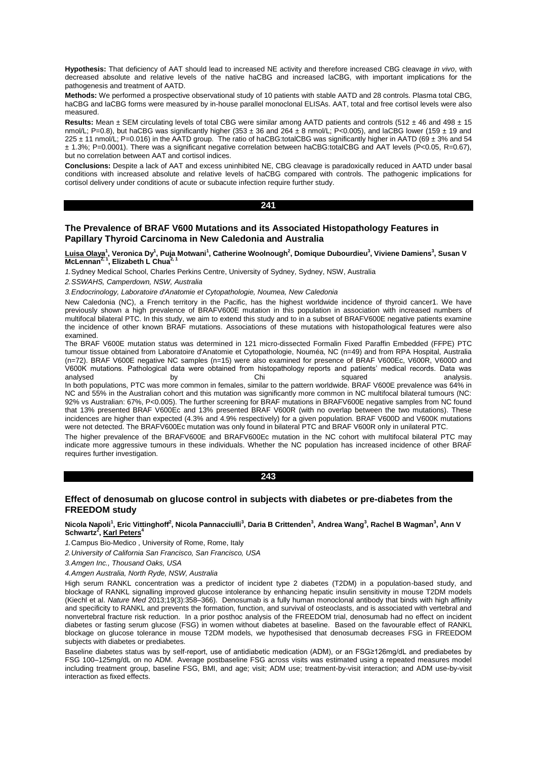**Hypothesis:** That deficiency of AAT should lead to increased NE activity and therefore increased CBG cleavage *in vivo*, with decreased absolute and relative levels of the native haCBG and increased laCBG, with important implications for the pathogenesis and treatment of AATD.

**Methods:** We performed a prospective observational study of 10 patients with stable AATD and 28 controls. Plasma total CBG, haCBG and laCBG forms were measured by in-house parallel monoclonal ELISAs. AAT, total and free cortisol levels were also measured.

**Results:** Mean ± SEM circulating levels of total CBG were similar among AATD patients and controls (512 ± 46 and 498 ± 15 nmol/L; P=0.8), but haCBG was significantly higher (353  $\pm$  36 and 264  $\pm$  8 nmol/L; P<0.005), and laCBG lower (159  $\pm$  19 and 225 ± 11 nmol/L; P=0.016) in the AATD group. The ratio of haCBG:totalCBG was significantly higher in AATD (69 ± 3% and 54 ± 1.3%; P=0.0001). There was a significant negative correlation between haCBG:totalCBG and AAT levels (P<0.05, R=0.67), but no correlation between AAT and cortisol indices.

**Conclusions:** Despite a lack of AAT and excess uninhibited NE, CBG cleavage is paradoxically reduced in AATD under basal conditions with increased absolute and relative levels of haCBG compared with controls. The pathogenic implications for cortisol delivery under conditions of acute or subacute infection require further study.

## **241**

# **The Prevalence of BRAF V600 Mutations and its Associated Histopathology Features in Papillary Thyroid Carcinoma in New Caledonia and Australia**

<u>Luisa Olaya</u><sup>1</sup>, Veronica Dy<sup>1</sup>, Puja Motwani<sup>1</sup>, Catherine Woolnough<sup>2</sup>, Domique Dubourdieu<sup>3</sup>, Viviene Damiens<sup>3</sup>, Susan V<br>McLennan<sup>2, 1</sup>, Elizabeth L Chua<sup>2, 1</sup>

*1.*Sydney Medical School, Charles Perkins Centre, University of Sydney, Sydney, NSW, Australia

*2.SSWAHS, Camperdown, NSW, Australia*

*3.Endocrinology, Laboratoire d'Anatomie et Cytopathologie, Noumea, New Caledonia*

New Caledonia (NC), a French territory in the Pacific, has the highest worldwide incidence of thyroid cancer1. We have previously shown a high prevalence of BRAFV600E mutation in this population in association with increased numbers of multifocal bilateral PTC. In this study, we aim to extend this study and to in a subset of BRAFV600E negative patients examine the incidence of other known BRAF mutations. Associations of these mutations with histopathological features were also examined.

The BRAF V600E mutation status was determined in 121 micro-dissected Formalin Fixed Paraffin Embedded (FFPE) PTC tumour tissue obtained from Laboratoire d'Anatomie et Cytopathologie, Nouméa, NC (n=49) and from RPA Hospital, Australia (n=72). BRAF V600E negative NC samples (n=15) were also examined for presence of BRAF V600Ec, V600R, V600D and V600K mutations. Pathological data were obtained from histopathology reports and patients' medical records. Data was analysed by Chi squared analysis.

In both populations, PTC was more common in females, similar to the pattern worldwide. BRAF V600E prevalence was 64% in NC and 55% in the Australian cohort and this mutation was significantly more common in NC multifocal bilateral tumours (NC: 92% vs Australian: 67%, P<0.005). The further screening for BRAF mutations in BRAFV600E negative samples from NC found that 13% presented BRAF V600Ec and 13% presented BRAF V600R (with no overlap between the two mutations). These incidences are higher than expected (4.3% and 4.9% respectively) for a given population. BRAF V600D and V600K mutations were not detected. The BRAFV600Ec mutation was only found in bilateral PTC and BRAF V600R only in unilateral PTC.

The higher prevalence of the BRAFV600E and BRAFV600Ec mutation in the NC cohort with multifocal bilateral PTC may indicate more aggressive tumours in these individuals. Whether the NC population has increased incidence of other BRAF requires further investigation.

**243** 

# **Effect of denosumab on glucose control in subjects with diabetes or pre-diabetes from the FREEDOM study**

## **Nicola Napoli<sup>1</sup> , Eric Vittinghoff<sup>2</sup> , Nicola Pannacciulli<sup>3</sup> , Daria B Crittenden<sup>3</sup> , Andrea Wang<sup>3</sup> , Rachel B Wagman<sup>3</sup> , Ann V Schwartz<sup>2</sup> , Karl Peters<sup>4</sup>**

*1.*Campus Bio-Medico , University of Rome, Rome, Italy

*2.University of California San Francisco, San Francisco, USA*

*3.Amgen Inc., Thousand Oaks, USA*

*4.Amgen Australia, North Ryde, NSW, Australia*

High serum RANKL concentration was a predictor of incident type 2 diabetes (T2DM) in a population-based study, and blockage of RANKL signalling improved glucose intolerance by enhancing hepatic insulin sensitivity in mouse T2DM models (Kiechl et al. *Nature Med* 2013;19(3):358–366). Denosumab is a fully human monoclonal antibody that binds with high affinity and specificity to RANKL and prevents the formation, function, and survival of osteoclasts, and is associated with vertebral and nonvertebral fracture risk reduction. In a prior posthoc analysis of the FREEDOM trial, denosumab had no effect on incident diabetes or fasting serum glucose (FSG) in women without diabetes at baseline. Based on the favourable effect of RANKL blockage on glucose tolerance in mouse T2DM models, we hypothesised that denosumab decreases FSG in FREEDOM subjects with diabetes or prediabetes.

Baseline diabetes status was by self-report, use of antidiabetic medication (ADM), or an FSG≥126mg/dL and prediabetes by FSG 100–125mg/dL on no ADM. Average postbaseline FSG across visits was estimated using a repeated measures model including treatment group, baseline FSG, BMI, and age; visit; ADM use; treatment-by-visit interaction; and ADM use-by-visit interaction as fixed effects.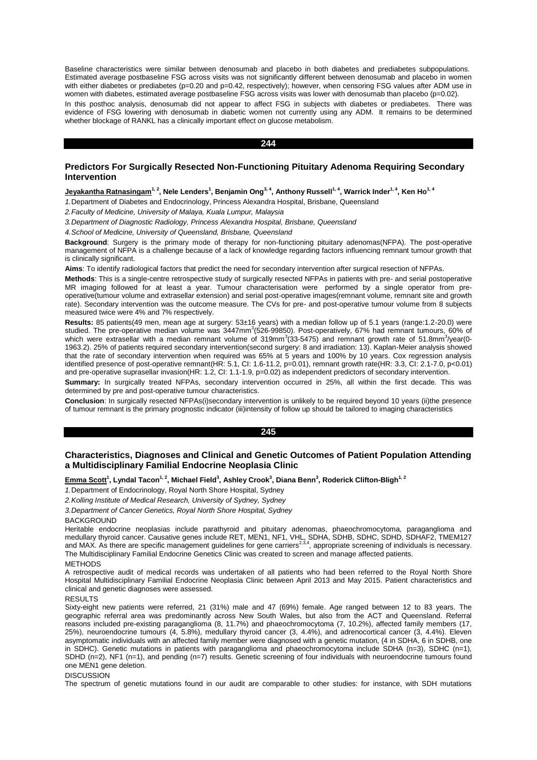Baseline characteristics were similar between denosumab and placebo in both diabetes and prediabetes subpopulations. Estimated average postbaseline FSG across visits was not significantly different between denosumab and placebo in women with either diabetes or prediabetes (p=0.20 and p=0.42, respectively); however, when censoring FSG values after ADM use in women with diabetes, estimated average postbaseline FSG across visits was lower with denosumab than placebo (p=0.02). In this posthoc analysis, denosumab did not appear to affect FSG in subjects with diabetes or prediabetes. There was evidence of FSG lowering with denosumab in diabetic women not currently using any ADM. It remains to be determined whether blockage of RANKL has a clinically important effect on glucose metabolism.

#### **244**

# **Predictors For Surgically Resected Non-Functioning Pituitary Adenoma Requiring Secondary Intervention**

**Jeyakantha Ratnasingam 1, 2, Nele Lenders<sup>1</sup> , Benjamin Ong3, 4, Anthony Russell1, 4, Warrick Inder1, 4, Ken Ho1, 4**

*1.*Department of Diabetes and Endocrinology, Princess Alexandra Hospital, Brisbane, Queensland

*2.Faculty of Medicine, University of Malaya, Kuala Lumpur, Malaysia*

*3.Department of Diagnostic Radiology, Princess Alexandra Hospital, Brisbane, Queensland*

*4.School of Medicine, University of Queensland, Brisbane, Queensland*

**Background**: Surgery is the primary mode of therapy for non-functioning pituitary adenomas(NFPA). The post-operative management of NFPA is a challenge because of a lack of knowledge regarding factors influencing remnant tumour growth that is clinically significant.

**Aims**: To identify radiological factors that predict the need for secondary intervention after surgical resection of NFPAs.

**Methods**: This is a single-centre retrospective study of surgically resected NFPAs in patients with pre- and serial postoperative MR imaging followed for at least a year. Tumour characterisation were performed by a single operator from preoperative(tumour volume and extrasellar extension) and serial post-operative images(remnant volume, remnant site and growth rate). Secondary intervention was the outcome measure. The CVs for pre- and post-operative tumour volume from 8 subjects measured twice were 4% and 7% respectively.

**Results:** 85 patients(49 men, mean age at surgery: 53±16 years) with a median follow up of 5.1 years (range:1.2-20.0) were studied. The pre-operative median volume was 3447mm<sup>3</sup>(526-99850). Post-operatively, 67% had remnant tumours, 60% of which were extrasellar with a median remnant volume of 319mm<sup>3</sup>(33-5475) and remnant growth rate of 51.8mm<sup>3</sup>/year(0-1963.2). 25% of patients required secondary intervention(second surgery: 8 and irradiation: 13). Kaplan-Meier analysis showed that the rate of secondary intervention when required was 65% at 5 years and 100% by 10 years. Cox regression analysis identified presence of post-operative remnant(HR: 5.1, CI: 1.6-11.2, p=0.01), remnant growth rate(HR: 3.3, CI: 2.1-7.0, p<0.01) and pre-operative suprasellar invasion(HR: 1.2, CI: 1.1-1.9, p=0.02) as independent predictors of secondary intervention.

**Summary:** In surgically treated NFPAs, secondary intervention occurred in 25%, all within the first decade. This was determined by pre and post-operative tumour characteristics.

**Conclusion**: In surgically resected NFPAs(i)secondary intervention is unlikely to be required beyond 10 years (ii)the presence of tumour remnant is the primary prognostic indicator (iii)intensity of follow up should be tailored to imaging characteristics

#### **245**

# **Characteristics, Diagnoses and Clinical and Genetic Outcomes of Patient Population Attending a Multidisciplinary Familial Endocrine Neoplasia Clinic**

**Emma Scott<sup>1</sup> , Lyndal Tacon1, 2, Michael Field<sup>3</sup> , Ashley Crook<sup>3</sup> , Diana Benn<sup>3</sup> , Roderick Clifton-Bligh1, 2**

*1.*Department of Endocrinology, Royal North Shore Hospital, Sydney

*2.Kolling Institute of Medical Research, University of Sydney, Sydney*

*3.Department of Cancer Genetics, Royal North Shore Hospital, Sydney*

#### **BACKGROUND**

Heritable endocrine neoplasias include parathyroid and pituitary adenomas, phaeochromocytoma, paraganglioma and medullary thyroid cancer. Causative genes include RET, MEN1, NF1, VHL, SDHA, SDHB, SDHC, SDHD, SDHAF2, TMEM127<br>and MAX. As there are specific management guidelines for gene carriers<sup>2,3,4</sup>, appropriate screening of individ The Multidisciplinary Familial Endocrine Genetics Clinic was created to screen and manage affected patients.

**METHODS** 

A retrospective audit of medical records was undertaken of all patients who had been referred to the Royal North Shore Hospital Multidisciplinary Familial Endocrine Neoplasia Clinic between April 2013 and May 2015. Patient characteristics and clinical and genetic diagnoses were assessed.

#### **RESULTS**

Sixty-eight new patients were referred, 21 (31%) male and 47 (69%) female. Age ranged between 12 to 83 years. The geographic referral area was predominantly across New South Wales, but also from the ACT and Queensland. Referral reasons included pre-existing paraganglioma (8, 11.7%) and phaeochromocytoma (7, 10.2%), affected family members (17, 25%), neuroendocrine tumours (4, 5.8%), medullary thyroid cancer (3, 4.4%), and adrenocortical cancer (3, 4.4%). Eleven asymptomatic individuals with an affected family member were diagnosed with a genetic mutation, (4 in SDHA, 6 in SDHB, one in SDHC). Genetic mutations in patients with paraganglioma and phaeochromocytoma include SDHA (n=3), SDHC (n=1), SDHD (n=2), NF1 (n=1), and pending (n=7) results. Genetic screening of four individuals with neuroendocrine tumours found one MEN1 gene deletion.

# **DISCUSSION**

The spectrum of genetic mutations found in our audit are comparable to other studies: for instance, with SDH mutations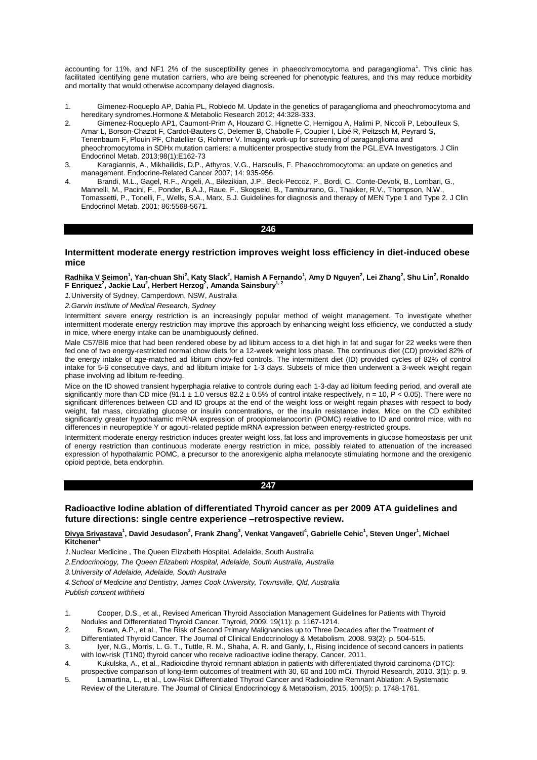accounting for 11%, and NF1 2% of the susceptibility genes in phaeochromocytoma and paraganglioma<sup>1</sup>. This clinic has facilitated identifying gene mutation carriers, who are being screened for phenotypic features, and this may reduce morbidity and mortality that would otherwise accompany delayed diagnosis.

- 1. Gimenez-Roqueplo AP, Dahia PL, Robledo M. Update in the genetics of paraganglioma and pheochromocytoma and hereditary syndromes.Hormone & Metabolic Research 2012; 44:328-333.
- 2. Gimenez-Roqueplo AP1, Caumont-Prim A, Houzard C, Hignette C, Hernigou A, Halimi P, Niccoli P, Leboulleux S, Amar L, Borson-Chazot F, Cardot-Bauters C, Delemer B, Chabolle F, Coupier I, Libé R, Peitzsch M, Peyrard S, Tenenbaum F, Plouin PF, Chatellier G, Rohmer V. Imaging work-up for screening of paraganglioma and pheochromocytoma in SDHx mutation carriers: a multicenter prospective study from the PGL.EVA Investigators. J Clin Endocrinol Metab. 2013;98(1):E162-73
- 3. Karagiannis, A., Mikhailidis, D.P., Athyros, V.G., Harsoulis, F. Phaeochromocytoma: an update on genetics and management. Endocrine-Related Cancer 2007; 14: 935-956.
- 4. Brandi, M.L., Gagel, R.F., Angeli, A., Bilezikian, J.P., Beck-Peccoz, P., Bordi, C., Conte-Devolx, B., Lombari, G., Mannelli, M., Pacini, F., Ponder, B.A.J., Raue, F., Skogseid, B., Tamburrano, G., Thakker, R.V., Thompson, N.W., Tomassetti, P., Tonelli, F., Wells, S.A., Marx, S.J. Guidelines for diagnosis and therapy of MEN Type 1 and Type 2. J Clin Endocrinol Metab. 2001; 86:5568-5671.

**246** 

# **Intermittent moderate energy restriction improves weight loss efficiency in diet-induced obese mice**

## <u>Radhika V Seimon</u><sup>1</sup>, Yan-chuan Shi<sup>2</sup>, Katy Slack<sup>2</sup>, Hamish A Fernando<sup>1</sup>, Amy D Nguyen<sup>2</sup>, Lei Zhang<sup>2</sup>, Shu Lin<sup>2</sup>, Ronaldo **F Enriquez<sup>2</sup> , Jackie Lau<sup>2</sup> , Herbert Herzog<sup>2</sup> , Amanda Sainsbury1, 2**

*1.*University of Sydney, Camperdown, NSW, Australia

*2.Garvin Institute of Medical Research, Sydney*

Intermittent severe energy restriction is an increasingly popular method of weight management. To investigate whether intermittent moderate energy restriction may improve this approach by enhancing weight loss efficiency, we conducted a study in mice, where energy intake can be unambiguously defined.

Male C57/Bl6 mice that had been rendered obese by ad libitum access to a diet high in fat and sugar for 22 weeks were then fed one of two energy-restricted normal chow diets for a 12-week weight loss phase. The continuous diet (CD) provided 82% of the energy intake of age-matched ad libitum chow-fed controls. The intermittent diet (ID) provided cycles of 82% of control intake for 5-6 consecutive days, and ad libitum intake for 1-3 days. Subsets of mice then underwent a 3-week weight regain phase involving ad libitum re-feeding.

Mice on the ID showed transient hyperphagia relative to controls during each 1-3-day ad libitum feeding period, and overall ate significantly more than CD mice (91.1  $\pm$  1.0 versus 82.2  $\pm$  0.5% of control intake respectively, n = 10, P < 0.05). There were no significant differences between CD and ID groups at the end of the weight loss or weight regain phases with respect to body weight, fat mass, circulating glucose or insulin concentrations, or the insulin resistance index. Mice on the CD exhibited significantly greater hypothalamic mRNA expression of proopiomelanocortin (POMC) relative to ID and control mice, with no differences in neuropeptide Y or agouti-related peptide mRNA expression between energy-restricted groups.

Intermittent moderate energy restriction induces greater weight loss, fat loss and improvements in glucose homeostasis per unit of energy restriction than continuous moderate energy restriction in mice, possibly related to attenuation of the increased expression of hypothalamic POMC, a precursor to the anorexigenic alpha melanocyte stimulating hormone and the orexigenic opioid peptide, beta endorphin.

#### **247**

# **Radioactive Iodine ablation of differentiated Thyroid cancer as per 2009 ATA guidelines and future directions: single centre experience –retrospective review.**

## **Divya Srivastava<sup>1</sup> , David Jesudason<sup>2</sup> , Frank Zhang<sup>3</sup> , Venkat Vangaveti<sup>4</sup> , Gabrielle Cehic<sup>1</sup> , Steven Unger<sup>1</sup> , Michael Kitchener**

*1.*Nuclear Medicine , The Queen Elizabeth Hospital, Adelaide, South Australia

*2.Endocrinology, The Queen Elizabeth Hospital, Adelaide, South Australia, Australia*

*3.University of Adelaide, Adelaide, South Australia*

*4.School of Medicine and Dentistry, James Cook University, Townsville, Qld, Australia*

*Publish consent withheld* 

1. Cooper, D.S., et al., Revised American Thyroid Association Management Guidelines for Patients with Thyroid Nodules and Differentiated Thyroid Cancer. Thyroid, 2009. 19(11): p. 1167-1214.

2. Brown, A.P., et al., The Risk of Second Primary Malignancies up to Three Decades after the Treatment of

- Differentiated Thyroid Cancer. The Journal of Clinical Endocrinology & Metabolism, 2008. 93(2): p. 504-515. 3. Iyer, N.G., Morris, L. G. T., Tuttle, R. M., Shaha, A. R. and Ganly, I., Rising incidence of second cancers in patients
- with low-risk (T1N0) thyroid cancer who receive radioactive iodine therapy. Cancer, 2011. 4. Kukulska, A., et al., Radioiodine thyroid remnant ablation in patients with differentiated thyroid carcinoma (DTC): prospective comparison of long-term outcomes of treatment with 30, 60 and 100 mCi. Thyroid Research, 2010. 3(1): p. 9.
- 5. Lamartina, L., et al., Low-Risk Differentiated Thyroid Cancer and Radioiodine Remnant Ablation: A Systematic Review of the Literature. The Journal of Clinical Endocrinology & Metabolism, 2015. 100(5): p. 1748-1761.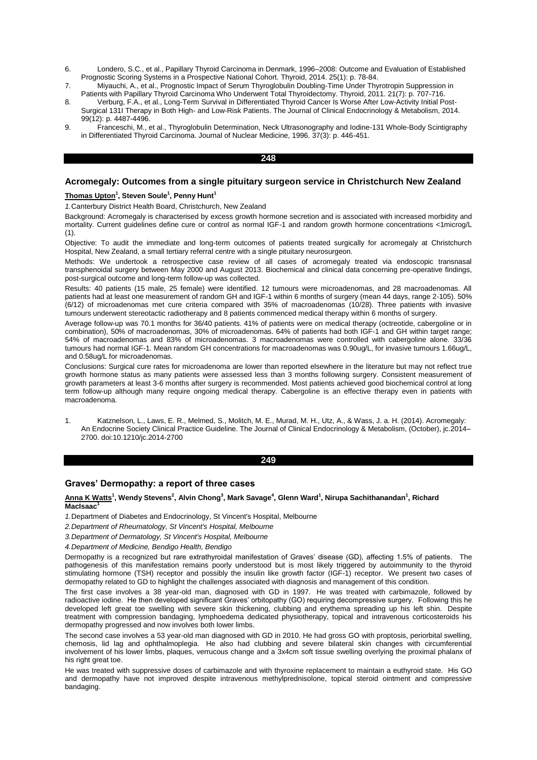- 6. Londero, S.C., et al., Papillary Thyroid Carcinoma in Denmark, 1996–2008: Outcome and Evaluation of Established Prognostic Scoring Systems in a Prospective National Cohort. Thyroid, 2014. 25(1): p. 78-84.
- 7. Miyauchi, A., et al., Prognostic Impact of Serum Thyroglobulin Doubling-Time Under Thyrotropin Suppression in Patients with Papillary Thyroid Carcinoma Who Underwent Total Thyroidectomy. Thyroid, 2011. 21(7): p. 707-716.
- 8. Verburg, F.A., et al., Long-Term Survival in Differentiated Thyroid Cancer Is Worse After Low-Activity Initial Post-Surgical 131I Therapy in Both High- and Low-Risk Patients. The Journal of Clinical Endocrinology & Metabolism, 2014. 99(12): p. 4487-4496.
- 9. Franceschi, M., et al., Thyroglobulin Determination, Neck Ultrasonography and Iodine-131 Whole-Body Scintigraphy in Differentiated Thyroid Carcinoma. Journal of Nuclear Medicine, 1996. 37(3): p. 446-451.

## **248**

# **Acromegaly: Outcomes from a single pituitary surgeon service in Christchurch New Zealand**

## **Thomas Upton<sup>1</sup> , Steven Soule<sup>1</sup> , Penny Hunt<sup>1</sup>**

*1.*Canterbury District Health Board, Christchurch, New Zealand

Background: Acromegaly is characterised by excess growth hormone secretion and is associated with increased morbidity and mortality. Current guidelines define cure or control as normal IGF-1 and random growth hormone concentrations <1microg/L  $(1).$ 

Objective: To audit the immediate and long-term outcomes of patients treated surgically for acromegaly at Christchurch Hospital, New Zealand, a small tertiary referral centre with a single pituitary neurosurgeon.

Methods: We undertook a retrospective case review of all cases of acromegaly treated via endoscopic transnasal transphenoidal surgery between May 2000 and August 2013. Biochemical and clinical data concerning pre-operative findings, post-surgical outcome and long-term follow-up was collected.

Results: 40 patients (15 male, 25 female) were identified. 12 tumours were microadenomas, and 28 macroadenomas. All patients had at least one measurement of random GH and IGF-1 within 6 months of surgery (mean 44 days, range 2-105). 50% (6/12) of microadenomas met cure criteria compared with 35% of macroadenomas (10/28). Three patients with invasive tumours underwent stereotactic radiotherapy and 8 patients commenced medical therapy within 6 months of surgery.

Average follow-up was 70.1 months for 36/40 patients. 41% of patients were on medical therapy (octreotide, cabergoline or in combination), 50% of macroadenomas, 30% of microadenomas. 64% of patients had both IGF-1 and GH within target range; 54% of macroadenomas and 83% of microadenomas. 3 macroadenomas were controlled with cabergoline alone. 33/36 tumours had normal IGF-1. Mean random GH concentrations for macroadenomas was 0.90ug/L, for invasive tumours 1.66ug/L, and 0.58ug/L for microadenomas.

Conclusions: Surgical cure rates for microadenoma are lower than reported elsewhere in the literature but may not reflect true growth hormone status as many patients were assessed less than 3 months following surgery. Consistent measurement of growth parameters at least 3-6 months after surgery is recommended. Most patients achieved good biochemical control at long term follow-up although many require ongoing medical therapy. Cabergoline is an effective therapy even in patients with macroadenoma.

1. Katznelson, L., Laws, E. R., Melmed, S., Molitch, M. E., Murad, M. H., Utz, A., & Wass, J. a. H. (2014). Acromegaly: An Endocrine Society Clinical Practice Guideline. The Journal of Clinical Endocrinology & Metabolism, (October), jc.2014– 2700. doi:10.1210/jc.2014-2700

#### **249**

# **Graves' Dermopathy: a report of three cases**

### **Anna K Watts<sup>1</sup> , Wendy Stevens<sup>2</sup> , Alvin Chong<sup>3</sup> , Mark Savage<sup>4</sup> , Glenn Ward<sup>1</sup> , Nirupa Sachithanandan<sup>1</sup> , Richard MacIsaac<sup>1</sup>**

*1.*Department of Diabetes and Endocrinology, St Vincent's Hospital, Melbourne

- *2.Department of Rheumatology, St Vincent's Hospital, Melbourne*
- *3.Department of Dermatology, St Vincent's Hospital, Melbourne*

*4.Department of Medicine, Bendigo Health, Bendigo*

Dermopathy is a recognized but rare extrathyroidal manifestation of Graves' disease (GD), affecting 1.5% of patients. The pathogenesis of this manifestation remains poorly understood but is most likely triggered by autoimmunity to the thyroid stimulating hormone (TSH) receptor and possibly the insulin like growth factor (IGF-1) receptor. We present two cases of dermopathy related to GD to highlight the challenges associated with diagnosis and management of this condition.

The first case involves a 38 year-old man, diagnosed with GD in 1997. He was treated with carbimazole, followed by radioactive iodine. He then developed significant Graves' orbitopathy (GO) requiring decompressive surgery. Following this he developed left great toe swelling with severe skin thickening, clubbing and erythema spreading up his left shin. Despite treatment with compression bandaging, lymphoedema dedicated physiotherapy, topical and intravenous corticosteroids his dermopathy progressed and now involves both lower limbs.

The second case involves a 53 year-old man diagnosed with GD in 2010. He had gross GO with proptosis, periorbital swelling, chemosis, lid lag and ophthalmoplegia. He also had clubbing and severe bilateral skin changes with circumferential involvement of his lower limbs, plaques, verrucous change and a 3x4cm soft tissue swelling overlying the proximal phalanx of his right great toe.

He was treated with suppressive doses of carbimazole and with thyroxine replacement to maintain a euthyroid state. His GO and dermopathy have not improved despite intravenous methylprednisolone, topical steroid ointment and compressive bandaging.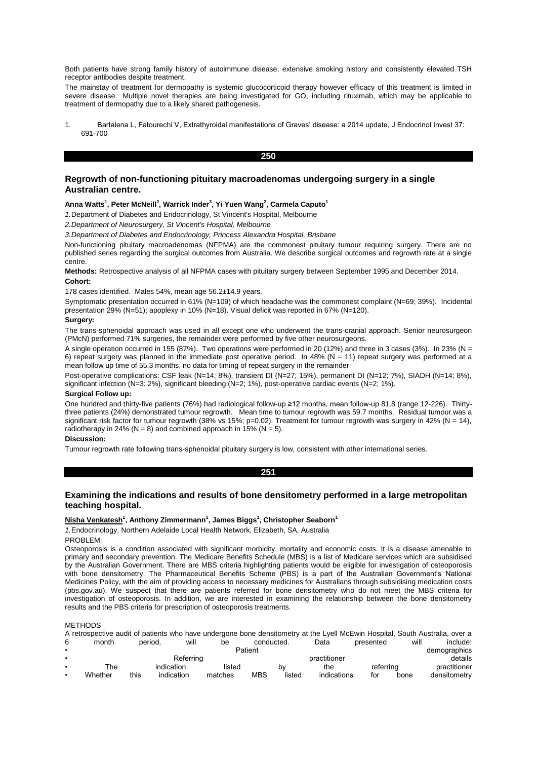Both patients have strong family history of autoimmune disease, extensive smoking history and consistently elevated TSH receptor antibodies despite treatment.

The mainstay of treatment for dermopathy is systemic glucocorticoid therapy however efficacy of this treatment is limited in severe disease. Multiple novel therapies are being investigated for GO, including rituximab, which may be applicable to treatment of dermopathy due to a likely shared pathogenesis.

1. Bartalena L, Fatourechi V, Extrathyroidal manifestations of Graves' disease: a 2014 update, J Endocrinol Invest 37: 691-700

## **250**

# **Regrowth of non-functioning pituitary macroadenomas undergoing surgery in a single Australian centre.**

# **Anna Watts<sup>1</sup> , Peter McNeill<sup>2</sup> , Warrick Inder<sup>3</sup> , Yi Yuen Wang<sup>2</sup> , Carmela Caputo<sup>1</sup>**

*1.*Department of Diabetes and Endocrinology, St Vincent's Hospital, Melbourne

*2.Department of Neurosurgery, St Vincent's Hospital, Melbourne*

*3.Department of Diabetes and Endocrinology, Princess Alexandra Hospital, Brisbane*

Non-functioning pituitary macroadenomas (NFPMA) are the commonest pituitary tumour requiring surgery. There are no published series regarding the surgical outcomes from Australia. We describe surgical outcomes and regrowth rate at a single centre.

**Methods:** Retrospective analysis of all NFPMA cases with pituitary surgery between September 1995 and December 2014. **Cohort:**

178 cases identified. Males 54%, mean age 56.2±14.9 years.

Symptomatic presentation occurred in 61% (N=109) of which headache was the commonest complaint (N=69; 39%). Incidental presentation 29% (N=51); apoplexy in 10% (N=18). Visual deficit was reported in 67% (N=120).

## **Surgery:**

The trans-sphenoidal approach was used in all except one who underwent the trans-cranial approach. Senior neurosurgeon (PMcN) performed 71% surgeries, the remainder were performed by five other neurosurgeons.

A single operation occurred in 155 (87%). Two operations were performed in 20 (12%) and three in 3 cases (3%). In 23% (N = 6) repeat surgery was planned in the immediate post operative period. In 48% (N = 11) repeat surgery was performed at a mean follow up time of 55.3 months, no data for timing of repeat surgery in the remainder

Post-operative complications: CSF leak (N=14; 8%), transient DI (N=27; 15%), permanent DI (N=12; 7%), SIADH (N=14; 8%), significant infection (N=3; 2%), significant bleeding (N=2; 1%), post-operative cardiac events (N=2; 1%).

## **Surgical Follow up:**

One hundred and thirty-five patients (76%) had radiological follow-up ≥12 months, mean follow-up 81.8 (range 12-226). Thirtythree patients (24%) demonstrated tumour regrowth. Mean time to tumour regrowth was 59.7 months. Residual tumour was a significant risk factor for tumour regrowth (38% vs 15%; p=0.02). Treatment for tumour regrowth was surgery in 42% (N = 14), radiotherapy in 24% ( $N = 8$ ) and combined approach in 15% ( $N = 5$ ).

### **Discussion:**

Tumour regrowth rate following trans-sphenoidal pituitary surgery is low, consistent with other international series.

**251** 

# **Examining the indications and results of bone densitometry performed in a large metropolitan teaching hospital.**

## **Nisha Venkatesh<sup>1</sup> , Anthony Zimmermann<sup>1</sup> , James Biggs<sup>1</sup> , Christopher Seaborn<sup>1</sup>**

*1.*Endocrinology, Northern Adelaide Local Health Network, Elizabeth, SA, Australia

PROBLEM:

Osteoporosis is a condition associated with significant morbidity, mortality and economic costs. It is a disease amenable to primary and secondary prevention. The Medicare Benefits Schedule (MBS) is a list of Medicare services which are subsidised by the Australian Government. There are MBS criteria highlighting patients would be eligible for investigation of osteoporosis with bone densitometry. The Pharmaceutical Benefits Scheme (PBS) is a part of the Australian Government's National Medicines Policy, with the aim of providing access to necessary medicines for Australians through subsidising medication costs (pbs.gov.au). We suspect that there are patients referred for bone densitometry who do not meet the MBS criteria for investigation of osteoporosis. In addition, we are interested in examining the relationship between the bone densitometry results and the PBS criteria for prescription of osteoporosis treatments.

#### METHODS

|           | A retrospective audit of patients who have undergone bone densitometry at the Lyell McEwin Hospital, South Australia, over a |         |            |         |            |            |              |           |      |              |
|-----------|------------------------------------------------------------------------------------------------------------------------------|---------|------------|---------|------------|------------|--------------|-----------|------|--------------|
| 6         | month                                                                                                                        | period. | will       | be      |            | conducted. | Data         | presented | will | include:     |
|           |                                                                                                                              |         |            |         | Patient    |            |              |           |      | demographics |
|           |                                                                                                                              |         | Referring  |         |            |            | practitioner |           |      | details      |
|           | The                                                                                                                          |         | indication | listed  |            | bv         | the          | referrina |      | practitioner |
| $\bullet$ | Whether                                                                                                                      | this    | indication | matches | <b>MBS</b> | listed     | indications  | for       | bone | densitometry |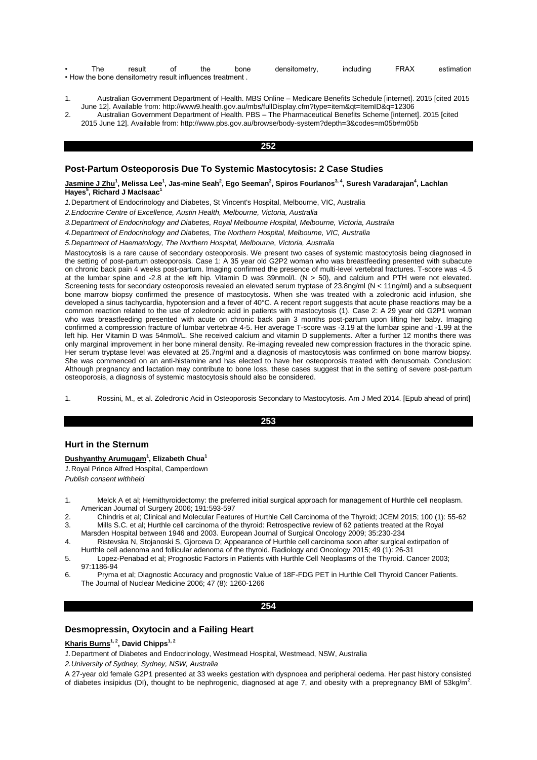| The | result                                                   | the | bone | densitometry, | including | FRAX | estimation |
|-----|----------------------------------------------------------|-----|------|---------------|-----------|------|------------|
|     | . How the bone densitometry result influences treatment. |     |      |               |           |      |            |

- 1. Australian Government Department of Health. MBS Online Medicare Benefits Schedule [internet]. 2015 [cited 2015 June 12]. Available from: http://www9.health.gov.au/mbs/fullDisplay.cfm?type=item&qt=ItemID&q=12306
- 2. Australian Government Department of Health. PBS The Pharmaceutical Benefits Scheme [internet]. 2015 [cited 2015 June 12]. Available from: http://www.pbs.gov.au/browse/body-system?depth=3&codes=m05b#m05b

## **252**

# **Post-Partum Osteoporosis Due To Systemic Mastocytosis: 2 Case Studies**

### $\Delta$ <u>Jasmine J Zhu</u><sup>1</sup>, Melissa Lee<sup>1</sup>, Jas-mine Seah $^2$ , Ego Seeman $^2$ , Spiros Fourlanos $^{3,4}$ , Suresh Varadarajan $^4$ , Lachlan **Hayes<sup>5</sup> , Richard J MacIsaac<sup>1</sup>**

*1.*Department of Endocrinology and Diabetes, St Vincent's Hospital, Melbourne, VIC, Australia

*2.Endocrine Centre of Excellence, Austin Health, Melbourne, Victoria, Australia*

*3.Department of Endocrinology and Diabetes, Royal Melbourne Hospital, Melbourne, Victoria, Australia*

*4.Department of Endocrinology and Diabetes, The Northern Hospital, Melbourne, VIC, Australia*

*5.Department of Haematology, The Northern Hospital, Melbourne, Victoria, Australia*

Mastocytosis is a rare cause of secondary osteoporosis. We present two cases of systemic mastocytosis being diagnosed in the setting of post-partum osteoporosis. Case 1: A 35 year old G2P2 woman who was breastfeeding presented with subacute on chronic back pain 4 weeks post-partum. Imaging confirmed the presence of multi-level vertebral fractures. T-score was -4.5 at the lumbar spine and -2.8 at the left hip. Vitamin D was 39nmol/L (N > 50), and calcium and PTH were not elevated. Screening tests for secondary osteoporosis revealed an elevated serum tryptase of 23.8ng/ml (N < 11ng/ml) and a subsequent bone marrow biopsy confirmed the presence of mastocytosis. When she was treated with a zoledronic acid infusion, she developed a sinus tachycardia, hypotension and a fever of 40°C. A recent report suggests that acute phase reactions may be a common reaction related to the use of zoledronic acid in patients with mastocytosis (1). Case 2: A 29 year old G2P1 woman who was breastfeeding presented with acute on chronic back pain 3 months post-partum upon lifting her baby. Imaging confirmed a compression fracture of lumbar vertebrae 4-5. Her average T-score was -3.19 at the lumbar spine and -1.99 at the left hip. Her Vitamin D was 54nmol/L. She received calcium and vitamin D supplements. After a further 12 months there was only marginal improvement in her bone mineral density. Re-imaging revealed new compression fractures in the thoracic spine. Her serum tryptase level was elevated at 25.7ng/ml and a diagnosis of mastocytosis was confirmed on bone marrow biopsy. She was commenced on an anti-histamine and has elected to have her osteoporosis treated with denusomab. Conclusion: Although pregnancy and lactation may contribute to bone loss, these cases suggest that in the setting of severe post-partum osteoporosis, a diagnosis of systemic mastocytosis should also be considered.

1. Rossini, M., et al. Zoledronic Acid in Osteoporosis Secondary to Mastocytosis. Am J Med 2014. [Epub ahead of print]

## **253**

# **Hurt in the Sternum**

## **Dushyanthy Arumugam<sup>1</sup> , Elizabeth Chua<sup>1</sup>**

*1.*Royal Prince Alfred Hospital, Camperdown

*Publish consent withheld* 

- 1. Melck A et al; Hemithyroidectomy: the preferred initial surgical approach for management of Hurthle cell neoplasm. American Journal of Surgery 2006; 191:593-597
- 2. Chindris et al; Clinical and Molecular Features of Hurthle Cell Carcinoma of the Thyroid; JCEM 2015; 100 (1): 55-62 3. Mills S.C. et al; Hurthle cell carcinoma of the thyroid: Retrospective review of 62 patients treated at the Royal
- Marsden Hospital between 1946 and 2003. European Journal of Surgical Oncology 2009; 35:230-234 4. Ristevska N, Stojanoski S, Gjorceva D; Appearance of Hurthle cell carcinoma soon after surgical extirpation of
- Hurthle cell adenoma and follicular adenoma of the thyroid. Radiology and Oncology 2015; 49 (1): 26-31 5. Lopez-Penabad et al; Prognostic Factors in Patients with Hurthle Cell Neoplasms of the Thyroid. Cancer 2003;
- 97:1186-94
- 6. Pryma et al; Diagnostic Accuracy and prognostic Value of 18F-FDG PET in Hurthle Cell Thyroid Cancer Patients. The Journal of Nuclear Medicine 2006; 47 (8): 1260-1266

### **254**

# **Desmopressin, Oxytocin and a Failing Heart**

# **Kharis Burns1, 2, David Chipps1, 2**

*1.*Department of Diabetes and Endocrinology, Westmead Hospital, Westmead, NSW, Australia

*2.University of Sydney, Sydney, NSW, Australia*

A 27-year old female G2P1 presented at 33 weeks gestation with dyspnoea and peripheral oedema. Her past history consisted of diabetes insipidus (DI), thought to be nephrogenic, diagnosed at age 7, and obesity with a prepregnancy BMI of 53kg/m<sup>2</sup>.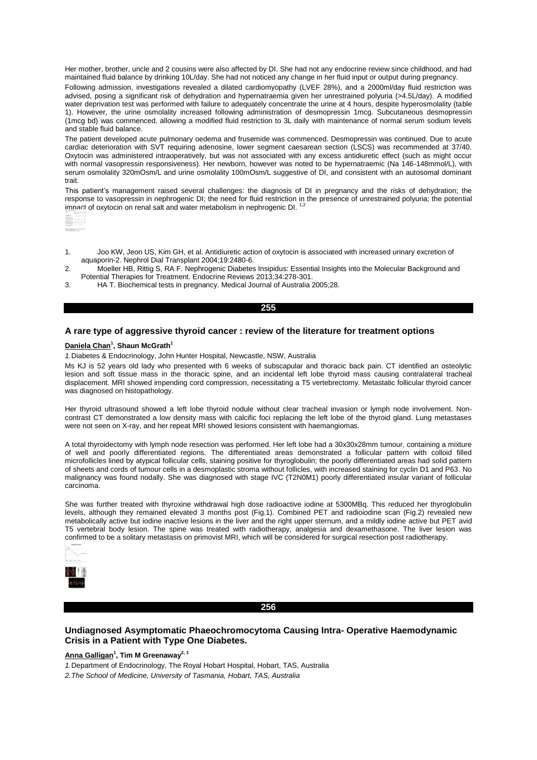Her mother, brother, uncle and 2 cousins were also affected by DI. She had not any endocrine review since childhood, and had maintained fluid balance by drinking 10L/day. She had not noticed any change in her fluid input or output during pregnancy.

Following admission, investigations revealed a dilated cardiomyopathy (LVEF 28%), and a 2000ml/day fluid restriction was advised, posing a significant risk of dehydration and hypernatraemia given her unrestrained polyuria (>4.5L/day). A modified water deprivation test was performed with failure to adequately concentrate the urine at 4 hours, despite hyperosmolality (table 1). However, the urine osmolality increased following administration of desmopressin 1mcg. Subcutaneous desmopressin (1mcg bd) was commenced, allowing a modified fluid restriction to 3L daily with maintenance of normal serum sodium levels and stable fluid balance.

The patient developed acute pulmonary oedema and frusemide was commenced. Desmopressin was continued. Due to acute cardiac deterioration with SVT requiring adenosine, lower segment caesarean section (LSCS) was recommended at 37/40. Oxytocin was administered intraoperatively, but was not associated with any excess antidiuretic effect (such as might occur with normal vasopressin responsiveness). Her newborn, however was noted to be hypernatraemic (Na 146-148mmol/L), with serum osmolality 320mOsm/L and urine osmolality 100mOsm/L suggestive of DI, and consistent with an autosomal dominant trait.

This patient's management raised several challenges: the diagnosis of DI in pregnancy and the risks of dehydration; the response to vasopressin in nephrogenic DI; the need for fluid restriction in the presence of unrestrained polyuria; the potential impact of oxytocin on renal salt and water metabolism in nephrogenic DI.



- 1. Joo KW, Jeon US, Kim GH, et al. Antidiuretic action of oxytocin is associated with increased urinary excretion of aquaporin-2. Nephrol Dial Transplant 2004;19:2480-6.
- 2. Moeller HB, Rittig S, RA F. Nephrogenic Diabetes Insipidus: Essential Insights into the Molecular Background and Potential Therapies for Treatment. Endocrine Reviews 2013;34:278-301.
- 3. HA T. Biochemical tests in pregnancy. Medical Journal of Australia 2005;28.

#### **255**

# **A rare type of aggressive thyroid cancer : review of the literature for treatment options**

## **Daniela Chan<sup>1</sup> , Shaun McGrath<sup>1</sup>**

*1.*Diabetes & Endocrinology, John Hunter Hospital, Newcastle, NSW, Australia

Ms KJ is 52 years old lady who presented with 6 weeks of subscapular and thoracic back pain. CT identified an osteolytic lesion and soft tissue mass in the thoracic spine, and an incidental left lobe thyroid mass causing contralateral tracheal displacement. MRI showed impending cord compression, necessitating a T5 vertebrectomy. Metastatic follicular thyroid cancer was diagnosed on histopathology.

Her thyroid ultrasound showed a left lobe thyroid nodule without clear tracheal invasion or lymph node involvement. Noncontrast CT demonstrated a low density mass with calcific foci replacing the left lobe of the thyroid gland. Lung metastases were not seen on X-ray, and her repeat MRI showed lesions consistent with haemangiomas.

A total thyroidectomy with lymph node resection was performed. Her left lobe had a 30x30x28mm tumour, containing a mixture of well and poorly differentiated regions. The differentiated areas demonstrated a follicular pattern with colloid filled microfollicles lined by atypical follicular cells, staining positive for thyroglobulin; the poorly differentiated areas had solid pattern of sheets and cords of tumour cells in a desmoplastic stroma without follicles, with increased staining for cyclin D1 and P63. No malignancy was found nodally. She was diagnosed with stage IVC (T2N0M1) poorly differentiated insular variant of follicular carcinoma.

She was further treated with thyroxine withdrawal high dose radioactive iodine at 5300MBq. This reduced her thyroglobulin levels, although they remained elevated 3 months post (Fig.1). Combined PET and radioiodine scan (Fig.2) revealed new metabolically active but iodine inactive lesions in the liver and the right upper sternum, and a mildly iodine active but PET avid T5 vertebral body lesion. The spine was treated with radiotherapy, analgesia and dexamethasone. The liver lesion was confirmed to be a solitary metastasis on primovist MRI, which will be considered for surgical resection post radiotherapy.



# **256**

# **Undiagnosed Asymptomatic Phaeochromocytoma Causing Intra- Operative Haemodynamic Crisis in a Patient with Type One Diabetes.**

### **Anna Galligan<sup>1</sup> , Tim M Greenaway2, 1**

*1.*Department of Endocrinology, The Royal Hobart Hospital, Hobart, TAS, Australia

*2.The School of Medicine, University of Tasmania, Hobart, TAS, Australia*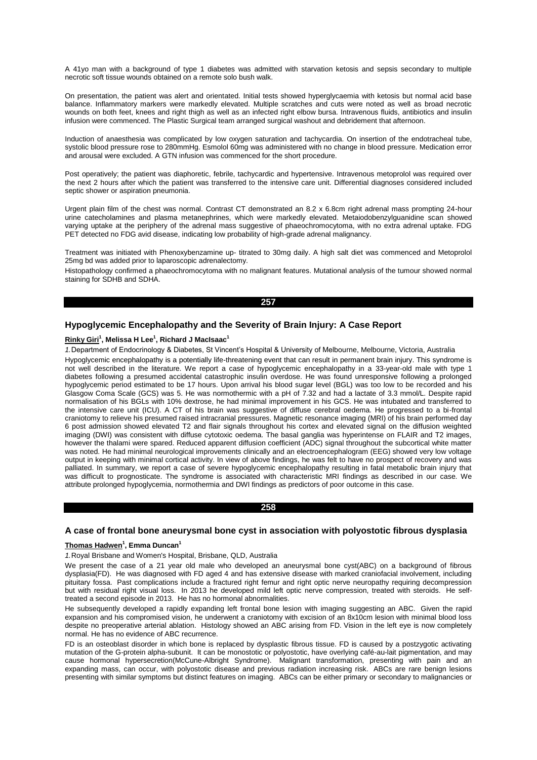A 41yo man with a background of type 1 diabetes was admitted with starvation ketosis and sepsis secondary to multiple necrotic soft tissue wounds obtained on a remote solo bush walk.

On presentation, the patient was alert and orientated. Initial tests showed hyperglycaemia with ketosis but normal acid base balance. Inflammatory markers were markedly elevated. Multiple scratches and cuts were noted as well as broad necrotic wounds on both feet, knees and right thigh as well as an infected right elbow bursa. Intravenous fluids, antibiotics and insulin infusion were commenced. The Plastic Surgical team arranged surgical washout and debridement that afternoon.

Induction of anaesthesia was complicated by low oxygen saturation and tachycardia. On insertion of the endotracheal tube, systolic blood pressure rose to 280mmHg. Esmolol 60mg was administered with no change in blood pressure. Medication error and arousal were excluded. A GTN infusion was commenced for the short procedure.

Post operatively; the patient was diaphoretic, febrile, tachycardic and hypertensive. Intravenous metoprolol was required over the next 2 hours after which the patient was transferred to the intensive care unit. Differential diagnoses considered included septic shower or aspiration pneumonia.

Urgent plain film of the chest was normal. Contrast CT demonstrated an 8.2 x 6.8cm right adrenal mass prompting 24-hour urine catecholamines and plasma metanephrines, which were markedly elevated. Metaiodobenzylguanidine scan showed varying uptake at the periphery of the adrenal mass suggestive of phaeochromocytoma, with no extra adrenal uptake. FDG PET detected no FDG avid disease, indicating low probability of high-grade adrenal malignancy.

Treatment was initiated with Phenoxybenzamine up- titrated to 30mg daily. A high salt diet was commenced and Metoprolol 25mg bd was added prior to laparoscopic adrenalectomy.

Histopathology confirmed a phaeochromocytoma with no malignant features. Mutational analysis of the tumour showed normal staining for SDHB and SDHA.

#### **257**

# **Hypoglycemic Encephalopathy and the Severity of Brain Injury: A Case Report**

#### **Rinky Giri<sup>1</sup> , Melissa H Lee<sup>1</sup> , Richard J MacIsaac<sup>1</sup>**

*1.*Department of Endocrinology & Diabetes, St Vincent's Hospital & University of Melbourne, Melbourne, Victoria, Australia

Hypoglycemic encephalopathy is a potentially life-threatening event that can result in permanent brain injury. This syndrome is not well described in the literature. We report a case of hypoglycemic encephalopathy in a 33-year-old male with type 1 diabetes following a presumed accidental catastrophic insulin overdose. He was found unresponsive following a prolonged hypoglycemic period estimated to be 17 hours. Upon arrival his blood sugar level (BGL) was too low to be recorded and his Glasgow Coma Scale (GCS) was 5. He was normothermic with a pH of 7.32 and had a lactate of 3.3 mmol/L. Despite rapid normalisation of his BGLs with 10% dextrose, he had minimal improvement in his GCS. He was intubated and transferred to the intensive care unit (ICU). A CT of his brain was suggestive of diffuse cerebral oedema. He progressed to a bi-frontal craniotomy to relieve his presumed raised intracranial pressures. Magnetic resonance imaging (MRI) of his brain performed day 6 post admission showed elevated T2 and flair signals throughout his cortex and elevated signal on the diffusion weighted imaging (DWI) was consistent with diffuse cytotoxic oedema. The basal ganglia was hyperintense on FLAIR and T2 images, however the thalami were spared. Reduced apparent diffusion coefficient (ADC) signal throughout the subcortical white matter was noted. He had minimal neurological improvements clinically and an electroencephalogram (EEG) showed very low voltage output in keeping with minimal cortical activity. In view of above findings, he was felt to have no prospect of recovery and was palliated. In summary, we report a case of severe hypoglycemic encephalopathy resulting in fatal metabolic brain injury that was difficult to prognosticate. The syndrome is associated with characteristic MRI findings as described in our case. We attribute prolonged hypoglycemia, normothermia and DWI findings as predictors of poor outcome in this case.

### **258**

# **A case of frontal bone aneurysmal bone cyst in association with polyostotic fibrous dysplasia**

#### **Thomas Hadwen<sup>1</sup> , Emma Duncan<sup>1</sup>**

*1.*Royal Brisbane and Women's Hospital, Brisbane, QLD, Australia

We present the case of a 21 year old male who developed an aneurysmal bone cyst(ABC) on a background of fibrous dysplasia(FD). He was diagnosed with FD aged 4 and has extensive disease with marked craniofacial involvement, including pituitary fossa. Past complications include a fractured right femur and right optic nerve neuropathy requiring decompression but with residual right visual loss. In 2013 he developed mild left optic nerve compression, treated with steroids. He selftreated a second episode in 2013. He has no hormonal abnormalities.

He subsequently developed a rapidly expanding left frontal bone lesion with imaging suggesting an ABC. Given the rapid expansion and his compromised vision, he underwent a craniotomy with excision of an 8x10cm lesion with minimal blood loss despite no preoperative arterial ablation. Histology showed an ABC arising from FD. Vision in the left eye is now completely normal. He has no evidence of ABC recurrence.

FD is an osteoblast disorder in which bone is replaced by dysplastic fibrous tissue. FD is caused by a postzygotic activating mutation of the G-protein alpha-subunit. It can be monostotic or polyostotic, have overlying café-au-lait pigmentation, and may cause hormonal hypersecretion(McCune-Albright Syndrome). Malignant transformation, presenting with pain and an expanding mass, can occur, with polyostotic disease and previous radiation increasing risk. ABCs are rare benign lesions presenting with similar symptoms but distinct features on imaging. ABCs can be either primary or secondary to malignancies or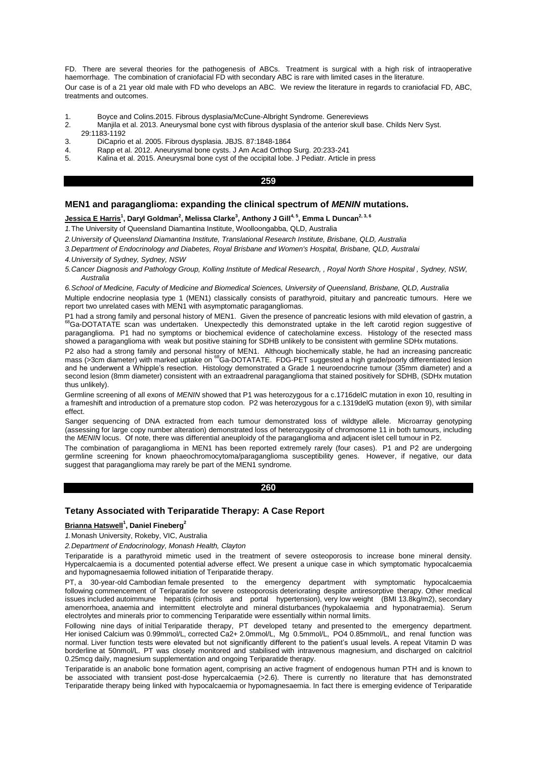FD. There are several theories for the pathogenesis of ABCs. Treatment is surgical with a high risk of intraoperative haemorrhage. The combination of craniofacial FD with secondary ABC is rare with limited cases in the literature. Our case is of a 21 year old male with FD who develops an ABC. We review the literature in regards to craniofacial FD, ABC, treatments and outcomes.

- 1. Boyce and Colins.2015. Fibrous dysplasia/McCune-Albright Syndrome. Genereviews
- 2. Manjila et al. 2013. Aneurysmal bone cyst with fibrous dysplasia of the anterior skull base. Childs Nerv Syst. 29:1183-1192
- 
- 3. DiCaprio et al. 2005. Fibrous dysplasia. JBJS. 87:1848-1864 4. Rapp et al. 2012. Aneurysmal bone cysts. J Am Acad Orthop Surg. 20:233-241
- 5. Kalina et al. 2015. Aneurysmal bone cyst of the occipital lobe. J Pediatr. Article in press

#### **259**

## **MEN1 and paraganglioma: expanding the clinical spectrum of** *MENIN* **mutations.**

 $\mu$ <u>essica E Harris<sup>1</sup>, Daryl Goldman<sup>2</sup>, Melissa Clarke<sup>3</sup>, Anthony J Gill<sup>4, 5</sup>, Emma L Duncan<sup>2, 3, 6</sup></u>

*1.*The University of Queensland Diamantina Institute, Woolloongabba, QLD, Australia

*2.University of Queensland Diamantina Institute, Translational Research Institute, Brisbane, QLD, Australia*

*3.Department of Endocrinology and Diabetes, Royal Brisbane and Women's Hospital, Brisbane, QLD, Australai*

*4.University of Sydney, Sydney, NSW*

*5.Cancer Diagnosis and Pathology Group, Kolling Institute of Medical Research, , Royal North Shore Hospital , Sydney, NSW, Australia*

*6.School of Medicine, Faculty of Medicine and Biomedical Sciences, University of Queensland, Brisbane, QLD, Australia*

Multiple endocrine neoplasia type 1 (MEN1) classically consists of parathyroid, pituitary and pancreatic tumours. Here we report two unrelated cases with MEN1 with asymptomatic paragangliomas.

P1 had a strong family and personal history of MEN1. Given the presence of pancreatic lesions with mild elevation of gastrin, a<br><sup>68</sup>Ga-DOTATATE scan was undertaken. Unexpectedly this demonstrated uptake in the left carotid paraganglioma. P1 had no symptoms or biochemical evidence of catecholamine excess. Histology of the resected mass showed a paraganglioma with weak but positive staining for SDHB unlikely to be consistent with germline SDHx mutations.

P2 also had a strong family and personal history of MEN1. Although biochemically stable, he had an increasing pancreatic<br>mass (>3cm diameter) with marked uptake on <sup>68</sup>Ga-DOTATATE. FDG-PET suggested a high grade/poorly dif and he underwent a Whipple's resection. Histology demonstrated a Grade 1 neuroendocrine tumour (35mm diameter) and a second lesion (8mm diameter) consistent with an extraadrenal paraganglioma that stained positively for SDHB, (SDHx mutation thus unlikely).

Germline screening of all exons of *MENIN* showed that P1 was heterozygous for a c.1716delC mutation in exon 10, resulting in a frameshift and introduction of a premature stop codon. P2 was heterozygous for a c.1319delG mutation (exon 9), with similar effect.

Sanger sequencing of DNA extracted from each tumour demonstrated loss of wildtype allele. Microarray genotyping (assessing for large copy number alteration) demonstrated loss of heterozygosity of chromosome 11 in both tumours, including the *MENIN* locus. Of note, there was differential aneuploidy of the paraganglioma and adjacent islet cell tumour in P2.

The combination of paraganglioma in MEN1 has been reported extremely rarely (four cases). P1 and P2 are undergoing germline screening for known phaeochromocytoma/paraganglioma susceptibility genes. However, if negative, our data suggest that paraganglioma may rarely be part of the MEN1 syndrome.

#### **260**

# **Tetany Associated with Teriparatide Therapy: A Case Report**

#### **Brianna Hatswell<sup>1</sup> , Daniel Fineberg<sup>2</sup>**

*1.*Monash University, Rokeby, VIC, Australia

*2.Department of Endocrinology, Monash Health, Clayton*

Teriparatide is a parathyroid mimetic used in the treatment of severe osteoporosis to increase bone mineral density. Hypercalcaemia is a documented potential adverse effect. We present a unique case in which symptomatic hypocalcaemia and hypomagnesaemia followed initiation of Teriparatide therapy.

PT, a 30-year-old Cambodian female presented to the emergency department with symptomatic hypocalcaemia following commencement of Teriparatide for severe osteoporosis deteriorating despite antiresorptive therapy. Other medical issues included autoimmune hepatitis (cirrhosis and portal hypertension), very low weight (BMI 13.8kg/m2), secondary amenorrhoea, anaemia and intermittent electrolyte and mineral disturbances (hypokalaemia and hyponatraemia). Serum electrolytes and minerals prior to commencing Teriparatide were essentially within normal limits.

Following nine days of initial Teriparatide therapy, PT developed tetany and presented to the emergency department. Her ionised Calcium was 0.99mmol/L, corrected Ca2+ 2.0mmol/L, Mg 0.5mmol/L, PO4 0.85mmol/L, and renal function was normal. Liver function tests were elevated but not significantly different to the patient's usual levels. A repeat Vitamin D was borderline at 50nmol/L. PT was closely monitored and stabilised with intravenous magnesium, and discharged on calcitriol 0.25mcg daily, magnesium supplementation and ongoing Teriparatide therapy.

Teriparatide is an anabolic bone formation agent, comprising an active fragment of endogenous human PTH and is known to be associated with transient post-dose hypercalcaemia (>2.6). There is currently no literature that has demonstrated Teriparatide therapy being linked with hypocalcaemia or hypomagnesaemia. In fact there is emerging evidence of Teriparatide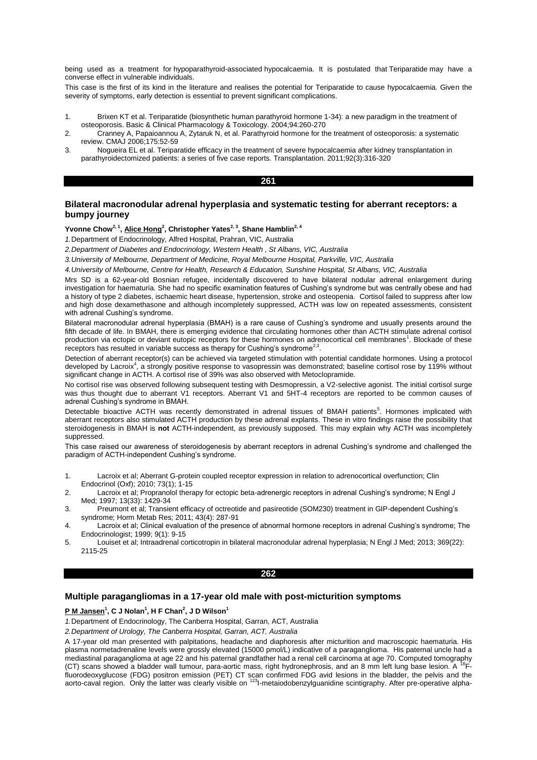being used as a treatment for hypoparathyroid-associated hypocalcaemia. It is postulated that Teriparatide may have a converse effect in vulnerable individuals.

This case is the first of its kind in the literature and realises the potential for Teriparatide to cause hypocalcaemia. Given the severity of symptoms, early detection is essential to prevent significant complications.

- 1. Brixen KT et al. Teriparatide (biosynthetic human parathyroid hormone 1-34): a new paradigm in the treatment of osteoporosis. Basic & Clinical Pharmacology & Toxicology. 2004;94:260-270
- 2. Cranney A, Papaioannou A, Zytaruk N, et al. Parathyroid hormone for the treatment of osteoporosis: a systematic review. CMAJ 2006;175:52-59
- 3. Nogueira EL et al. Teriparatide efficacy in the treatment of severe hypocalcaemia after kidney transplantation in parathyroidectomized patients: a series of five case reports. Transplantation. 2011;92(3):316-320

#### **261**

# **Bilateral macronodular adrenal hyperplasia and systematic testing for aberrant receptors: a bumpy journey**

# **Yvonne Chow2, 1 , Alice Hong<sup>2</sup> , Christopher Yates2, 3, Shane Hamblin2, 4**

*1.*Department of Endocrinology, Alfred Hospital, Prahran, VIC, Australia

*2.Department of Diabetes and Endocrinology, Western Health , St Albans, VIC, Australia*

*3.University of Melbourne, Department of Medicine, Royal Melbourne Hospital, Parkville, VIC, Australia*

*4.University of Melbourne, Centre for Health, Research & Education, Sunshine Hospital, St Albans, VIC, Australia*

Mrs SD is a 62-year-old Bosnian refugee, incidentally discovered to have bilateral nodular adrenal enlargement during investigation for haematuria. She had no specific examination features of Cushing's syndrome but was centrally obese and had a history of type 2 diabetes, ischaemic heart disease, hypertension, stroke and osteopenia. Cortisol failed to suppress after low and high dose dexamethasone and although incompletely suppressed, ACTH was low on repeated assessments, consistent with adrenal Cushing's syndrome.

Bilateral macronodular adrenal hyperplasia (BMAH) is a rare cause of Cushing's syndrome and usually presents around the fifth decade of life. In BMAH, there is emerging evidence that circulating hormones other than ACTH stimulate adrenal cortisol production via ectopic or deviant eutopic receptors for these hormones on adrenocortical cell membranes<sup>1</sup>. Blockade of these receptors has resulted in variable success as therapy for Cushing's syndrome<sup>2,3</sup>.

Detection of aberrant receptor(s) can be achieved via targeted stimulation with potential candidate hormones. Using a protocol developed by Lacroix<sup>4</sup>, a strongly positive response to vasopressin was demonstrated; baseline cortisol rose by 119% without significant change in ACTH. A cortisol rise of 39% was also observed with Metoclopramide.

No cortisol rise was observed following subsequent testing with Desmopressin, a V2-selective agonist. The initial cortisol surge was thus thought due to aberrant V1 receptors. Aberrant V1 and 5HT-4 receptors are reported to be common causes of adrenal Cushing's syndrome in BMAH.

Detectable bioactive ACTH was recently demonstrated in adrenal tissues of BMAH patients<sup>5</sup>. Hormones implicated with aberrant receptors also stimulated ACTH production by these adrenal explants. These in vitro findings raise the possibility that steroidogenesis in BMAH is **not** ACTH-independent, as previously supposed. This may explain why ACTH was incompletely suppressed.

This case raised our awareness of steroidogenesis by aberrant receptors in adrenal Cushing's syndrome and challenged the paradigm of ACTH-independent Cushing's syndrome.

- 1. Lacroix et al; Aberrant G-protein coupled receptor expression in relation to adrenocortical overfunction; Clin Endocrinol (Oxf); 2010; 73(1); 1-15
- 2. Lacroix et al; Propranolol therapy for ectopic beta-adrenergic receptors in adrenal Cushing's syndrome; N Engl J Med; 1997; 13(33): 1429-34
- 3. Preumont et al; Transient efficacy of octreotide and pasireotide (SOM230) treatment in GIP-dependent Cushing's syndrome; Horm Metab Res; 2011; 43(4): 287-91
- 4. Lacroix et al; Clinical evaluation of the presence of abnormal hormone receptors in adrenal Cushing's syndrome; The Endocrinologist; 1999; 9(1): 9-15
- 5. Louiset et al; Intraadrenal corticotropin in bilateral macronodular adrenal hyperplasia; N Engl J Med; 2013; 369(22): 2115-25

# **262**

# **Multiple paragangliomas in a 17-year old male with post-micturition symptoms**

# **P M Jansen<sup>1</sup> , C J Nolan<sup>1</sup> , H F Chan<sup>2</sup> , J D Wilson<sup>1</sup>**

*1.*Department of Endocrinology, The Canberra Hospital, Garran, ACT, Australia

*2.Department of Urology, The Canberra Hospital, Garran, ACT, Australia*

A 17-year old man presented with palpitations, headache and diaphoresis after micturition and macroscopic haematuria. His plasma normetadrenaline levels were grossly elevated (15000 pmol/L) indicative of a paraganglioma. His paternal uncle had a mediastinal paraganglioma at age 22 and his paternal grandfather had a renal cell carcinoma at age 70. Computed tomography (CT) scans showed a bladder wall tumour, para-aortic mass, right hydronephrosis, and an 8 mm left lung base lesion. A fluorodeoxyglucose (FDG) positron emission (PET) CT scan confirmed FDG avid lesions in the bladder, the pelvis and the<br>aorto-caval region. Only the latter was clearly visible on <sup>123</sup>l-metaiodobenzylguanidine scintigraphy.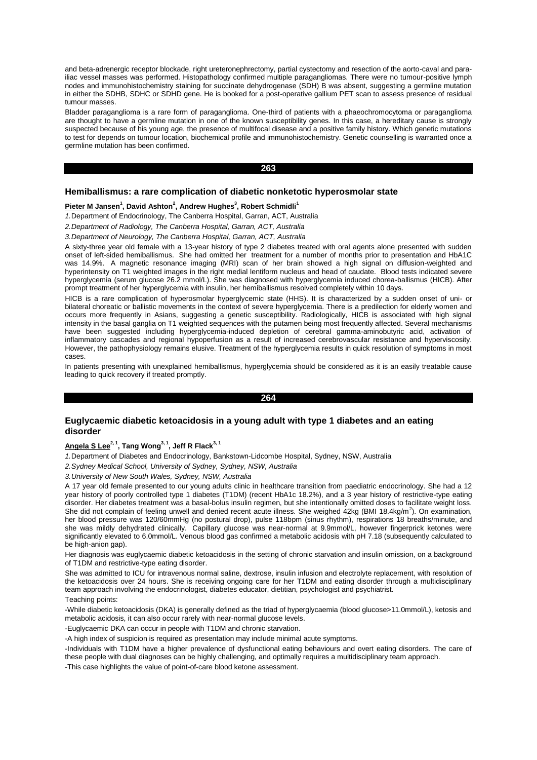and beta-adrenergic receptor blockade, right ureteronephrectomy, partial cystectomy and resection of the aorto-caval and parailiac vessel masses was performed. Histopathology confirmed multiple paragangliomas. There were no tumour-positive lymph nodes and immunohistochemistry staining for succinate dehydrogenase (SDH) B was absent, suggesting a germline mutation in either the SDHB, SDHC or SDHD gene. He is booked for a post-operative gallium PET scan to assess presence of residual tumour masses.

Bladder paraganglioma is a rare form of paraganglioma. One-third of patients with a phaeochromocytoma or paraganglioma are thought to have a germline mutation in one of the known susceptibility genes. In this case, a hereditary cause is strongly suspected because of his young age, the presence of multifocal disease and a positive family history. Which genetic mutations to test for depends on tumour location, biochemical profile and immunohistochemistry. Genetic counselling is warranted once a germline mutation has been confirmed.

#### **263**

## **Hemiballismus: a rare complication of diabetic nonketotic hyperosmolar state**

#### **Pieter M Jansen<sup>1</sup> , David Ashton<sup>2</sup> , Andrew Hughes<sup>3</sup> , Robert Schmidli<sup>1</sup>**

*1.*Department of Endocrinology, The Canberra Hospital, Garran, ACT, Australia

*2.Department of Radiology, The Canberra Hospital, Garran, ACT, Australia*

*3.Department of Neurology, The Canberra Hospital, Garran, ACT, Australia*

A sixty-three year old female with a 13-year history of type 2 diabetes treated with oral agents alone presented with sudden onset of left-sided hemiballismus. She had omitted her treatment for a number of months prior to presentation and HbA1C was 14.9%. A magnetic resonance imaging (MRI) scan of her brain showed a high signal on diffusion-weighted and hyperintensity on T1 weighted images in the right medial lentiform nucleus and head of caudate. Blood tests indicated severe hyperglycemia (serum glucose 26.2 mmol/L). She was diagnosed with hyperglycemia induced chorea-ballismus (HICB). After prompt treatment of her hyperglycemia with insulin, her hemiballismus resolved completely within 10 days.

HICB is a rare complication of hyperosmolar hyperglycemic state (HHS). It is characterized by a sudden onset of uni- or bilateral choreatic or ballistic movements in the context of severe hyperglycemia. There is a predilection for elderly women and occurs more frequently in Asians, suggesting a genetic susceptibility. Radiologically, HICB is associated with high signal intensity in the basal ganglia on T1 weighted sequences with the putamen being most frequently affected. Several mechanisms have been suggested including hyperglycemia-induced depletion of cerebral gamma-aminobutyric acid, activation of inflammatory cascades and regional hypoperfusion as a result of increased cerebrovascular resistance and hyperviscosity. However, the pathophysiology remains elusive. Treatment of the hyperglycemia results in quick resolution of symptoms in most cases.

In patients presenting with unexplained hemiballismus, hyperglycemia should be considered as it is an easily treatable cause leading to quick recovery if treated promptly.

#### **264**

# **Euglycaemic diabetic ketoacidosis in a young adult with type 1 diabetes and an eating disorder**

## **Angela S Lee2, 1, Tang Wong3, 1, Jeff R Flack3, 1**

*1.*Department of Diabetes and Endocrinology, Bankstown-Lidcombe Hospital, Sydney, NSW, Australia

*2.Sydney Medical School, University of Sydney, Sydney, NSW, Australia*

*3.University of New South Wales, Sydney, NSW, Australia*

A 17 year old female presented to our young adults clinic in healthcare transition from paediatric endocrinology. She had a 12 year history of poorly controlled type 1 diabetes (T1DM) (recent HbA1c 18.2%), and a 3 year history of restrictive-type eating disorder. Her diabetes treatment was a basal-bolus insulin regimen, but she intentionally omitted doses to facilitate weight loss. She did not complain of feeling unwell and denied recent acute illness. She weighed  $42$ kg (BMI 18.4kg/m<sup>2</sup>). On examination, her blood pressure was 120/60mmHg (no postural drop), pulse 118bpm (sinus rhythm), respirations 18 breaths/minute, and she was mildly dehydrated clinically. Capillary glucose was near-normal at 9.9mmol/L, however fingerprick ketones were significantly elevated to 6.0mmol/L. Venous blood gas confirmed a metabolic acidosis with pH 7.18 (subsequently calculated to be high-anion gap).

Her diagnosis was euglycaemic diabetic ketoacidosis in the setting of chronic starvation and insulin omission, on a background of T1DM and restrictive-type eating disorder.

She was admitted to ICU for intravenous normal saline, dextrose, insulin infusion and electrolyte replacement, with resolution of the ketoacidosis over 24 hours. She is receiving ongoing care for her T1DM and eating disorder through a multidisciplinary team approach involving the endocrinologist, diabetes educator, dietitian, psychologist and psychiatrist.

## Teaching points:

-While diabetic ketoacidosis (DKA) is generally defined as the triad of hyperglycaemia (blood glucose>11.0mmol/L), ketosis and metabolic acidosis, it can also occur rarely with near-normal glucose levels.

-Euglycaemic DKA can occur in people with T1DM and chronic starvation.

-A high index of suspicion is required as presentation may include minimal acute symptoms.

-Individuals with T1DM have a higher prevalence of dysfunctional eating behaviours and overt eating disorders. The care of these people with dual diagnoses can be highly challenging, and optimally requires a multidisciplinary team approach.

-This case highlights the value of point-of-care blood ketone assessment.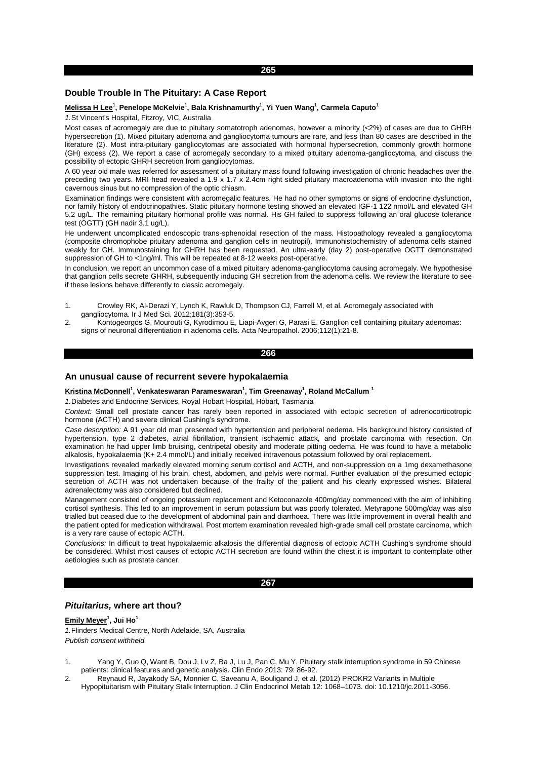# **Double Trouble In The Pituitary: A Case Report**

#### **Melissa H Lee<sup>1</sup> , Penelope McKelvie<sup>1</sup> , Bala Krishnamurthy<sup>1</sup> , Yi Yuen Wang<sup>1</sup> , Carmela Caputo<sup>1</sup>**

*1.*St Vincent's Hospital, Fitzroy, VIC, Australia

Most cases of acromegaly are due to pituitary somatotroph adenomas, however a minority (<2%) of cases are due to GHRH hypersecretion (1). Mixed pituitary adenoma and gangliocytoma tumours are rare, and less than 80 cases are described in the literature (2). Most intra-pituitary gangliocytomas are associated with hormonal hypersecretion, commonly growth hormone (GH) excess (2). We report a case of acromegaly secondary to a mixed pituitary adenoma-gangliocytoma, and discuss the possibility of ectopic GHRH secretion from gangliocytomas.

A 60 year old male was referred for assessment of a pituitary mass found following investigation of chronic headaches over the preceding two years. MRI head revealed a 1.9 x 1.7 x 2.4cm right sided pituitary macroadenoma with invasion into the right cavernous sinus but no compression of the optic chiasm.

Examination findings were consistent with acromegalic features. He had no other symptoms or signs of endocrine dysfunction, nor family history of endocrinopathies. Static pituitary hormone testing showed an elevated IGF-1 122 nmol/L and elevated GH 5.2 ug/L. The remaining pituitary hormonal profile was normal. His GH failed to suppress following an oral glucose tolerance test (OGTT) (GH nadir 3.1 ug/L).

He underwent uncomplicated endoscopic trans-sphenoidal resection of the mass. Histopathology revealed a gangliocytoma (composite chromophobe pituitary adenoma and ganglion cells in neutropil). Immunohistochemistry of adenoma cells stained weakly for GH. Immunostaining for GHRH has been requested. An ultra-early (day 2) post-operative OGTT demonstrated suppression of GH to <1ng/ml. This will be repeated at 8-12 weeks post-operative.

In conclusion, we report an uncommon case of a mixed pituitary adenoma-gangliocytoma causing acromegaly. We hypothesise that ganglion cells secrete GHRH, subsequently inducing GH secretion from the adenoma cells. We review the literature to see if these lesions behave differently to classic acromegaly.

- 1. Crowley RK, Al-Derazi Y, Lynch K, Rawluk D, Thompson CJ, Farrell M, et al. Acromegaly associated with gangliocytoma. Ir J Med Sci. 2012;181(3):353-5.
- 2. Kontogeorgos G, Mourouti G, Kyrodimou E, Liapi-Avgeri G, Parasi E. Ganglion cell containing pituitary adenomas: signs of neuronal differentiation in adenoma cells. Acta Neuropathol. 2006;112(1):21-8.

#### **266**

#### **An unusual cause of recurrent severe hypokalaemia**

#### **Kristina McDonnell<sup>1</sup> , Venkateswaran Parameswaran<sup>1</sup> , Tim Greenaway<sup>1</sup> , Roland McCallum <sup>1</sup>**

*1.*Diabetes and Endocrine Services, Royal Hobart Hospital, Hobart, Tasmania

*Context:* Small cell prostate cancer has rarely been reported in associated with ectopic secretion of adrenocorticotropic hormone (ACTH) and severe clinical Cushing's syndrome.

*Case description:* A 91 year old man presented with hypertension and peripheral oedema. His background history consisted of hypertension, type 2 diabetes, atrial fibrillation, transient ischaemic attack, and prostate carcinoma with resection. On examination he had upper limb bruising, centripetal obesity and moderate pitting oedema. He was found to have a metabolic alkalosis, hypokalaemia (K+ 2.4 mmol/L) and initially received intravenous potassium followed by oral replacement.

Investigations revealed markedly elevated morning serum cortisol and ACTH, and non-suppression on a 1mg dexamethasone suppression test. Imaging of his brain, chest, abdomen, and pelvis were normal. Further evaluation of the presumed ectopic secretion of ACTH was not undertaken because of the frailty of the patient and his clearly expressed wishes. Bilateral adrenalectomy was also considered but declined.

Management consisted of ongoing potassium replacement and Ketoconazole 400mg/day commenced with the aim of inhibiting cortisol synthesis. This led to an improvement in serum potassium but was poorly tolerated. Metyrapone 500mg/day was also trialled but ceased due to the development of abdominal pain and diarrhoea. There was little improvement in overall health and the patient opted for medication withdrawal. Post mortem examination revealed high-grade small cell prostate carcinoma, which is a very rare cause of ectopic ACTH.

*Conclusions:* In difficult to treat hypokalaemic alkalosis the differential diagnosis of ectopic ACTH Cushing's syndrome should be considered. Whilst most causes of ectopic ACTH secretion are found within the chest it is important to contemplate other aetiologies such as prostate cancer.

#### **267**

# *Pituitarius,* **where art thou?**

**Emily Meyer<sup>1</sup> , Jui Ho<sup>1</sup>**

*1.*Flinders Medical Centre, North Adelaide, SA, Australia *Publish consent withheld* 

- 1. Yang Y, Guo Q, Want B, Dou J, Lv Z, Ba J, Lu J, Pan C, Mu Y. Pituitary stalk interruption syndrome in 59 Chinese patients: clinical features and genetic analysis. Clin Endo 2013: 79: 86-92.
- 2. Reynaud R, Jayakody SA, Monnier C, Saveanu A, Bouligand J, et al. (2012) PROKR2 Variants in Multiple Hypopituitarism with Pituitary Stalk Interruption. J Clin Endocrinol Metab 12: 1068–1073. doi: 10.1210/jc.2011-3056.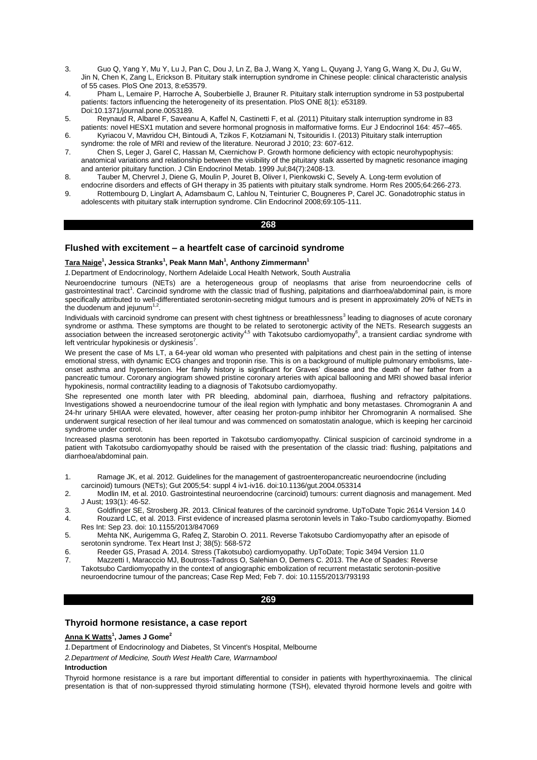- 3. Guo Q, Yang Y, Mu Y, Lu J, Pan C, Dou J, Ln Z, Ba J, Wang X, Yang L, Quyang J, Yang G, Wang X, Du J, Gu W, Jin N, Chen K, Zang L, Erickson B. Pituitary stalk interruption syndrome in Chinese people: clinical characteristic analysis of 55 cases. PloS One 2013, 8:e53579.
- 4. Pham L, Lemaire P, Harroche A, Souberbielle J, Brauner R. Pituitary stalk interruption syndrome in 53 postpubertal patients: factors influencing the heterogeneity of its presentation. PloS ONE 8(1): e53189. Doi:10.1371/journal.pone.0053189.
- 5. Reynaud R, Albarel F, Saveanu A, Kaffel N, Castinetti F, et al. (2011) Pituitary stalk interruption syndrome in 83
- patients: novel HESX1 mutation and severe hormonal prognosis in malformative forms. Eur J Endocrinol 164: 457–465. 6. Kyriacou V, Mavridou CH, Bintoudi A, Tzikos F, Kotziamani N, Tsitouridis I. (2013) Pituitary stalk interruption
- syndrome: the role of MRI and review of the literature. Neurorad J 2010; 23: 607-612.
- 7. Chen S, Leger J, Garel C, Hassan M, Cxernichow P. Growth hormone deficiency with ectopic neurohypophysis: anatomical variations and relationship between the visibility of the pituitary stalk asserted by magnetic resonance imaging and anterior pituitary function. J Clin Endocrinol Metab. 1999 Jul;84(7):2408-13.
- 8. Tauber M, Chervrel J, Diene G, Moulin P, Jouret B, Oliver I, Pienkowski C, Sevely A. Long-term evolution of endocrine disorders and effects of GH therapy in 35 patients with pituitary stalk syndrome. Horm Res 2005;64:266-273.
- 9. Rottembourg D, Linglart A, Adamsbaum C, Lahlou N, Teinturier C, Bougneres P, Carel JC. Gonadotrophic status in adolescents with pituitary stalk interruption syndrome. Clin Endocrinol 2008;69:105-111.

# **268**

# **Flushed with excitement – a heartfelt case of carcinoid syndrome**

## **Tara Naige<sup>1</sup> , Jessica Stranks<sup>1</sup> , Peak Mann Mah<sup>1</sup> , Anthony Zimmermann<sup>1</sup>**

*1.*Department of Endocrinology, Northern Adelaide Local Health Network, South Australia

Neuroendocrine tumours (NETs) are a heterogeneous group of neoplasms that arise from neuroendocrine cells of gastrointestinal tract<sup>1</sup>. Carcinoid syndrome with the classic triad of flushing, palpitations and diarrhoea/abdominal pain, is more specifically attributed to well-differentiated serotonin-secreting midgut tumours and is present in approximately 20% of NETs in the duodenum and jejunum $1,2$ .

Individuals with carcinoid syndrome can present with chest tightness or breathlessness<sup>3</sup> leading to diagnoses of acute coronary syndrome or asthma. These symptoms are thought to be related to serotonergic activity of the NETs. Research suggests an<br>association between the increased serotonergic activity<sup>4,5</sup> with Takotsubo cardiomyopathy<sup>6</sup>, a trans left ventricular hypokinesis or dyskinesis $7$ .

We present the case of Ms LT, a 64-year old woman who presented with palpitations and chest pain in the setting of intense emotional stress, with dynamic ECG changes and troponin rise. This is on a background of multiple pulmonary embolisms, lateonset asthma and hypertension. Her family history is significant for Graves' disease and the death of her father from a pancreatic tumour. Coronary angiogram showed pristine coronary arteries with apical ballooning and MRI showed basal inferior hypokinesis, normal contractility leading to a diagnosis of Takotsubo cardiomyopathy.

She represented one month later with PR bleeding, abdominal pain, diarrhoea, flushing and refractory palpitations. Investigations showed a neuroendocrine tumour of the ileal region with lymphatic and bony metastases. Chromogranin A and 24-hr urinary 5HIAA were elevated, however, after ceasing her proton-pump inhibitor her Chromogranin A normalised. She underwent surgical resection of her ileal tumour and was commenced on somatostatin analogue, which is keeping her carcinoid syndrome under control.

Increased plasma serotonin has been reported in Takotsubo cardiomyopathy. Clinical suspicion of carcinoid syndrome in a patient with Takotsubo cardiomyopathy should be raised with the presentation of the classic triad: flushing, palpitations and diarrhoea/abdominal pain.

- 1. Ramage JK, et al. 2012. Guidelines for the management of gastroenteropancreatic neuroendocrine (including carcinoid) tumours (NETs); Gut 2005;54: suppl 4 iv1-iv16. doi:10.1136/gut.2004.053314
- 2. Modlin IM, et al. 2010. Gastrointestinal neuroendocrine (carcinoid) tumours: current diagnosis and management. Med J Aust; 193(1): 46-52.
- 3. Goldfinger SE, Strosberg JR. 2013. Clinical features of the carcinoid syndrome. UpToDate Topic 2614 Version 14.0
- 4. Rouzard LC, et al. 2013. First evidence of increased plasma serotonin levels in Tako-Tsubo cardiomyopathy. Biomed Res Int: Sep 23. doi: 10.1155/2013/847069
- 5. Mehta NK, Aurigemma G, Rafeq Z, Starobin O. 2011. Reverse Takotsubo Cardiomyopathy after an episode of serotonin syndrome. Tex Heart Inst J; 38(5): 568-572
- 6. Reeder GS, Prasad A. 2014. Stress (Takotsubo) cardiomyopathy. UpToDate; Topic 3494 Version 11.0
- 7. Mazzetti I, Maracccio MJ, Boutross-Tadross O, Salehian O, Demers C. 2013. The Ace of Spades: Reverse Takotsubo Cardiomyopathy in the context of angiographic embolization of recurrent metastatic serotonin-positive neuroendocrine tumour of the pancreas; Case Rep Med; Feb 7. doi: 10.1155/2013/793193

## **269**

# **Thyroid hormone resistance, a case report**

### **Anna K Watts<sup>1</sup> , James J Gome<sup>2</sup>**

*1.*Department of Endocrinology and Diabetes, St Vincent's Hospital, Melbourne

*2.Department of Medicine, South West Health Care, Warrnambool*

## **Introduction**

Thyroid hormone resistance is a rare but important differential to consider in patients with hyperthyroxinaemia. The clinical presentation is that of non-suppressed thyroid stimulating hormone (TSH), elevated thyroid hormone levels and goitre with